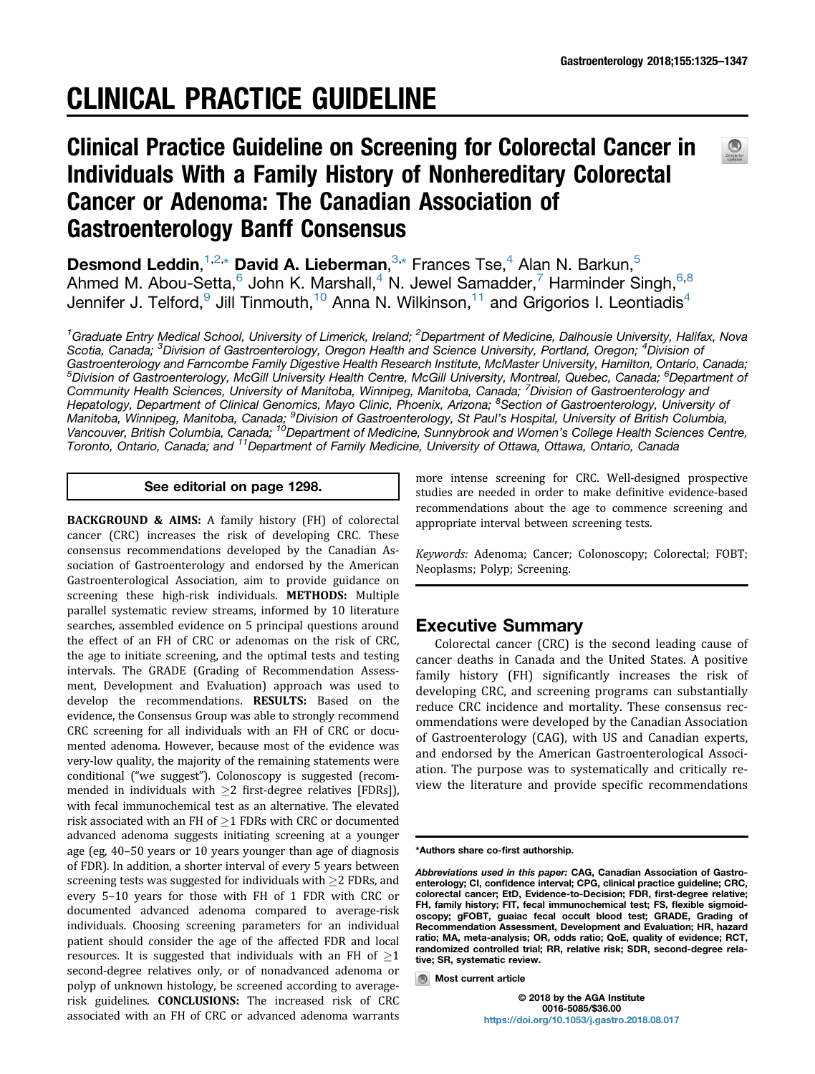# CLINICAL PRACTICE GUIDELINE

## Clinical Practice Guideline on Screening for Colorectal Cancer in Individuals With a Family History of Nonhereditary Colorectal Cancer or Adenoma: The Canadian Association of Gastroenterology Banff Consensus



Desmond Leddin,<sup>1,2,\*</sup> David A. Lieberman,<sup>3,\*</sup> Frances Tse,<sup>4</sup> Alan N. Barkun,<sup>5</sup> Ahmed M. Abou-Setta, <sup>6</sup> John K. Marshall, <sup>4</sup> N. Jewel Samadder, <sup>7</sup> Harminder Singh,  $6,8$ Jennifer J. Telford,  $9$  Jill Tinmouth,<sup>10</sup> Anna N. Wilkinson,<sup>11</sup> and Grigorios I. Leontiadis<sup>4</sup>

<sup>1</sup>Graduate Entry Medical School, University of Limerick, Ireland; <sup>2</sup>Department of Medicine, Dalhousie University, Halifax, Nova Scotia, Canada; <sup>3</sup>Division of Gastroenterology, Oregon Health and Science University, Portland, Oregon; <sup>4</sup>Division of Gastroenterology and Farncombe Family Digestive Health Research Institute, McMaster University, Hamilton, Ontario, Canada; <sup>5</sup>Division of Gastroenterology, McGill University Health Centre, McGill University, Montreal, Quebec, Canada; <sup>6</sup>Department of Community Health Sciences, University of Manitoba, Winnipeg, Manitoba, Canada; <sup>7</sup>Division of Gastroenterology and Hepatology, Department of Clinical Genomics, Mayo Clinic, Phoenix, Arizona; <sup>8</sup>Section of Gastroenterology, University of Manitoba, Winnipeg, Manitoba, Canada; <sup>9</sup>Division of Gastroenterology, St Paul's Hospital, University of British Columbia, Vancouver, British Columbia, Canada; <sup>10</sup>Department of Medicine, Sunnybrook and Women's College Health Sciences Centre, Toronto, Ontario, Canada; and <sup>11</sup> Department of Family Medicine, University of Ottawa, Ottawa, Ontario, Canada

#### See editorial on page 1298.

BACKGROUND & AIMS: A family history (FH) of colorectal cancer (CRC) increases the risk of developing CRC. These consensus recommendations developed by the Canadian Association of Gastroenterology and endorsed by the American Gastroenterological Association, aim to provide guidance on screening these high-risk individuals. METHODS: Multiple parallel systematic review streams, informed by 10 literature searches, assembled evidence on 5 principal questions around the effect of an FH of CRC or adenomas on the risk of CRC, the age to initiate screening, and the optimal tests and testing intervals. The GRADE (Grading of Recommendation Assessment, Development and Evaluation) approach was used to develop the recommendations. RESULTS: Based on the evidence, the Consensus Group was able to strongly recommend CRC screening for all individuals with an FH of CRC or documented adenoma. However, because most of the evidence was very-low quality, the majority of the remaining statements were conditional ("we suggest"). Colonoscopy is suggested (recommended in individuals with  $\geq 2$  first-degree relatives [FDRs]), with fecal immunochemical test as an alternative. The elevated risk associated with an FH of  $>$ 1 FDRs with CRC or documented advanced adenoma suggests initiating screening at a younger age (eg, 40–50 years or 10 years younger than age of diagnosis of FDR). In addition, a shorter interval of every 5 years between screening tests was suggested for individuals with  $\geq$  FDRs, and every 5–10 years for those with FH of 1 FDR with CRC or documented advanced adenoma compared to average-risk individuals. Choosing screening parameters for an individual patient should consider the age of the affected FDR and local resources. It is suggested that individuals with an FH of  $\geq 1$ second-degree relatives only, or of nonadvanced adenoma or polyp of unknown histology, be screened according to averagerisk guidelines. CONCLUSIONS: The increased risk of CRC associated with an FH of CRC or advanced adenoma warrants

more intense screening for CRC. Well-designed prospective studies are needed in order to make definitive evidence-based recommendations about the age to commence screening and appropriate interval between screening tests.

Keywords: Adenoma; Cancer; Colonoscopy; Colorectal; FOBT; Neoplasms; Polyp; Screening.

## Executive Summary

Colorectal cancer (CRC) is the second leading cause of cancer deaths in Canada and the United States. A positive family history (FH) significantly increases the risk of developing CRC, and screening programs can substantially reduce CRC incidence and mortality. These consensus recommendations were developed by the Canadian Association of Gastroenterology (CAG), with US and Canadian experts, and endorsed by the American Gastroenterological Association. The purpose was to systematically and critically review the literature and provide specific recommendations

<sup>\*</sup>Authors share co-first authorship.

Abbreviations used in this paper: CAG, Canadian Association of Gastroenterology; CI, confidence interval; CPG, clinical practice guideline; CRC, colorectal cancer; EtD, Evidence-to-Decision; FDR, first-degree relative; FH, family history; FIT, fecal immunochemical test; FS, flexible sigmoidoscopy; gFOBT, guaiac fecal occult blood test; GRADE, Grading of Recommendation Assessment, Development and Evaluation; HR, hazard ratio; MA, meta-analysis; OR, odds ratio; QoE, quality of evidence; RCT, randomized controlled trial; RR, relative risk; SDR, second-degree relative; SR, systematic review.

**Most current article**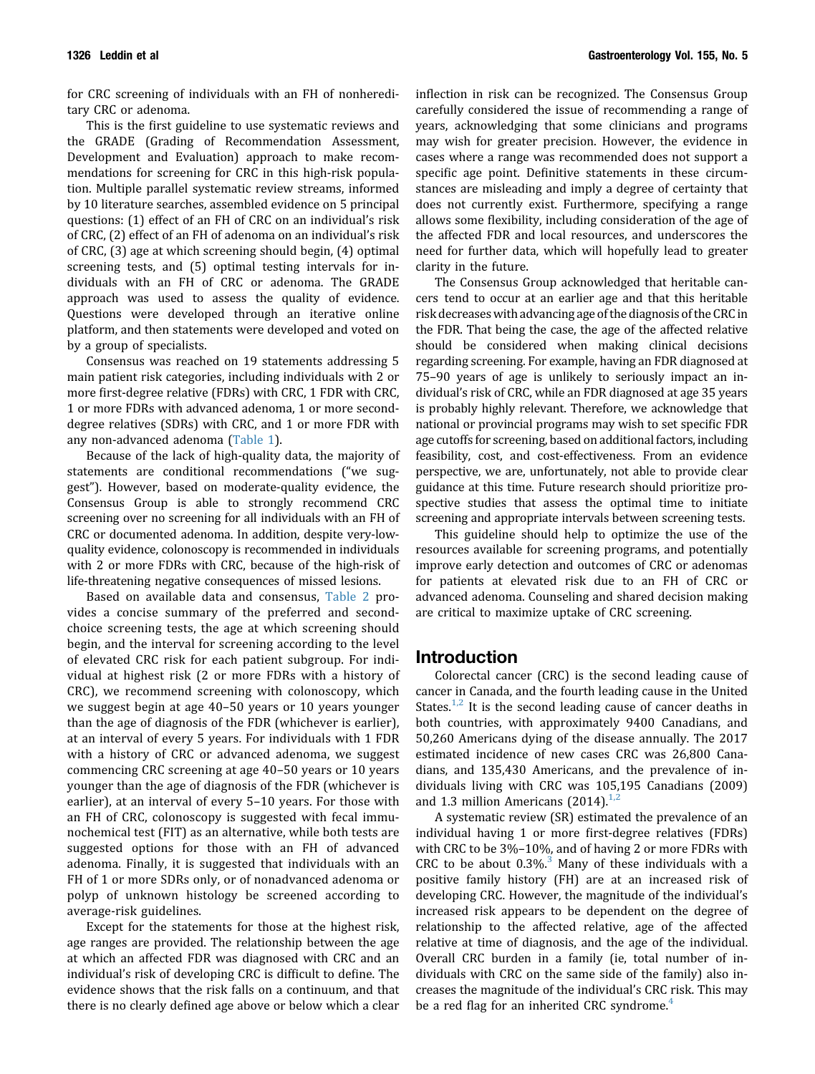for CRC screening of individuals with an FH of nonhereditary CRC or adenoma.

This is the first guideline to use systematic reviews and the GRADE (Grading of Recommendation Assessment, Development and Evaluation) approach to make recommendations for screening for CRC in this high-risk population. Multiple parallel systematic review streams, informed by 10 literature searches, assembled evidence on 5 principal questions: (1) effect of an FH of CRC on an individual's risk of CRC, (2) effect of an FH of adenoma on an individual's risk of CRC, (3) age at which screening should begin, (4) optimal screening tests, and (5) optimal testing intervals for individuals with an FH of CRC or adenoma. The GRADE approach was used to assess the quality of evidence. Questions were developed through an iterative online platform, and then statements were developed and voted on by a group of specialists.

Consensus was reached on 19 statements addressing 5 main patient risk categories, including individuals with 2 or more first-degree relative (FDRs) with CRC, 1 FDR with CRC, 1 or more FDRs with advanced adenoma, 1 or more seconddegree relatives (SDRs) with CRC, and 1 or more FDR with any non-advanced adenoma ([Table 1](#page-2-0)).

Because of the lack of high-quality data, the majority of statements are conditional recommendations ("we suggest"). However, based on moderate-quality evidence, the Consensus Group is able to strongly recommend CRC screening over no screening for all individuals with an FH of CRC or documented adenoma. In addition, despite very-lowquality evidence, colonoscopy is recommended in individuals with 2 or more FDRs with CRC, because of the high-risk of life-threatening negative consequences of missed lesions.

Based on available data and consensus, [Table 2](#page-4-0) provides a concise summary of the preferred and secondchoice screening tests, the age at which screening should begin, and the interval for screening according to the level of elevated CRC risk for each patient subgroup. For individual at highest risk (2 or more FDRs with a history of CRC), we recommend screening with colonoscopy, which we suggest begin at age 40–50 years or 10 years younger than the age of diagnosis of the FDR (whichever is earlier), at an interval of every 5 years. For individuals with 1 FDR with a history of CRC or advanced adenoma, we suggest commencing CRC screening at age 40–50 years or 10 years younger than the age of diagnosis of the FDR (whichever is earlier), at an interval of every 5–10 years. For those with an FH of CRC, colonoscopy is suggested with fecal immunochemical test (FIT) as an alternative, while both tests are suggested options for those with an FH of advanced adenoma. Finally, it is suggested that individuals with an FH of 1 or more SDRs only, or of nonadvanced adenoma or polyp of unknown histology be screened according to average-risk guidelines.

Except for the statements for those at the highest risk, age ranges are provided. The relationship between the age at which an affected FDR was diagnosed with CRC and an individual's risk of developing CRC is difficult to define. The evidence shows that the risk falls on a continuum, and that there is no clearly defined age above or below which a clear

inflection in risk can be recognized. The Consensus Group carefully considered the issue of recommending a range of years, acknowledging that some clinicians and programs may wish for greater precision. However, the evidence in cases where a range was recommended does not support a specific age point. Definitive statements in these circumstances are misleading and imply a degree of certainty that does not currently exist. Furthermore, specifying a range allows some flexibility, including consideration of the age of the affected FDR and local resources, and underscores the need for further data, which will hopefully lead to greater clarity in the future.

The Consensus Group acknowledged that heritable cancers tend to occur at an earlier age and that this heritable risk decreases with advancing age of the diagnosis of the CRC in the FDR. That being the case, the age of the affected relative should be considered when making clinical decisions regarding screening. For example, having an FDR diagnosed at 75–90 years of age is unlikely to seriously impact an individual's risk of CRC, while an FDR diagnosed at age 35 years is probably highly relevant. Therefore, we acknowledge that national or provincial programs may wish to set specific FDR age cutoffs for screening, based on additional factors, including feasibility, cost, and cost-effectiveness. From an evidence perspective, we are, unfortunately, not able to provide clear guidance at this time. Future research should prioritize prospective studies that assess the optimal time to initiate screening and appropriate intervals between screening tests.

This guideline should help to optimize the use of the resources available for screening programs, and potentially improve early detection and outcomes of CRC or adenomas for patients at elevated risk due to an FH of CRC or advanced adenoma. Counseling and shared decision making are critical to maximize uptake of CRC screening.

## Introduction

Colorectal cancer (CRC) is the second leading cause of cancer in Canada, and the fourth leading cause in the United States. $1,2$  It is the second leading cause of cancer deaths in both countries, with approximately 9400 Canadians, and 50,260 Americans dying of the disease annually. The 2017 estimated incidence of new cases CRC was 26,800 Canadians, and 135,430 Americans, and the prevalence of individuals living with CRC was 105,195 Canadians (2009) and 1.3 million Americans  $(2014).$ <sup>[1,2](#page-18-0)</sup>

A systematic review (SR) estimated the prevalence of an individual having 1 or more first-degree relatives (FDRs) with CRC to be 3%–10%, and of having 2 or more FDRs with CRC to be about  $0.3\%$  $0.3\%$  $0.3\%$ <sup>3</sup> Many of these individuals with a positive family history (FH) are at an increased risk of developing CRC. However, the magnitude of the individual's increased risk appears to be dependent on the degree of relationship to the affected relative, age of the affected relative at time of diagnosis, and the age of the individual. Overall CRC burden in a family (ie, total number of individuals with CRC on the same side of the family) also increases the magnitude of the individual's CRC risk. This may be a red flag for an inherited CRC syndrome.<sup>[4](#page-18-0)</sup>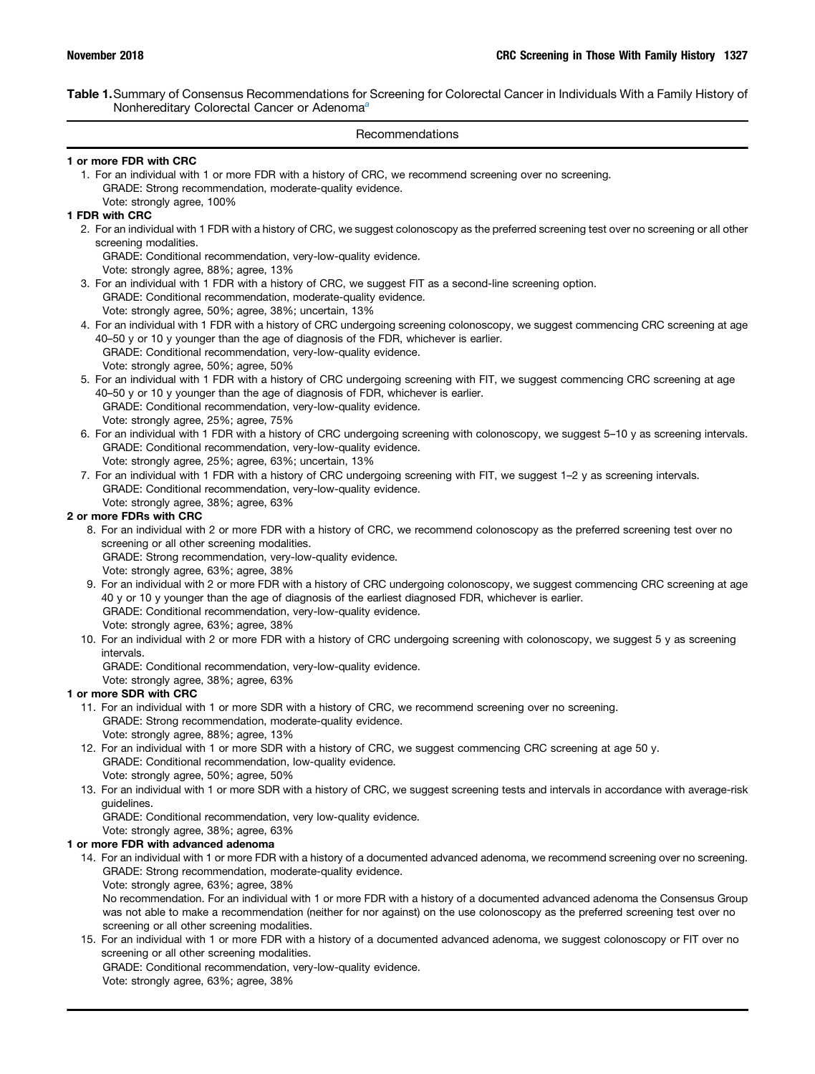<span id="page-2-0"></span>Table 1.Summary of Consensus Recommendations for Screening for Colorectal Cancer in Individuals With a Family History of Nonheredit[a](#page-3-0)ry Colorectal Cancer or Adenoma<sup>a</sup>

#### Recommendations

#### 1 or more FDR with CRC

1. For an individual with 1 or more FDR with a history of CRC, we recommend screening over no screening. GRADE: Strong recommendation, moderate-quality evidence. Vote: strongly agree, 100%

#### 1 FDR with CRC

2. For an individual with 1 FDR with a history of CRC, we suggest colonoscopy as the preferred screening test over no screening or all other screening modalities.

GRADE: Conditional recommendation, very-low-quality evidence.

Vote: strongly agree, 88%; agree, 13%

- 3. For an individual with 1 FDR with a history of CRC, we suggest FIT as a second-line screening option. GRADE: Conditional recommendation, moderate-quality evidence.
	- Vote: strongly agree, 50%; agree, 38%; uncertain, 13%
- 4. For an individual with 1 FDR with a history of CRC undergoing screening colonoscopy, we suggest commencing CRC screening at age 40–50 y or 10 y younger than the age of diagnosis of the FDR, whichever is earlier. GRADE: Conditional recommendation, very-low-quality evidence. Vote: strongly agree, 50%; agree, 50%
- 5. For an individual with 1 FDR with a history of CRC undergoing screening with FIT, we suggest commencing CRC screening at age 40–50 y or 10 y younger than the age of diagnosis of FDR, whichever is earlier. GRADE: Conditional recommendation, very-low-quality evidence. Vote: strongly agree, 25%; agree, 75%
- 6. For an individual with 1 FDR with a history of CRC undergoing screening with colonoscopy, we suggest 5–10 y as screening intervals. GRADE: Conditional recommendation, very-low-quality evidence. Vote: strongly agree, 25%; agree, 63%; uncertain, 13%
- 7. For an individual with 1 FDR with a history of CRC undergoing screening with FIT, we suggest 1–2 y as screening intervals. GRADE: Conditional recommendation, very-low-quality evidence. Vote: strongly agree, 38%; agree, 63%

## 2 or more FDRs with CRC

- - 8. For an individual with 2 or more FDR with a history of CRC, we recommend colonoscopy as the preferred screening test over no screening or all other screening modalities.

GRADE: Strong recommendation, very-low-quality evidence. Vote: strongly agree, 63%; agree, 38%

- 9. For an individual with 2 or more FDR with a history of CRC undergoing colonoscopy, we suggest commencing CRC screening at age 40 y or 10 y younger than the age of diagnosis of the earliest diagnosed FDR, whichever is earlier. GRADE: Conditional recommendation, very-low-quality evidence. Vote: strongly agree, 63%; agree, 38%
- 10. For an individual with 2 or more FDR with a history of CRC undergoing screening with colonoscopy, we suggest 5 y as screening intervals.

GRADE: Conditional recommendation, very-low-quality evidence.

Vote: strongly agree, 38%; agree, 63%

#### 1 or more SDR with CRC

- 11. For an individual with 1 or more SDR with a history of CRC, we recommend screening over no screening. GRADE: Strong recommendation, moderate-quality evidence. Vote: strongly agree, 88%; agree, 13%
- 12. For an individual with 1 or more SDR with a history of CRC, we suggest commencing CRC screening at age 50 y. GRADE: Conditional recommendation, low-quality evidence. Vote: strongly agree, 50%; agree, 50%
- 13. For an individual with 1 or more SDR with a history of CRC, we suggest screening tests and intervals in accordance with average-risk guidelines.

GRADE: Conditional recommendation, very low-quality evidence.

## Vote: strongly agree, 38%; agree, 63%

- 1 or more FDR with advanced adenoma
	- 14. For an individual with 1 or more FDR with a history of a documented advanced adenoma, we recommend screening over no screening. GRADE: Strong recommendation, moderate-quality evidence. Vote: strongly agree, 63%; agree, 38%

No recommendation. For an individual with 1 or more FDR with a history of a documented advanced adenoma the Consensus Group was not able to make a recommendation (neither for nor against) on the use colonoscopy as the preferred screening test over no screening or all other screening modalities.

15. For an individual with 1 or more FDR with a history of a documented advanced adenoma, we suggest colonoscopy or FIT over no screening or all other screening modalities.

GRADE: Conditional recommendation, very-low-quality evidence. Vote: strongly agree, 63%; agree, 38%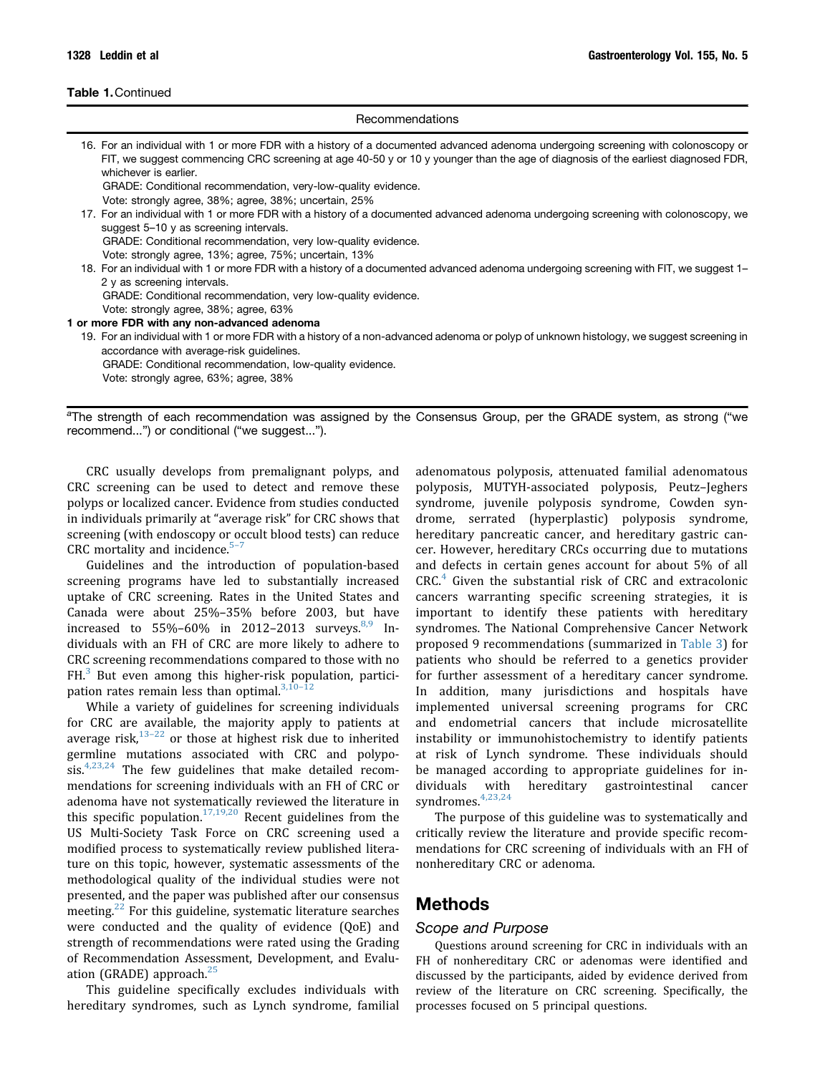#### <span id="page-3-0"></span>Table 1.Continued

#### Recommendations

| 16. For an individual with 1 or more FDR with a history of a documented advanced adenoma undergoing screening with colonoscopy or<br>FIT, we suggest commencing CRC screening at age 40-50 y or 10 y younger than the age of diagnosis of the earliest diagnosed FDR,<br>whichever is earlier. |
|------------------------------------------------------------------------------------------------------------------------------------------------------------------------------------------------------------------------------------------------------------------------------------------------|
| GRADE: Conditional recommendation, very-low-quality evidence.                                                                                                                                                                                                                                  |
| Vote: strongly agree, 38%; agree, 38%; uncertain, 25%                                                                                                                                                                                                                                          |
| 17. For an individual with 1 or more FDR with a history of a documented advanced adenoma undergoing screening with colonoscopy, we<br>suggest 5-10 y as screening intervals.                                                                                                                   |
| GRADE: Conditional recommendation, very low-quality evidence.                                                                                                                                                                                                                                  |
| Vote: strongly agree, 13%; agree, 75%; uncertain, 13%                                                                                                                                                                                                                                          |
| 18. For an individual with 1 or more FDR with a history of a documented advanced adenoma undergoing screening with FIT, we suggest 1–                                                                                                                                                          |
| 2 y as screening intervals.                                                                                                                                                                                                                                                                    |
| GRADE: Conditional recommendation, very low-quality evidence.                                                                                                                                                                                                                                  |
| Vote: strongly agree, 38%; agree, 63%                                                                                                                                                                                                                                                          |
| 1 or more FDR with any non-advanced adenoma                                                                                                                                                                                                                                                    |
| 19. For an individual with 1 or more FDR with a history of a non-advanced adenoma or polyp of unknown histology, we suggest screening in                                                                                                                                                       |
| accordance with average-risk quidelines.                                                                                                                                                                                                                                                       |
| GRADE: Conditional recommendation, low-quality evidence.                                                                                                                                                                                                                                       |

Vote: strongly agree, 63%; agree, 38%

<sup>a</sup>The strength of each recommendation was assigned by the Consensus Group, per the GRADE system, as strong ("we recommend...") or conditional ("we suggest...").

CRC usually develops from premalignant polyps, and CRC screening can be used to detect and remove these polyps or localized cancer. Evidence from studies conducted in individuals primarily at "average risk" for CRC shows that screening (with endoscopy or occult blood tests) can reduce CRC mortality and incidence. $5-7$  $5-7$  $5-7$ 

Guidelines and the introduction of population-based screening programs have led to substantially increased uptake of CRC screening. Rates in the United States and Canada were about 25%–35% before 2003, but have increased to  $55\% - 60\%$  in 2012–2013 surveys.<sup>[8,9](#page-18-0)</sup> Individuals with an FH of CRC are more likely to adhere to CRC screening recommendations compared to those with no  $FH<sup>3</sup>$  $FH<sup>3</sup>$  $FH<sup>3</sup>$  But even among this higher-risk population, participation rates remain less than optimal. $3,10-12$  $3,10-12$  $3,10-12$ 

While a variety of guidelines for screening individuals for CRC are available, the majority apply to patients at average risk, $13-22$  $13-22$  $13-22$  or those at highest risk due to inherited germline mutations associated with CRC and polypo- $sis.4,23,24$  $sis.4,23,24$  The few guidelines that make detailed recommendations for screening individuals with an FH of CRC or adenoma have not systematically reviewed the literature in this specific population.<sup>[17,19,20](#page-19-0)</sup> Recent guidelines from the US Multi-Society Task Force on CRC screening used a modified process to systematically review published literature on this topic, however, systematic assessments of the methodological quality of the individual studies were not presented, and the paper was published after our consensus meeting.<sup>[22](#page-19-0)</sup> For this guideline, systematic literature searches were conducted and the quality of evidence (QoE) and strength of recommendations were rated using the Grading of Recommendation Assessment, Development, and Evaluation (GRADE) approach. $25$ 

This guideline specifically excludes individuals with hereditary syndromes, such as Lynch syndrome, familial

adenomatous polyposis, attenuated familial adenomatous polyposis, MUTYH-associated polyposis, Peutz–Jeghers syndrome, juvenile polyposis syndrome, Cowden syndrome, serrated (hyperplastic) polyposis syndrome, hereditary pancreatic cancer, and hereditary gastric cancer. However, hereditary CRCs occurring due to mutations and defects in certain genes account for about 5% of all  $CRC<sup>4</sup>$  $CRC<sup>4</sup>$  $CRC<sup>4</sup>$  Given the substantial risk of CRC and extracolonic cancers warranting specific screening strategies, it is important to identify these patients with hereditary syndromes. The National Comprehensive Cancer Network proposed 9 recommendations (summarized in [Table 3\)](#page-5-0) for patients who should be referred to a genetics provider for further assessment of a hereditary cancer syndrome. In addition, many jurisdictions and hospitals have implemented universal screening programs for CRC and endometrial cancers that include microsatellite instability or immunohistochemistry to identify patients at risk of Lynch syndrome. These individuals should be managed according to appropriate guidelines for individuals with hereditary gastrointestinal cancer syndromes.<sup>[4,23,24](#page-18-0)</sup>

The purpose of this guideline was to systematically and critically review the literature and provide specific recommendations for CRC screening of individuals with an FH of nonhereditary CRC or adenoma.

## Methods

#### Scope and Purpose

Questions around screening for CRC in individuals with an FH of nonhereditary CRC or adenomas were identified and discussed by the participants, aided by evidence derived from review of the literature on CRC screening. Specifically, the processes focused on 5 principal questions.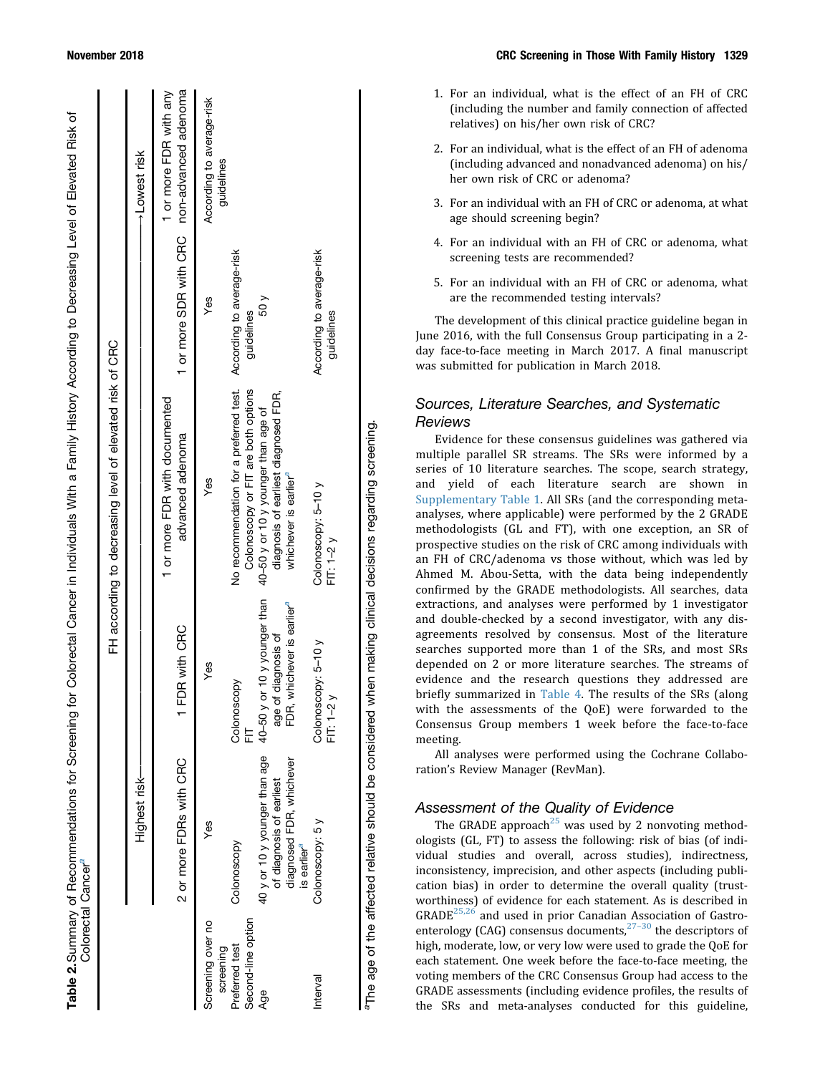<span id="page-4-0"></span>

|                                                   |                                                                                       |                                                                                               | FH according to decreasing level of elevated risk of CRC                                                 |                                           |                           |
|---------------------------------------------------|---------------------------------------------------------------------------------------|-----------------------------------------------------------------------------------------------|----------------------------------------------------------------------------------------------------------|-------------------------------------------|---------------------------|
|                                                   | Highest risk-                                                                         |                                                                                               |                                                                                                          |                                           | → Lowest risk             |
|                                                   | 2 or more FDRs with CRC                                                               | 1 FDR with CRC                                                                                | or more FDR with documented<br>advanced adenoma                                                          | or more SDR with CRC non-advanced adenoma | 1 or more FDR with any    |
| Screening over no                                 | Yes                                                                                   | Yes                                                                                           | Yes                                                                                                      | Yes                                       | According to average-risk |
| Second-line option<br>Preferred test<br>screening | Colonoscopy                                                                           | Colonoscopy                                                                                   | No recommendation for a preferred test. According to average-risk<br>Colonoscopy or FIT are both options | guidelines                                | guidelines                |
| Age                                               | 40 y or 10 y younger than age<br>diagnosed FDR, whichever<br>of diagnosis of earliest | 40-50 y or 10 y younger than<br>FDR, whichever is earlier <sup>a</sup><br>age of diagnosis of | diagnosis of earliest diagnosed FDR,<br>40-50 y or 10 y younger than age of<br>whichever is earlier      | 50y                                       |                           |
| Interval                                          | Colonoscopy: 5 y<br>is earlier <sup>a</sup>                                           | Colonoscopy: 5-10 y<br>FIT: $1-2$ y                                                           | Colonoscopy: 5-10 y<br>$FIT: 1-2$ y                                                                      | According to average-risk<br>guidelines   |                           |

- 1. For an individual, what is the effect of an FH of CRC (including the number and family connection of affected relatives) on his/her own risk of CRC?
- 2. For an individual, what is the effect of an FH of adenoma (including advanced and nonadvanced adenoma) on his/ her own risk of CRC or adenoma?
- 3. For an individual with an FH of CRC or adenoma, at what age should screening begin?
- 4. For an individual with an FH of CRC or adenoma, what screening tests are recommended?
- 5. For an individual with an FH of CRC or adenoma, what are the recommended testing intervals?

The development of this clinical practice guideline began in June 2016, with the full Consensus Group participating in a 2 day face-to-face meeting in March 2017. A final manuscript was submitted for publication in March 2018.

## Sources, Literature Searches, and Systematic Reviews

Evidence for these consensus guidelines was gathered via multiple parallel SR streams. The SRs were informed by a series of 10 literature searches. The scope, search strategy, and yield of each literature search are shown in [Supplementary Table 1.](#page-23-0) All SRs (and the corresponding metaanalyses, where applicable) were performed by the 2 GRADE methodologists (GL and FT), with one exception, an SR of prospective studies on the risk of CRC among individuals with an FH of CRC/adenoma vs those without, which was led by Ahmed M. Abou-Setta, with the data being independently confirmed by the GRADE methodologists. All searches, data extractions, and analyses were performed by 1 investigator and double-checked by a second investigator, with any disagreements resolved by consensus. Most of the literature searches supported more than 1 of the SRs, and most SRs depended on 2 or more literature searches. The streams of evidence and the research questions they addressed are briefly summarized in [Table 4.](#page-5-0) The results of the SRs (along with the assessments of the QoE) were forwarded to the Consensus Group members 1 week before the face-to-face meeting.

All analyses were performed using the Cochrane Collaboration's Review Manager (RevMan).

## Assessment of the Quality of Evidence

The GRADE approach<sup>[25](#page-19-0)</sup> was used by 2 nonvoting methodologists (GL, FT) to assess the following: risk of bias (of individual studies and overall, across studies), indirectness, inconsistency, imprecision, and other aspects (including publication bias) in order to determine the overall quality (trustworthiness) of evidence for each statement. As is described in  $GRADE^{25,26}$  $GRADE^{25,26}$  $GRADE^{25,26}$  and used in prior Canadian Association of Gastroenterology (CAG) consensus documents, $27-30$  $27-30$  $27-30$  the descriptors of high, moderate, low, or very low were used to grade the QoE for each statement. One week before the face-to-face meeting, the voting members of the CRC Consensus Group had access to the GRADE assessments (including evidence profiles, the results of the SRs and meta-analyses conducted for this guideline,

Table 2.Summary of Recommendations for Screening for Colorectal Cancer in Individuals With a Family History According to Decreasing Level of Elevated Risk of

Summary of Recommendations for Screening for Colorectal Cancer in Individuals With a Family History According to Decreasing Level of Elevated Risk of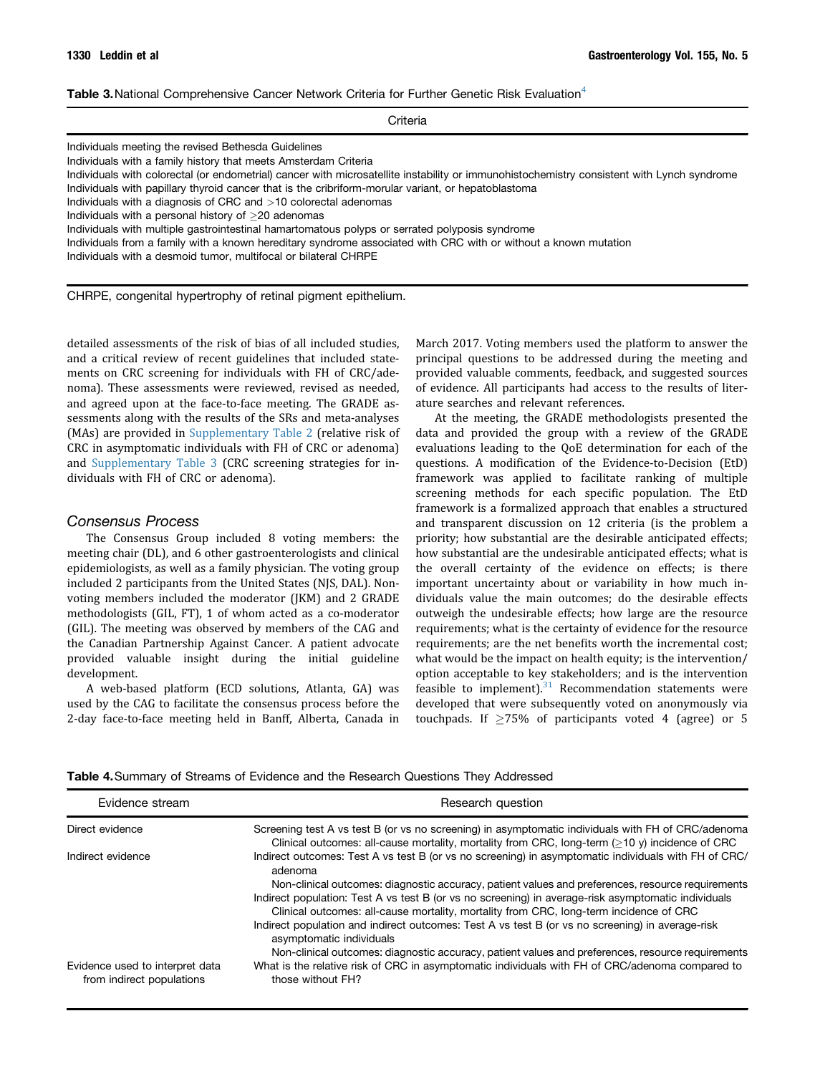#### <span id="page-5-0"></span>Table 3. National Comprehensive Cancer Network Criteria for Further Genetic Risk Evaluation<sup>[4](#page-18-0)</sup>

**Criteria** 

Individuals meeting the revised Bethesda Guidelines

Individuals with a family history that meets Amsterdam Criteria

Individuals with colorectal (or endometrial) cancer with microsatellite instability or immunohistochemistry consistent with Lynch syndrome Individuals with papillary thyroid cancer that is the cribriform-morular variant, or hepatoblastoma

Individuals with a diagnosis of CRC and >10 colorectal adenomas

Individuals with a personal history of  $>$ 20 adenomas

Individuals with multiple gastrointestinal hamartomatous polyps or serrated polyposis syndrome

Individuals from a family with a known hereditary syndrome associated with CRC with or without a known mutation

Individuals with a desmoid tumor, multifocal or bilateral CHRPE

CHRPE, congenital hypertrophy of retinal pigment epithelium.

detailed assessments of the risk of bias of all included studies, and a critical review of recent guidelines that included statements on CRC screening for individuals with FH of CRC/adenoma). These assessments were reviewed, revised as needed, and agreed upon at the face-to-face meeting. The GRADE assessments along with the results of the SRs and meta-analyses (MAs) are provided in Supplementary Table 2 (relative risk of CRC in asymptomatic individuals with FH of CRC or adenoma) and Supplementary Table 3 (CRC screening strategies for individuals with FH of CRC or adenoma).

#### Consensus Process

The Consensus Group included 8 voting members: the meeting chair (DL), and 6 other gastroenterologists and clinical epidemiologists, as well as a family physician. The voting group included 2 participants from the United States (NJS, DAL). Nonvoting members included the moderator (JKM) and 2 GRADE methodologists (GIL, FT), 1 of whom acted as a co-moderator (GIL). The meeting was observed by members of the CAG and the Canadian Partnership Against Cancer. A patient advocate provided valuable insight during the initial guideline development.

A web-based platform (ECD solutions, Atlanta, GA) was used by the CAG to facilitate the consensus process before the 2-day face-to-face meeting held in Banff, Alberta, Canada in March 2017. Voting members used the platform to answer the principal questions to be addressed during the meeting and provided valuable comments, feedback, and suggested sources of evidence. All participants had access to the results of literature searches and relevant references.

At the meeting, the GRADE methodologists presented the data and provided the group with a review of the GRADE evaluations leading to the QoE determination for each of the questions. A modification of the Evidence-to-Decision (EtD) framework was applied to facilitate ranking of multiple screening methods for each specific population. The EtD framework is a formalized approach that enables a structured and transparent discussion on 12 criteria (is the problem a priority; how substantial are the desirable anticipated effects; how substantial are the undesirable anticipated effects; what is the overall certainty of the evidence on effects; is there important uncertainty about or variability in how much individuals value the main outcomes; do the desirable effects outweigh the undesirable effects; how large are the resource requirements; what is the certainty of evidence for the resource requirements; are the net benefits worth the incremental cost; what would be the impact on health equity; is the intervention/ option acceptable to key stakeholders; and is the intervention feasible to implement). $31$  Recommendation statements were developed that were subsequently voted on anonymously via touchpads. If  $>75\%$  of participants voted 4 (agree) or 5

| <b>Table 4.</b> Summary of Streams of Evidence and the Research Questions They Addressed |
|------------------------------------------------------------------------------------------|
|------------------------------------------------------------------------------------------|

| Evidence stream                                              | Research question                                                                                                                                                                                              |  |  |  |  |
|--------------------------------------------------------------|----------------------------------------------------------------------------------------------------------------------------------------------------------------------------------------------------------------|--|--|--|--|
| Direct evidence                                              | Screening test A vs test B (or vs no screening) in asymptomatic individuals with FH of CRC/adenoma<br>Clinical outcomes: all-cause mortality, mortality from CRC, long-term $(>10 \text{ y})$ incidence of CRC |  |  |  |  |
| Indirect evidence                                            | Indirect outcomes: Test A vs test B (or vs no screening) in asymptomatic individuals with FH of CRC/<br>adenoma                                                                                                |  |  |  |  |
|                                                              | Non-clinical outcomes: diagnostic accuracy, patient values and preferences, resource requirements                                                                                                              |  |  |  |  |
|                                                              | Indirect population: Test A vs test B (or vs no screening) in average-risk asymptomatic individuals<br>Clinical outcomes: all-cause mortality, mortality from CRC, long-term incidence of CRC                  |  |  |  |  |
|                                                              | Indirect population and indirect outcomes: Test A vs test B (or vs no screening) in average-risk<br>asymptomatic individuals                                                                                   |  |  |  |  |
|                                                              | Non-clinical outcomes: diagnostic accuracy, patient values and preferences, resource requirements                                                                                                              |  |  |  |  |
| Evidence used to interpret data<br>from indirect populations | What is the relative risk of CRC in asymptomatic individuals with FH of CRC/adenoma compared to<br>those without FH?                                                                                           |  |  |  |  |
|                                                              |                                                                                                                                                                                                                |  |  |  |  |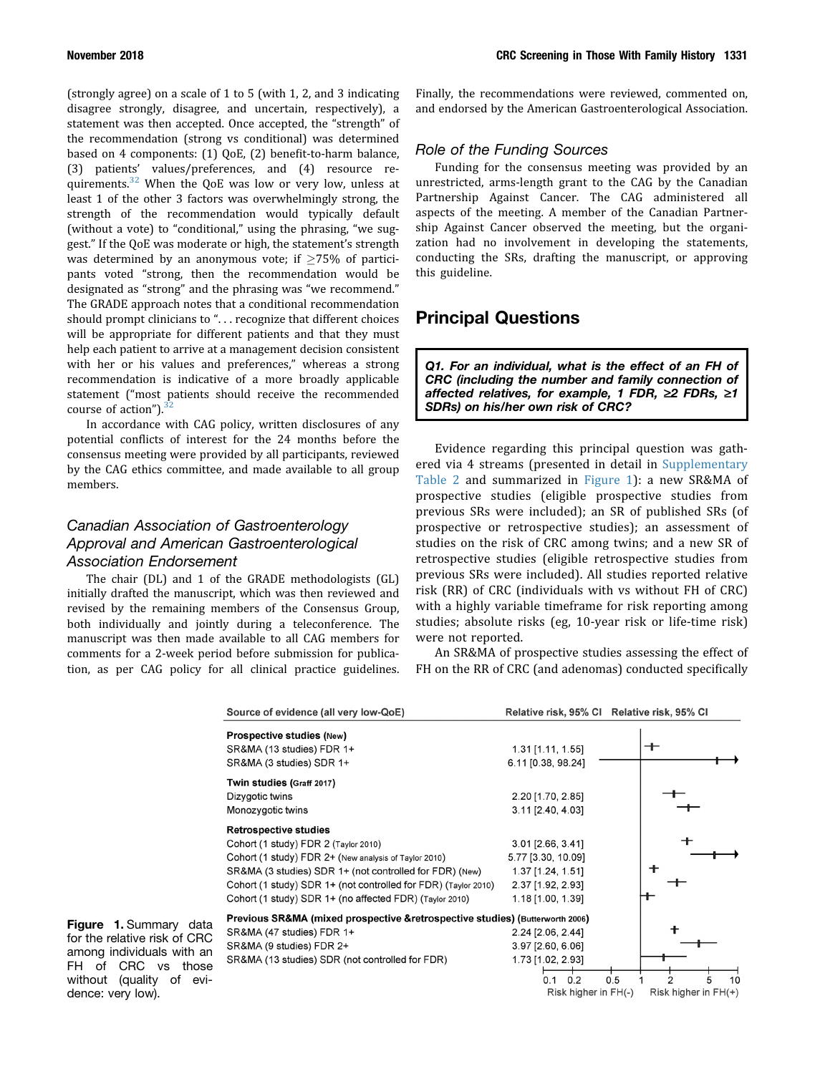<span id="page-6-0"></span>(strongly agree) on a scale of 1 to 5 (with 1, 2, and 3 indicating disagree strongly, disagree, and uncertain, respectively), a statement was then accepted. Once accepted, the "strength" of the recommendation (strong vs conditional) was determined based on 4 components: (1) QoE, (2) benefit-to-harm balance, (3) patients' values/preferences, and (4) resource requirements.[32](#page-19-0) When the QoE was low or very low, unless at least 1 of the other 3 factors was overwhelmingly strong, the strength of the recommendation would typically default (without a vote) to "conditional," using the phrasing, "we suggest." If the QoE was moderate or high, the statement's strength was determined by an anonymous vote; if  $\geq 75\%$  of participants voted "strong, then the recommendation would be designated as "strong" and the phrasing was "we recommend." The GRADE approach notes that a conditional recommendation should prompt clinicians to ". . . recognize that different choices will be appropriate for different patients and that they must help each patient to arrive at a management decision consistent with her or his values and preferences," whereas a strong recommendation is indicative of a more broadly applicable statement ("most patients should receive the recommended course of action"). $3$ 

In accordance with CAG policy, written disclosures of any potential conflicts of interest for the 24 months before the consensus meeting were provided by all participants, reviewed by the CAG ethics committee, and made available to all group members.

## Canadian Association of Gastroenterology Approval and American Gastroenterological Association Endorsement

The chair (DL) and 1 of the GRADE methodologists (GL) initially drafted the manuscript, which was then reviewed and revised by the remaining members of the Consensus Group, both individually and jointly during a teleconference. The manuscript was then made available to all CAG members for comments for a 2-week period before submission for publication, as per CAG policy for all clinical practice guidelines. Finally, the recommendations were reviewed, commented on, and endorsed by the American Gastroenterological Association.

#### Role of the Funding Sources

Funding for the consensus meeting was provided by an unrestricted, arms-length grant to the CAG by the Canadian Partnership Against Cancer. The CAG administered all aspects of the meeting. A member of the Canadian Partnership Against Cancer observed the meeting, but the organization had no involvement in developing the statements, conducting the SRs, drafting the manuscript, or approving this guideline.

## Principal Questions

Q1. For an individual, what is the effect of an FH of CRC (including the number and family connection of affected relatives, for example, 1 FDR,  $\geq 2$  FDRs,  $\geq 1$ SDRs) on his/her own risk of CRC?

Evidence regarding this principal question was gathered via 4 streams (presented in detail in Supplementary Table 2 and summarized in Figure 1): a new SR&MA of prospective studies (eligible prospective studies from previous SRs were included); an SR of published SRs (of prospective or retrospective studies); an assessment of studies on the risk of CRC among twins; and a new SR of retrospective studies (eligible retrospective studies from previous SRs were included). All studies reported relative risk (RR) of CRC (individuals with vs without FH of CRC) with a highly variable timeframe for risk reporting among studies; absolute risks (eg, 10-year risk or life-time risk) were not reported.

An SR&MA of prospective studies assessing the effect of FH on the RR of CRC (and adenomas) conducted specifically

| Source of evidence (all very low-QoE)                                        |                                    | Relative risk, 95% CI Relative risk, 95% CI |
|------------------------------------------------------------------------------|------------------------------------|---------------------------------------------|
| <b>Prospective studies (New)</b>                                             |                                    |                                             |
| SR&MA (13 studies) FDR 1+                                                    | $1.31$ [1.11, 1.55]                | ᆠ                                           |
| SR&MA (3 studies) SDR 1+                                                     | 6.11 [0.38, 98.24]                 |                                             |
| Twin studies (Graff 2017)                                                    |                                    |                                             |
| Dizygotic twins                                                              | 2.20 [1.70, 2.85]                  |                                             |
| Monozygotic twins                                                            | 3.11 [2.40, 4.03]                  |                                             |
| <b>Retrospective studies</b>                                                 |                                    |                                             |
| Cohort (1 study) FDR 2 (Taylor 2010)                                         | 3.01 [2.66, 3.41]                  |                                             |
| Cohort (1 study) FDR 2+ (New analysis of Taylor 2010)                        | 5.77 [3.30, 10.09]                 |                                             |
| SR&MA (3 studies) SDR 1+ (not controlled for FDR) (New)                      | 1.37 [1.24, 1.51]                  | ᆂ                                           |
| Cohort (1 study) SDR 1+ (not controlled for FDR) (Taylor 2010)               | 2.37 [1.92, 2.93]                  |                                             |
| Cohort (1 study) SDR 1+ (no affected FDR) (Taylor 2010)                      | 1.18 [1.00, 1.39]                  |                                             |
| Previous SR&MA (mixed prospective &retrospective studies) (Butterworth 2006) |                                    |                                             |
| SR&MA (47 studies) FDR 1+                                                    | 2.24 [2.06, 2.44]                  | +                                           |
| SR&MA (9 studies) FDR 2+                                                     | 3.97 [2.60, 6.06]                  |                                             |
| SR&MA (13 studies) SDR (not controlled for FDR)                              | 1.73 [1.02, 2.93]                  |                                             |
|                                                                              |                                    |                                             |
|                                                                              | 0.2<br>0 1<br>Risk higher in FH(-) | 0.5<br>10<br>$Risk$ higher in $FH(+)$       |

Figure 1. Summary da for the relative risk of CF among individuals with FH of CRC vs thos without (quality of  $e$ dence: very low).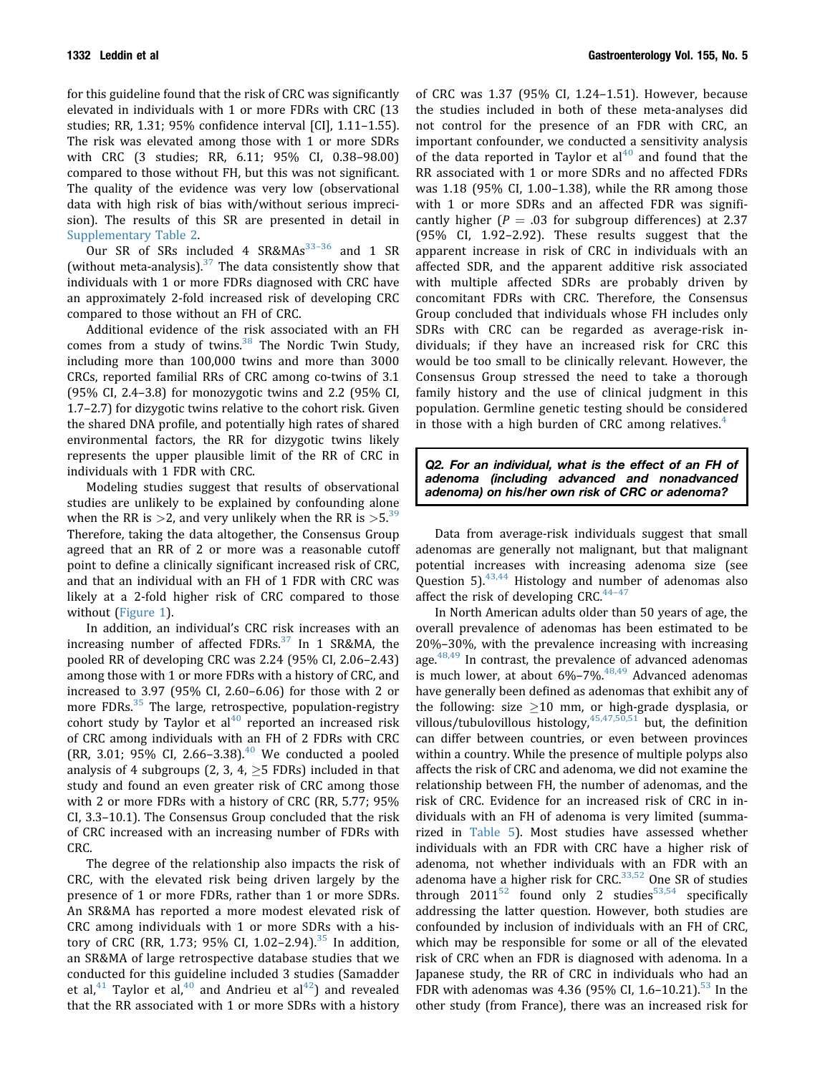for this guideline found that the risk of CRC was significantly elevated in individuals with 1 or more FDRs with CRC (13 studies; RR, 1.31; 95% confidence interval [CI], 1.11–1.55). The risk was elevated among those with 1 or more SDRs with CRC (3 studies; RR, 6.11; 95% CI, 0.38–98.00) compared to those without FH, but this was not significant. The quality of the evidence was very low (observational data with high risk of bias with/without serious imprecision). The results of this SR are presented in detail in Supplementary Table 2.

Our SR of SRs included 4 SR&MAs<sup>33-[36](#page-19-0)</sup> and 1 SR (without meta-analysis). $37$  The data consistently show that individuals with 1 or more FDRs diagnosed with CRC have an approximately 2-fold increased risk of developing CRC compared to those without an FH of CRC.

Additional evidence of the risk associated with an FH comes from a study of twins.<sup>[38](#page-19-0)</sup> The Nordic Twin Study, including more than 100,000 twins and more than 3000 CRCs, reported familial RRs of CRC among co-twins of 3.1 (95% CI, 2.4–3.8) for monozygotic twins and 2.2 (95% CI, 1.7–2.7) for dizygotic twins relative to the cohort risk. Given the shared DNA profile, and potentially high rates of shared environmental factors, the RR for dizygotic twins likely represents the upper plausible limit of the RR of CRC in individuals with 1 FDR with CRC.

Modeling studies suggest that results of observational studies are unlikely to be explained by confounding alone when the RR is  $>2$ , and very unlikely when the RR is  $>5.^{39}$ Therefore, taking the data altogether, the Consensus Group agreed that an RR of 2 or more was a reasonable cutoff point to define a clinically significant increased risk of CRC, and that an individual with an FH of 1 FDR with CRC was likely at a 2-fold higher risk of CRC compared to those without [\(Figure 1](#page-6-0)).

In addition, an individual's CRC risk increases with an increasing number of affected FDRs. $37$  In 1 SR&MA, the pooled RR of developing CRC was 2.24 (95% CI, 2.06–2.43) among those with 1 or more FDRs with a history of CRC, and increased to 3.97 (95% CI, 2.60–6.06) for those with 2 or more FDRs.<sup>[35](#page-19-0)</sup> The large, retrospective, population-registry cohort study by Taylor et al $40$  reported an increased risk of CRC among individuals with an FH of 2 FDRs with CRC (RR, 3.01; 95% CI, 2.66–3.38).<sup>[40](#page-19-0)</sup> We conducted a pooled analysis of 4 subgroups (2, 3, 4,  $\geq$  5 FDRs) included in that study and found an even greater risk of CRC among those with 2 or more FDRs with a history of CRC (RR, 5.77; 95% CI, 3.3–10.1). The Consensus Group concluded that the risk of CRC increased with an increasing number of FDRs with CRC.

The degree of the relationship also impacts the risk of CRC, with the elevated risk being driven largely by the presence of 1 or more FDRs, rather than 1 or more SDRs. An SR&MA has reported a more modest elevated risk of CRC among individuals with 1 or more SDRs with a his-tory of CRC (RR, 1.73; 95% CI, 1.02-2.94).<sup>[35](#page-19-0)</sup> In addition, an SR&MA of large retrospective database studies that we conducted for this guideline included 3 studies (Samadder et al,<sup>[41](#page-19-0)</sup> Taylor et al,<sup>[40](#page-19-0)</sup> and Andrieu et al<sup>[42](#page-20-0)</sup>) and revealed that the RR associated with 1 or more SDRs with a history

of CRC was 1.37 (95% CI, 1.24–1.51). However, because the studies included in both of these meta-analyses did not control for the presence of an FDR with CRC, an important confounder, we conducted a sensitivity analysis of the data reported in Taylor et  $al^{40}$  $al^{40}$  $al^{40}$  and found that the RR associated with 1 or more SDRs and no affected FDRs was 1.18 (95% CI, 1.00–1.38), while the RR among those with 1 or more SDRs and an affected FDR was significantly higher ( $P = .03$  for subgroup differences) at 2.37 (95% CI, 1.92–2.92). These results suggest that the apparent increase in risk of CRC in individuals with an affected SDR, and the apparent additive risk associated with multiple affected SDRs are probably driven by concomitant FDRs with CRC. Therefore, the Consensus Group concluded that individuals whose FH includes only SDRs with CRC can be regarded as average-risk individuals; if they have an increased risk for CRC this would be too small to be clinically relevant. However, the Consensus Group stressed the need to take a thorough family history and the use of clinical judgment in this population. Germline genetic testing should be considered in those with a high burden of CRC among relatives. $4$ 

Q2. For an individual, what is the effect of an FH of adenoma (including advanced and nonadvanced adenoma) on his/her own risk of CRC or adenoma?

Data from average-risk individuals suggest that small adenomas are generally not malignant, but that malignant potential increases with increasing adenoma size (see Question 5). $43,44$  Histology and number of adenomas also affect the risk of developing CRC. $44-47$  $44-47$ 

In North American adults older than 50 years of age, the overall prevalence of adenomas has been estimated to be 20%–30%, with the prevalence increasing with increasing age. $48,49$  In contrast, the prevalence of advanced adenomas is much lower, at about  $6\% - 7\%$ .<sup>[48,49](#page-20-0)</sup> Advanced adenomas have generally been defined as adenomas that exhibit any of the following: size  $\geq$ 10 mm, or high-grade dysplasia, or villous/tubulovillous histology, $45,47,50,51$  but, the definition can differ between countries, or even between provinces within a country. While the presence of multiple polyps also affects the risk of CRC and adenoma, we did not examine the relationship between FH, the number of adenomas, and the risk of CRC. Evidence for an increased risk of CRC in individuals with an FH of adenoma is very limited (summarized in [Table 5](#page-8-0)). Most studies have assessed whether individuals with an FDR with CRC have a higher risk of adenoma, not whether individuals with an FDR with an adenoma have a higher risk for CRC. $33,52$  One SR of studies through  $2011^{52}$  $2011^{52}$  $2011^{52}$  found only 2 studies<sup>53,54</sup> specifically addressing the latter question. However, both studies are confounded by inclusion of individuals with an FH of CRC, which may be responsible for some or all of the elevated risk of CRC when an FDR is diagnosed with adenoma. In a Japanese study, the RR of CRC in individuals who had an FDR with adenomas was 4.36 (95% CI, 1.6–10.21).<sup>[53](#page-20-0)</sup> In the other study (from France), there was an increased risk for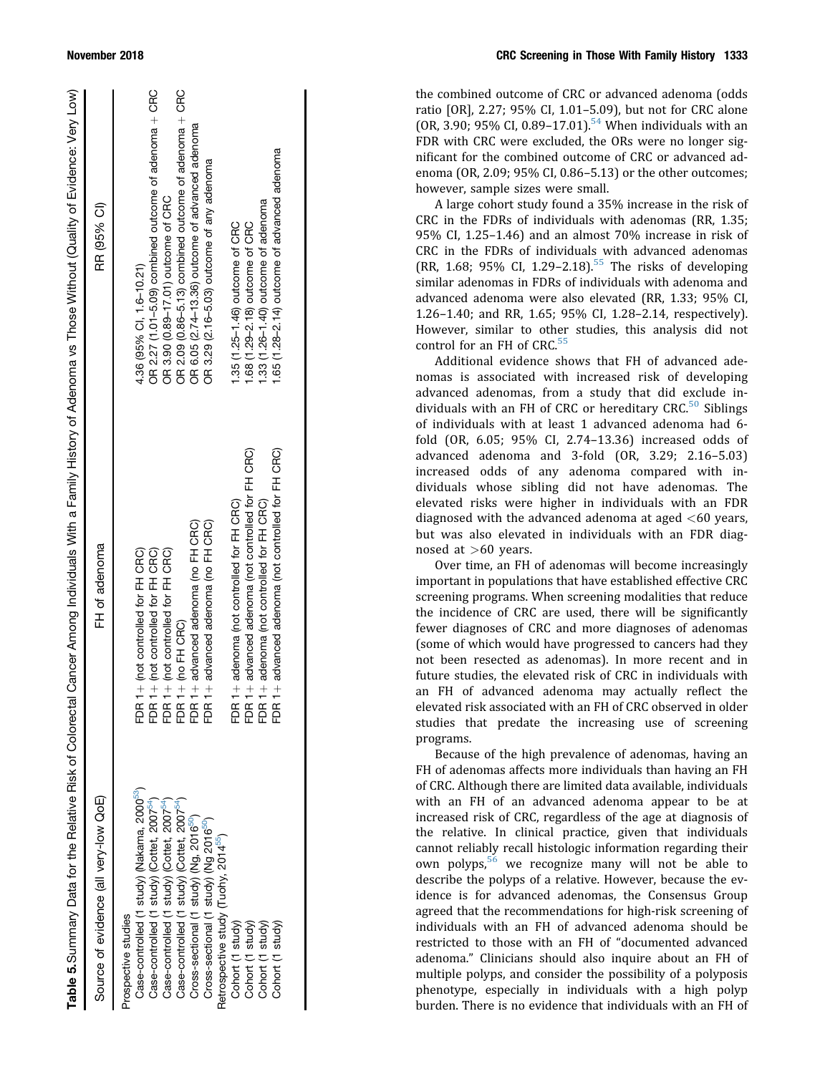<span id="page-8-0"></span>

| Source of evidence (all very-low QoE)                   | FH of adenoma                                                                                                                         | RR (95% CI)                                             |
|---------------------------------------------------------|---------------------------------------------------------------------------------------------------------------------------------------|---------------------------------------------------------|
| Prospective studies                                     |                                                                                                                                       |                                                         |
| Case-controlled (1 study) (Nakama, 2000 <sup>53</sup> ) | FDR 1+ (not controlled for FH CRC)                                                                                                    | 4.36 (95% CI, 1.6-10.21)                                |
| Case-controlled (1 study) (Cottet, 2007 <sup>54</sup> ) |                                                                                                                                       | OR 2.27 (1.01-5.09) combined outcome of adenoma $+$ CRC |
| Case-controlled (1 study) (Cottet, 2007 <sup>54</sup> ) |                                                                                                                                       | OR 3.90 (0.89-17.01) outcome of CRC                     |
| Case-controlled (1 study) (Cottet, 2007 <sup>54</sup> ) | FDR 1+ (not controlled for FH CRC)<br>FDR 1+ (not controlled for FH CRC)<br>FDR 1+ (no FH CRC)<br>FDR 1+ advanced adenoma (no FH CRC) | OR 2.09 (0.86-5.13) combined outcome of adenoma + CRC   |
| Cross-sectional (1 study) (Ng, 2016 <sup>50</sup> )     |                                                                                                                                       | OR 6.05 (2.74-13.36) outcome of advanced adenoma        |
| Cross-sectional (1 study) (Ng 2016 <sup>50</sup> )      | -DR 1+ advanced adenoma (no FH CRC)                                                                                                   | OR 3.29 (2.16-5.03) outcome of any adenoma              |
| Retrospective study (Tuohy, 2014 <sup>55</sup> )        |                                                                                                                                       |                                                         |
| Cohort (1 study)                                        | -DR 1+ adenoma (not controlled for FH CRC)                                                                                            | 1.35 (1.25-1.46) outcome of CRC                         |
| Cohort (1 study)                                        | FDR 1+ advanced adenoma (not controlled for FH CRC)                                                                                   | 1.68 (1.29-2.18) outcome of CRC                         |
| Cohort (1 study)                                        | FDR 1+ adenoma (not controlled for FH CRC)                                                                                            | $.33(1.26 - 1.40)$ outcome of adenoma                   |
| Cohort (1 study)                                        | FDR 1+ advanced adenoma (not controlled for FH CRC)                                                                                   | 1.65 (1.28-2.14) outcome of advanced adenoma            |

the combined outcome of CRC or advanced adenoma (odds ratio [OR], 2.27; 95% CI, 1.01–5.09), but not for CRC alone (OR, 3.90; 95% CI, 0.89–17.01).<sup>[54](#page-20-0)</sup> When individuals with an FDR with CRC were excluded, the ORs were no longer significant for the combined outcome of CRC or advanced adenoma (OR, 2.09; 95% CI, 0.86–5.13) or the other outcomes; however, sample sizes were small.

A large cohort study found a 35% increase in the risk of CRC in the FDRs of individuals with adenomas (RR, 1.35; 95% CI, 1.25–1.46) and an almost 70% increase in risk of CRC in the FDRs of individuals with advanced adenomas (RR, 1.68; 95% CI, 1.29–2.18).<sup>[55](#page-20-0)</sup> The risks of developing similar adenomas in FDRs of individuals with adenoma and advanced adenoma were also elevated (RR, 1.33; 95% CI, 1.26–1.40; and RR, 1.65; 95% CI, 1.28–2.14, respectively). However, similar to other studies, this analysis did not control for an FH of CRC.<sup>5</sup>

Additional evidence shows that FH of advanced adenomas is associated with increased risk of developing advanced adenomas, from a study that did exclude in-dividuals with an FH of CRC or hereditary CRC.<sup>[50](#page-20-0)</sup> Siblings of individuals with at least 1 advanced adenoma had 6 fold (OR, 6.05; 95% CI, 2.74–13.36) increased odds of advanced adenoma and 3-fold (OR, 3.29; 2.16–5.03) increased odds of any adenoma compared with individuals whose sibling did not have adenomas. The elevated risks were higher in individuals with an FDR diagnosed with the advanced adenoma at aged  $<60$  years, but was also elevated in individuals with an FDR diagnosed at >60 years.

Over time, an FH of adenomas will become increasingly important in populations that have established effective CRC screening programs. When screening modalities that reduce the incidence of CRC are used, there will be significantly fewer diagnoses of CRC and more diagnoses of adenomas (some of which would have progressed to cancers had they not been resected as adenomas). In more recent and in future studies, the elevated risk of CRC in individuals with an FH of advanced adenoma may actually reflect the elevated risk associated with an FH of CRC observed in older studies that predate the increasing use of screening programs.

Because of the high prevalence of adenomas, having an FH of adenomas affects more individuals than having an FH of CRC. Although there are limited data available, individuals with an FH of an advanced adenoma appear to be at increased risk of CRC, regardless of the age at diagnosis of the relative. In clinical practice, given that individuals cannot reliably recall histologic information regarding their own polyps,<sup>[56](#page-20-0)</sup> we recognize many will not be able to describe the polyps of a relative. However, because the evidence is for advanced adenomas, the Consensus Group agreed that the recommendations for high-risk screening of individuals with an FH of advanced adenoma should be restricted to those with an FH of "documented advanced adenoma." Clinicians should also inquire about an FH of multiple polyps, and consider the possibility of a polyposis phenotype, especially in individuals with a high polyp burden. There is no evidence that individuals with an FH of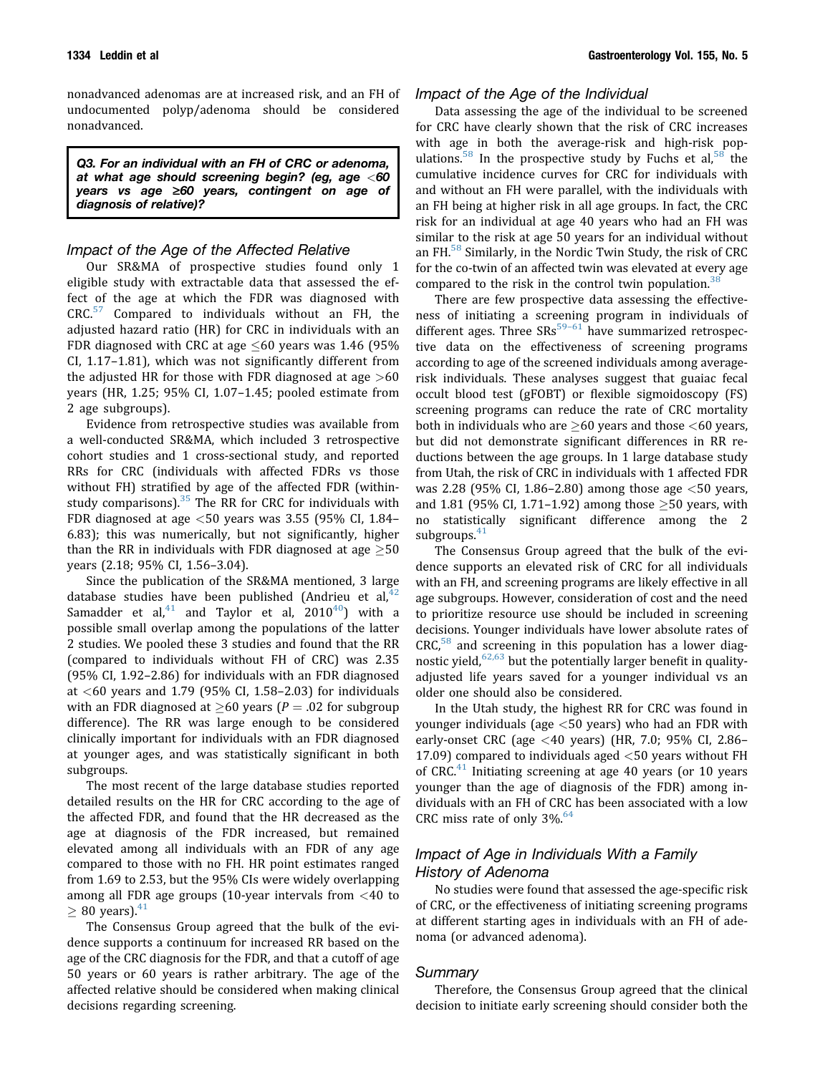nonadvanced adenomas are at increased risk, and an FH of undocumented polyp/adenoma should be considered nonadvanced.

Q3. For an individual with an FH of CRC or adenoma, at what age should screening begin? (eg, age  $<$ 60 years vs age  $\geq 60$  years, contingent on age of diagnosis of relative)?

#### Impact of the Age of the Affected Relative

Our SR&MA of prospective studies found only 1 eligible study with extractable data that assessed the effect of the age at which the FDR was diagnosed with CRC.[57](#page-20-0) Compared to individuals without an FH, the adjusted hazard ratio (HR) for CRC in individuals with an FDR diagnosed with CRC at age  $\leq 60$  years was 1.46 (95%) CI, 1.17–1.81), which was not significantly different from the adjusted HR for those with FDR diagnosed at age  $>60$ years (HR, 1.25; 95% CI, 1.07–1.45; pooled estimate from 2 age subgroups).

Evidence from retrospective studies was available from a well-conducted SR&MA, which included 3 retrospective cohort studies and 1 cross-sectional study, and reported RRs for CRC (individuals with affected FDRs vs those without FH) stratified by age of the affected FDR (withinstudy comparisons). $35$  The RR for CRC for individuals with FDR diagnosed at age  $\langle 50 \rangle$  years was 3.55 (95% CI, 1.84– 6.83); this was numerically, but not significantly, higher than the RR in individuals with FDR diagnosed at age  $\geq 50$ years (2.18; 95% CI, 1.56–3.04).

Since the publication of the SR&MA mentioned, 3 large database studies have been published (Andrieu et al,  $42$ ) Samadder et al, $41$  and Taylor et al, 2010 $40$ ) with a possible small overlap among the populations of the latter 2 studies. We pooled these 3 studies and found that the RR (compared to individuals without FH of CRC) was 2.35 (95% CI, 1.92–2.86) for individuals with an FDR diagnosed at <60 years and 1.79 (95% CI, 1.58–2.03) for individuals with an FDR diagnosed at  $\geq 60$  years (P = .02 for subgroup difference). The RR was large enough to be considered clinically important for individuals with an FDR diagnosed at younger ages, and was statistically significant in both subgroups.

The most recent of the large database studies reported detailed results on the HR for CRC according to the age of the affected FDR, and found that the HR decreased as the age at diagnosis of the FDR increased, but remained elevated among all individuals with an FDR of any age compared to those with no FH. HR point estimates ranged from 1.69 to 2.53, but the 95% CIs were widely overlapping among all FDR age groups (10-year intervals from <40 to  $\geq 80$  years).<sup>[41](#page-19-0)</sup>

The Consensus Group agreed that the bulk of the evidence supports a continuum for increased RR based on the age of the CRC diagnosis for the FDR, and that a cutoff of age 50 years or 60 years is rather arbitrary. The age of the affected relative should be considered when making clinical decisions regarding screening.

#### Impact of the Age of the Individual

Data assessing the age of the individual to be screened for CRC have clearly shown that the risk of CRC increases with age in both the average-risk and high-risk pop-ulations.<sup>[58](#page-20-0)</sup> In the prospective study by Fuchs et al,<sup>58</sup> the cumulative incidence curves for CRC for individuals with and without an FH were parallel, with the individuals with an FH being at higher risk in all age groups. In fact, the CRC risk for an individual at age 40 years who had an FH was similar to the risk at age 50 years for an individual without an FH.<sup>[58](#page-20-0)</sup> Similarly, in the Nordic Twin Study, the risk of CRC for the co-twin of an affected twin was elevated at every age compared to the risk in the control twin population.<sup>[38](#page-19-0)</sup>

There are few prospective data assessing the effectiveness of initiating a screening program in individuals of different ages. Three  $SRS<sup>59–61</sup>$  $SRS<sup>59–61</sup>$  $SRS<sup>59–61</sup>$  $SRS<sup>59–61</sup>$  $SRS<sup>59–61</sup>$  have summarized retrospective data on the effectiveness of screening programs according to age of the screened individuals among averagerisk individuals. These analyses suggest that guaiac fecal occult blood test (gFOBT) or flexible sigmoidoscopy (FS) screening programs can reduce the rate of CRC mortality both in individuals who are  $>60$  years and those  $< 60$  years, but did not demonstrate significant differences in RR reductions between the age groups. In 1 large database study from Utah, the risk of CRC in individuals with 1 affected FDR was 2.28 (95% CI, 1.86-2.80) among those age  $<$  50 years, and 1.81 (95% CI, 1.71–1.92) among those  $>50$  years, with no statistically significant difference among the 2 subgroups.<sup>[41](#page-19-0)</sup>

The Consensus Group agreed that the bulk of the evidence supports an elevated risk of CRC for all individuals with an FH, and screening programs are likely effective in all age subgroups. However, consideration of cost and the need to prioritize resource use should be included in screening decisions. Younger individuals have lower absolute rates of  $CRC$ ,<sup>58</sup> and screening in this population has a lower diagnostic yield, $62,63$  but the potentially larger benefit in qualityadjusted life years saved for a younger individual vs an older one should also be considered.

In the Utah study, the highest RR for CRC was found in younger individuals (age <50 years) who had an FDR with early-onset CRC (age <40 years) (HR, 7.0; 95% CI, 2.86– 17.09) compared to individuals aged  $<$  50 years without FH of CRC. $41$  Initiating screening at age 40 years (or 10 years younger than the age of diagnosis of the FDR) among individuals with an FH of CRC has been associated with a low CRC miss rate of only  $3\%$ .<sup>[64](#page-20-0)</sup>

## Impact of Age in Individuals With a Family History of Adenoma

No studies were found that assessed the age-specific risk of CRC, or the effectiveness of initiating screening programs at different starting ages in individuals with an FH of adenoma (or advanced adenoma).

#### Summary

Therefore, the Consensus Group agreed that the clinical decision to initiate early screening should consider both the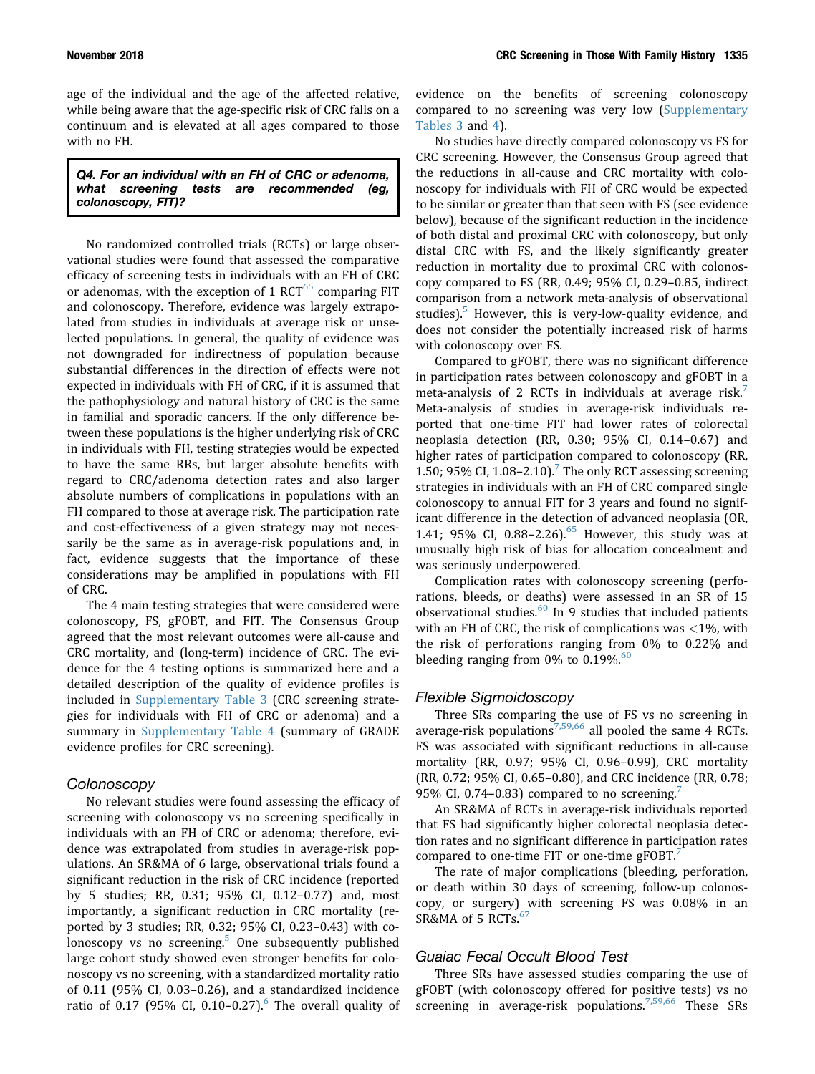age of the individual and the age of the affected relative, while being aware that the age-specific risk of CRC falls on a continuum and is elevated at all ages compared to those with no FH.

Q4. For an individual with an FH of CRC or adenoma, what screening tests are recommended (eg, colonoscopy, FIT)?

No randomized controlled trials (RCTs) or large observational studies were found that assessed the comparative efficacy of screening tests in individuals with an FH of CRC or adenomas, with the exception of 1 RCT $<sup>65</sup>$  $<sup>65</sup>$  $<sup>65</sup>$  comparing FIT</sup> and colonoscopy. Therefore, evidence was largely extrapolated from studies in individuals at average risk or unselected populations. In general, the quality of evidence was not downgraded for indirectness of population because substantial differences in the direction of effects were not expected in individuals with FH of CRC, if it is assumed that the pathophysiology and natural history of CRC is the same in familial and sporadic cancers. If the only difference between these populations is the higher underlying risk of CRC in individuals with FH, testing strategies would be expected to have the same RRs, but larger absolute benefits with regard to CRC/adenoma detection rates and also larger absolute numbers of complications in populations with an FH compared to those at average risk. The participation rate and cost-effectiveness of a given strategy may not necessarily be the same as in average-risk populations and, in fact, evidence suggests that the importance of these considerations may be amplified in populations with FH of CRC.

The 4 main testing strategies that were considered were colonoscopy, FS, gFOBT, and FIT. The Consensus Group agreed that the most relevant outcomes were all-cause and CRC mortality, and (long-term) incidence of CRC. The evidence for the 4 testing options is summarized here and a detailed description of the quality of evidence profiles is included in Supplementary Table 3 (CRC screening strategies for individuals with FH of CRC or adenoma) and a summary in Supplementary Table 4 (summary of GRADE evidence profiles for CRC screening).

#### **Colonoscopy**

No relevant studies were found assessing the efficacy of screening with colonoscopy vs no screening specifically in individuals with an FH of CRC or adenoma; therefore, evidence was extrapolated from studies in average-risk populations. An SR&MA of 6 large, observational trials found a significant reduction in the risk of CRC incidence (reported by 5 studies; RR, 0.31; 95% CI, 0.12–0.77) and, most importantly, a significant reduction in CRC mortality (reported by 3 studies; RR, 0.32; 95% CI, 0.23–0.43) with colonoscopy vs no screening. $5$  One subsequently published large cohort study showed even stronger benefits for colonoscopy vs no screening, with a standardized mortality ratio of 0.11 (95% CI, 0.03–0.26), and a standardized incidence ratio of 0.17 (95% CI, 0.10–0.27).<sup>[6](#page-18-0)</sup> The overall quality of evidence on the benefits of screening colonoscopy compared to no screening was very low (Supplementary Tables 3 and 4).

No studies have directly compared colonoscopy vs FS for CRC screening. However, the Consensus Group agreed that the reductions in all-cause and CRC mortality with colonoscopy for individuals with FH of CRC would be expected to be similar or greater than that seen with FS (see evidence below), because of the significant reduction in the incidence of both distal and proximal CRC with colonoscopy, but only distal CRC with FS, and the likely significantly greater reduction in mortality due to proximal CRC with colonoscopy compared to FS (RR, 0.49; 95% CI, 0.29–0.85, indirect comparison from a network meta-analysis of observational studies).<sup>5</sup> However, this is very-low-quality evidence, and does not consider the potentially increased risk of harms with colonoscopy over FS.

Compared to gFOBT, there was no significant difference in participation rates between colonoscopy and gFOBT in a meta-analysis of 2 RCTs in individuals at average risk. $7$ Meta-analysis of studies in average-risk individuals reported that one-time FIT had lower rates of colorectal neoplasia detection (RR, 0.30; 95% CI, 0.14–0.67) and higher rates of participation compared to colonoscopy (RR, 1.50; 95% CI,  $1.08-2.10$ <sup>[7](#page-18-0)</sup> The only RCT assessing screening strategies in individuals with an FH of CRC compared single colonoscopy to annual FIT for 3 years and found no significant difference in the detection of advanced neoplasia (OR, 1.41; 95% CI, 0.88–2.26).<sup>[65](#page-20-0)</sup> However, this study was at unusually high risk of bias for allocation concealment and was seriously underpowered.

Complication rates with colonoscopy screening (perforations, bleeds, or deaths) were assessed in an SR of 15 observational studies. $60$  In 9 studies that included patients with an FH of CRC, the risk of complications was  $\langle 1\%$ , with the risk of perforations ranging from 0% to 0.22% and bleeding ranging from  $0\%$  to  $0.19\%$ .<sup>[60](#page-20-0)</sup>

#### Flexible Sigmoidoscopy

Three SRs comparing the use of FS vs no screening in average-risk populations<sup>[7,59,66](#page-18-0)</sup> all pooled the same 4 RCTs. FS was associated with significant reductions in all-cause mortality (RR, 0.97; 95% CI, 0.96–0.99), CRC mortality (RR, 0.72; 95% CI, 0.65–0.80), and CRC incidence (RR, 0.78; 95% CI, 0.[7](#page-18-0)4–0.83) compared to no screening.<sup>7</sup>

An SR&MA of RCTs in average-risk individuals reported that FS had significantly higher colorectal neoplasia detection rates and no significant difference in participation rates compared to one-time FIT or one-time gFOBT.<sup>[7](#page-18-0)</sup>

The rate of major complications (bleeding, perforation, or death within 30 days of screening, follow-up colonoscopy, or surgery) with screening FS was 0.08% in an SR&MA of 5 RCTs.<sup>[67](#page-20-0)</sup>

#### Guaiac Fecal Occult Blood Test

Three SRs have assessed studies comparing the use of gFOBT (with colonoscopy offered for positive tests) vs no screening in average-risk populations.<sup>[7,59,66](#page-18-0)</sup> These SRs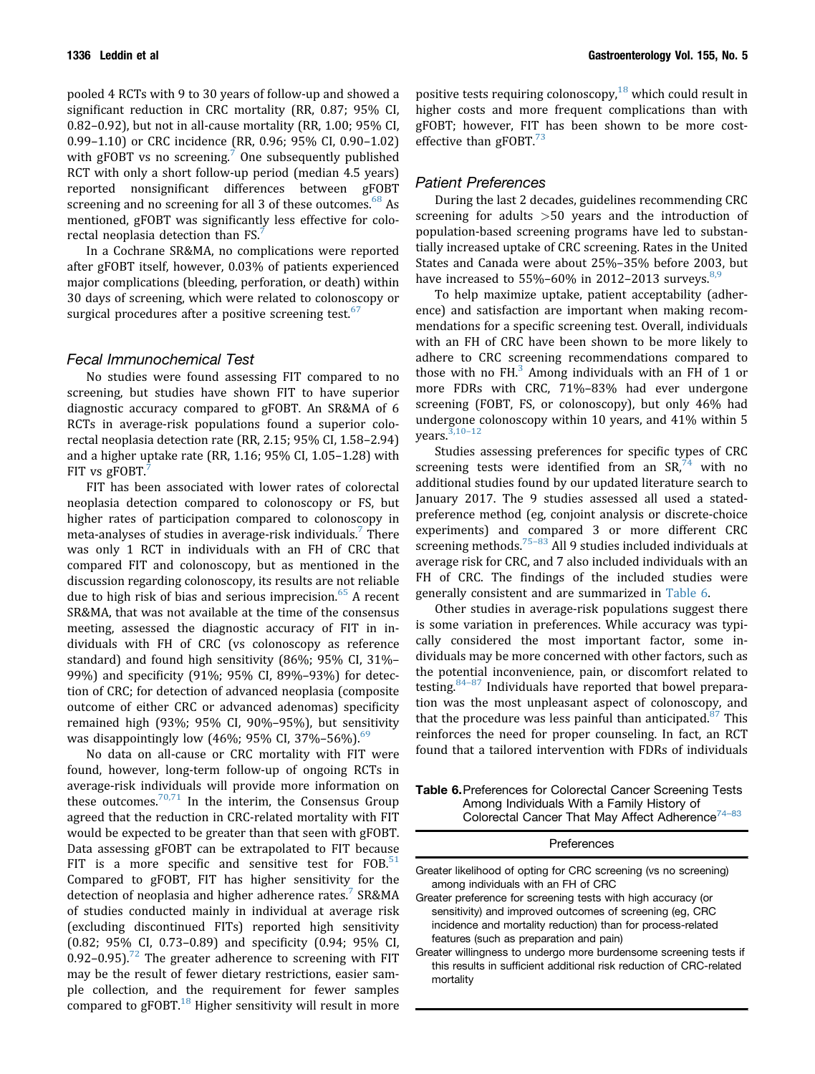pooled 4 RCTs with 9 to 30 years of follow-up and showed a significant reduction in CRC mortality (RR, 0.87; 95% CI, 0.82–0.92), but not in all-cause mortality (RR, 1.00; 95% CI, 0.99–1.10) or CRC incidence (RR, 0.96; 95% CI, 0.90–1.02) with gFOBT vs no screening.<sup>[7](#page-18-0)</sup> One subsequently published RCT with only a short follow-up period (median 4.5 years) reported nonsignificant differences between gFOBT screening and no screening for all 3 of these outcomes.<sup>[68](#page-20-0)</sup> As mentioned, gFOBT was significantly less effective for colorectal neoplasia detection than FS.<sup>7</sup>

In a Cochrane SR&MA, no complications were reported after gFOBT itself, however, 0.03% of patients experienced major complications (bleeding, perforation, or death) within 30 days of screening, which were related to colonoscopy or surgical procedures after a positive screening test. $67$ 

#### Fecal Immunochemical Test

No studies were found assessing FIT compared to no screening, but studies have shown FIT to have superior diagnostic accuracy compared to gFOBT. An SR&MA of 6 RCTs in average-risk populations found a superior colorectal neoplasia detection rate (RR, 2.15; 95% CI, 1.58–2.94) and a higher uptake rate (RR, 1.16; 95% CI, 1.05–1.28) with FIT vs gFOBT.

FIT has been associated with lower rates of colorectal neoplasia detection compared to colonoscopy or FS, but higher rates of participation compared to colonoscopy in meta-analyses of studies in average-risk individuals.<sup>[7](#page-18-0)</sup> There was only 1 RCT in individuals with an FH of CRC that compared FIT and colonoscopy, but as mentioned in the discussion regarding colonoscopy, its results are not reliable due to high risk of bias and serious imprecision.<sup>[65](#page-20-0)</sup> A recent SR&MA, that was not available at the time of the consensus meeting, assessed the diagnostic accuracy of FIT in individuals with FH of CRC (vs colonoscopy as reference standard) and found high sensitivity (86%; 95% CI, 31%– 99%) and specificity (91%; 95% CI, 89%–93%) for detection of CRC; for detection of advanced neoplasia (composite outcome of either CRC or advanced adenomas) specificity remained high (93%; 95% CI, 90%–95%), but sensitivity was disappointingly low  $(46\%; 95\% \text{ CI}, 37\% - 56\%).$ <sup>[69](#page-20-0)</sup>

No data on all-cause or CRC mortality with FIT were found, however, long-term follow-up of ongoing RCTs in average-risk individuals will provide more information on these outcomes. $70,71$  In the interim, the Consensus Group agreed that the reduction in CRC-related mortality with FIT would be expected to be greater than that seen with gFOBT. Data assessing gFOBT can be extrapolated to FIT because FIT is a more specific and sensitive test for  $FOB.<sup>51</sup>$ Compared to gFOBT, FIT has higher sensitivity for the detection of neoplasia and higher adherence rates.<sup>[7](#page-18-0)</sup> SR&MA of studies conducted mainly in individual at average risk (excluding discontinued FITs) reported high sensitivity (0.82; 95% CI, 0.73–0.89) and specificity (0.94; 95% CI, 0.92–0.95).<sup>[72](#page-20-0)</sup> The greater adherence to screening with FIT may be the result of fewer dietary restrictions, easier sample collection, and the requirement for fewer samples compared to gFOBT. $^{18}$  Higher sensitivity will result in more

positive tests requiring colonoscopy,<sup>[18](#page-19-0)</sup> which could result in higher costs and more frequent complications than with gFOBT; however, FIT has been shown to be more costeffective than  $gFOBT$ <sup>[73](#page-20-0)</sup>

#### Patient Preferences

During the last 2 decades, guidelines recommending CRC screening for adults >50 years and the introduction of population-based screening programs have led to substantially increased uptake of CRC screening. Rates in the United States and Canada were about 25%–35% before 2003, but have increased to  $55\% - 60\%$  in 2012–2013 surveys.<sup>[8,9](#page-18-0)</sup>

To help maximize uptake, patient acceptability (adherence) and satisfaction are important when making recommendations for a specific screening test. Overall, individuals with an FH of CRC have been shown to be more likely to adhere to CRC screening recommendations compared to those with no  $FH$ <sup>3</sup>. Among individuals with an FH of 1 or more FDRs with CRC, 71%–83% had ever undergone screening (FOBT, FS, or colonoscopy), but only 46% had undergone colonoscopy within 10 years, and 41% within 5 years. $3,10-12$  $3,10-12$  $3,10-12$ 

Studies assessing preferences for specific types of CRC screening tests were identified from an  $SR<sub>1</sub><sup>74</sup>$  $SR<sub>1</sub><sup>74</sup>$  $SR<sub>1</sub><sup>74</sup>$  with no additional studies found by our updated literature search to January 2017. The 9 studies assessed all used a statedpreference method (eg, conjoint analysis or discrete-choice experiments) and compared 3 or more different CRC screening methods.<sup>[75](#page-21-0)–[83](#page-21-0)</sup> All 9 studies included individuals at average risk for CRC, and 7 also included individuals with an FH of CRC. The findings of the included studies were generally consistent and are summarized in Table 6.

Other studies in average-risk populations suggest there is some variation in preferences. While accuracy was typically considered the most important factor, some individuals may be more concerned with other factors, such as the potential inconvenience, pain, or discomfort related to testing. $84-87$  $84-87$  $84-87$  Individuals have reported that bowel preparation was the most unpleasant aspect of colonoscopy, and that the procedure was less painful than anticipated.<sup>[87](#page-21-0)</sup> This reinforces the need for proper counseling. In fact, an RCT found that a tailored intervention with FDRs of individuals

Table 6.Preferences for Colorectal Cancer Screening Tests Among Individuals With a Family History of Colorectal Cancer That May Affect Adherence<sup>[74](#page-21-0)–[83](#page-21-0)</sup>

| Preferences |  |
|-------------|--|
|             |  |

Greater likelihood of opting for CRC screening (vs no screening) among individuals with an FH of CRC

Greater preference for screening tests with high accuracy (or sensitivity) and improved outcomes of screening (eg, CRC incidence and mortality reduction) than for process-related features (such as preparation and pain)

Greater willingness to undergo more burdensome screening tests if this results in sufficient additional risk reduction of CRC-related mortality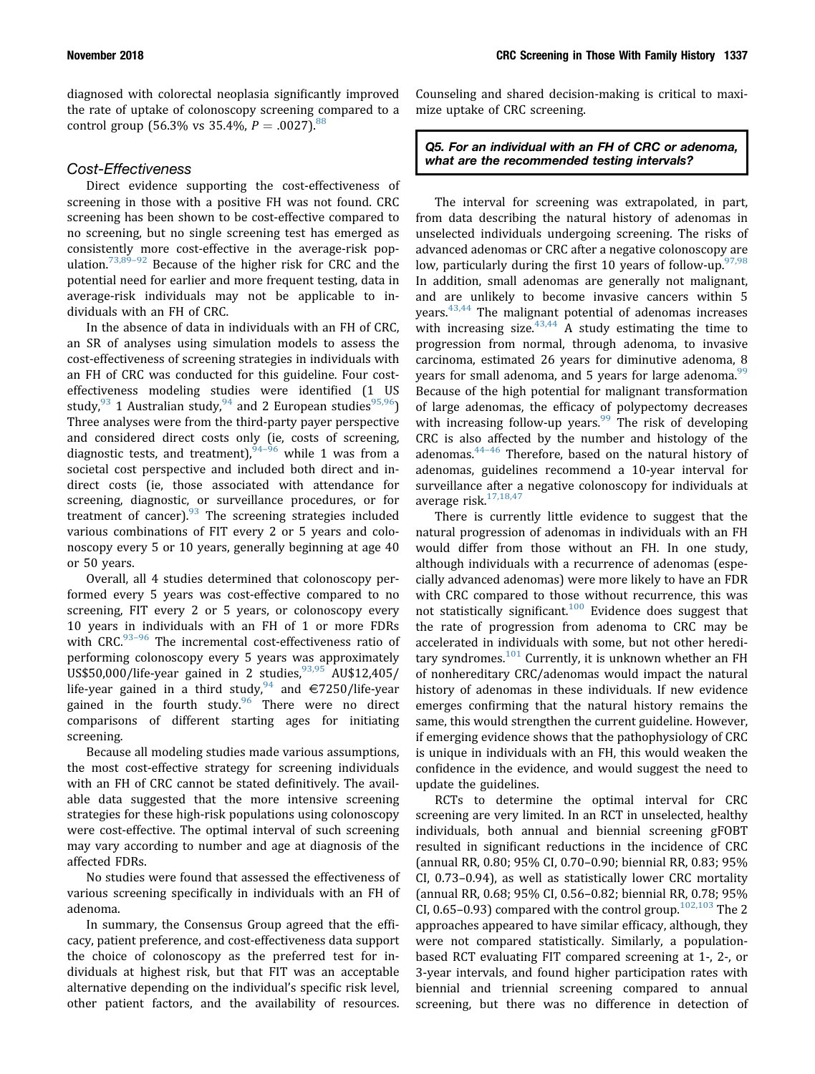diagnosed with colorectal neoplasia significantly improved the rate of uptake of colonoscopy screening compared to a control group (56.3% vs 35.4%,  $P = .0027$ ).<sup>[88](#page-21-0)</sup>

#### Cost-Effectiveness

Direct evidence supporting the cost-effectiveness of screening in those with a positive FH was not found. CRC screening has been shown to be cost-effective compared to no screening, but no single screening test has emerged as consistently more cost-effective in the average-risk pop-ulation.<sup>[73,89](#page-20-0)–[92](#page-20-0)</sup> Because of the higher risk for CRC and the potential need for earlier and more frequent testing, data in average-risk individuals may not be applicable to individuals with an FH of CRC.

In the absence of data in individuals with an FH of CRC, an SR of analyses using simulation models to assess the cost-effectiveness of screening strategies in individuals with an FH of CRC was conducted for this guideline. Four costeffectiveness modeling studies were identified (1 US study,  $93$  1 Australian study,  $94$  and 2 European studies  $95,96$ ) Three analyses were from the third-party payer perspective and considered direct costs only (ie, costs of screening, diagnostic tests, and treatment),  $94-96$  $94-96$  $94-96$  while 1 was from a societal cost perspective and included both direct and indirect costs (ie, those associated with attendance for screening, diagnostic, or surveillance procedures, or for treatment of cancer). The screening strategies included various combinations of FIT every 2 or 5 years and colonoscopy every 5 or 10 years, generally beginning at age 40 or 50 years.

Overall, all 4 studies determined that colonoscopy performed every 5 years was cost-effective compared to no screening, FIT every 2 or 5 years, or colonoscopy every 10 years in individuals with an FH of 1 or more FDRs with CRC. $93-96$  $93-96$  $93-96$  The incremental cost-effectiveness ratio of performing colonoscopy every 5 years was approximately US\$50,000/life-year gained in 2 studies,  $93,95$  AU\$12,405/ life-year gained in a third study,  $94$  and  $\epsilon$ 7250/life-year gained in the fourth study.<sup>[96](#page-21-0)</sup> There were no direct comparisons of different starting ages for initiating screening.

Because all modeling studies made various assumptions, the most cost-effective strategy for screening individuals with an FH of CRC cannot be stated definitively. The available data suggested that the more intensive screening strategies for these high-risk populations using colonoscopy were cost-effective. The optimal interval of such screening may vary according to number and age at diagnosis of the affected FDRs.

No studies were found that assessed the effectiveness of various screening specifically in individuals with an FH of adenoma.

In summary, the Consensus Group agreed that the efficacy, patient preference, and cost-effectiveness data support the choice of colonoscopy as the preferred test for individuals at highest risk, but that FIT was an acceptable alternative depending on the individual's specific risk level, other patient factors, and the availability of resources. Counseling and shared decision-making is critical to maximize uptake of CRC screening.

Q5. For an individual with an FH of CRC or adenoma, what are the recommended testing intervals?

The interval for screening was extrapolated, in part, from data describing the natural history of adenomas in unselected individuals undergoing screening. The risks of advanced adenomas or CRC after a negative colonoscopy are low, particularly during the first 10 years of follow-up.  $97,98$ In addition, small adenomas are generally not malignant, and are unlikely to become invasive cancers within 5 years.<sup>[43,44](#page-20-0)</sup> The malignant potential of adenomas increases with increasing size.  $43,44$  A study estimating the time to progression from normal, through adenoma, to invasive carcinoma, estimated 26 years for diminutive adenoma, 8 years for small adenoma, and 5 years for large adenoma.<sup>99</sup> Because of the high potential for malignant transformation of large adenomas, the efficacy of polypectomy decreases with increasing follow-up years.<sup>99</sup> The risk of developing CRC is also affected by the number and histology of the adenomas.<sup>[44](#page-20-0)–[46](#page-20-0)</sup> Therefore, based on the natural history of adenomas, guidelines recommend a 10-year interval for surveillance after a negative colonoscopy for individuals at average risk.<sup>[17,18,47](#page-19-0)</sup>

There is currently little evidence to suggest that the natural progression of adenomas in individuals with an FH would differ from those without an FH. In one study, although individuals with a recurrence of adenomas (especially advanced adenomas) were more likely to have an FDR with CRC compared to those without recurrence, this was not statistically significant.<sup>[100](#page-21-0)</sup> Evidence does suggest that the rate of progression from adenoma to CRC may be accelerated in individuals with some, but not other hereditary syndromes. $101$  Currently, it is unknown whether an FH of nonhereditary CRC/adenomas would impact the natural history of adenomas in these individuals. If new evidence emerges confirming that the natural history remains the same, this would strengthen the current guideline. However, if emerging evidence shows that the pathophysiology of CRC is unique in individuals with an FH, this would weaken the confidence in the evidence, and would suggest the need to update the guidelines.

RCTs to determine the optimal interval for CRC screening are very limited. In an RCT in unselected, healthy individuals, both annual and biennial screening gFOBT resulted in significant reductions in the incidence of CRC (annual RR, 0.80; 95% CI, 0.70–0.90; biennial RR, 0.83; 95% CI, 0.73–0.94), as well as statistically lower CRC mortality (annual RR, 0.68; 95% CI, 0.56–0.82; biennial RR, 0.78; 95% CI, 0.65–0.93) compared with the control group.<sup>[102,103](#page-21-0)</sup> The 2 approaches appeared to have similar efficacy, although, they were not compared statistically. Similarly, a populationbased RCT evaluating FIT compared screening at 1-, 2-, or 3-year intervals, and found higher participation rates with biennial and triennial screening compared to annual screening, but there was no difference in detection of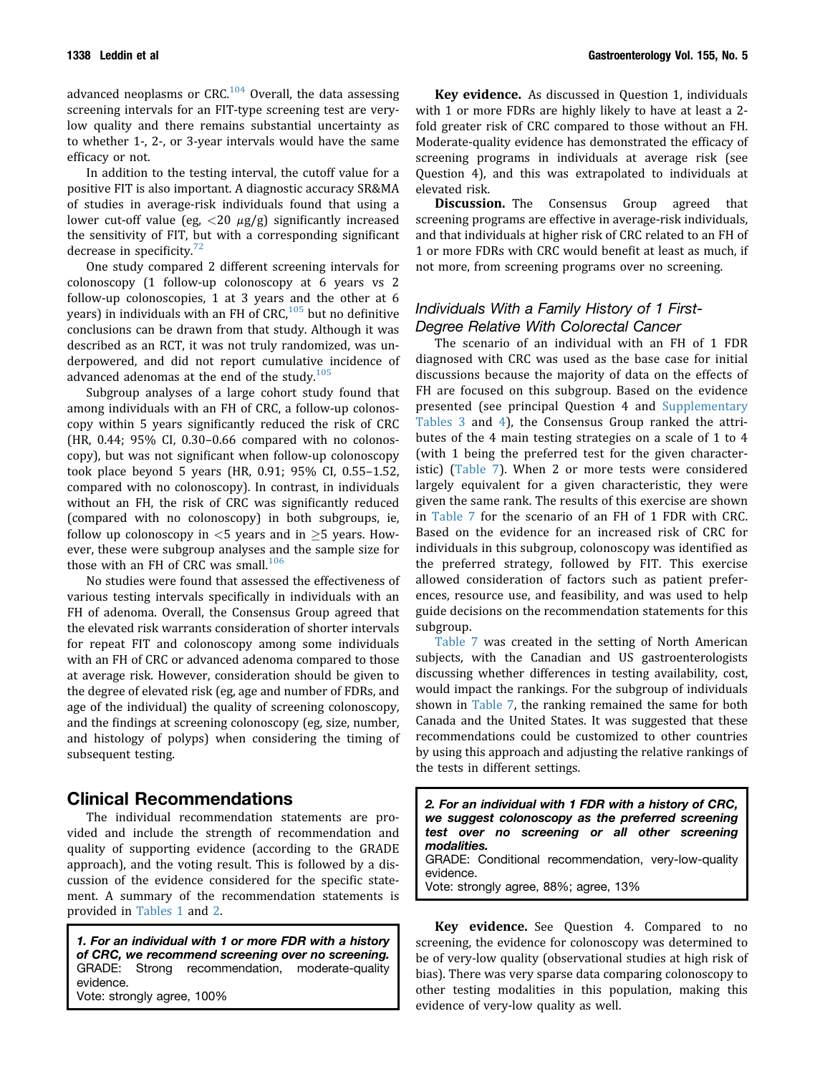advanced neoplasms or  $CRC.<sup>104</sup>$  Overall, the data assessing screening intervals for an FIT-type screening test are verylow quality and there remains substantial uncertainty as to whether 1-, 2-, or 3-year intervals would have the same efficacy or not.

In addition to the testing interval, the cutoff value for a positive FIT is also important. A diagnostic accuracy SR&MA of studies in average-risk individuals found that using a lower cut-off value (eg,  $\langle 20 \mu g/g \rangle$  significantly increased the sensitivity of FIT, but with a corresponding significant decrease in specificity. $72$ 

One study compared 2 different screening intervals for colonoscopy (1 follow-up colonoscopy at 6 years vs 2 follow-up colonoscopies, 1 at 3 years and the other at 6 years) in individuals with an FH of  $CRC<sub>105</sub>$  $CRC<sub>105</sub>$  $CRC<sub>105</sub>$  but no definitive conclusions can be drawn from that study. Although it was described as an RCT, it was not truly randomized, was underpowered, and did not report cumulative incidence of advanced adenomas at the end of the study. $105$ 

Subgroup analyses of a large cohort study found that among individuals with an FH of CRC, a follow-up colonoscopy within 5 years significantly reduced the risk of CRC (HR, 0.44; 95% CI, 0.30–0.66 compared with no colonoscopy), but was not significant when follow-up colonoscopy took place beyond 5 years (HR, 0.91; 95% CI, 0.55–1.52, compared with no colonoscopy). In contrast, in individuals without an FH, the risk of CRC was significantly reduced (compared with no colonoscopy) in both subgroups, ie, follow up colonoscopy in  $<$  5 years and in  $\geq$  5 years. However, these were subgroup analyses and the sample size for those with an FH of CRC was small  $106$ 

No studies were found that assessed the effectiveness of various testing intervals specifically in individuals with an FH of adenoma. Overall, the Consensus Group agreed that the elevated risk warrants consideration of shorter intervals for repeat FIT and colonoscopy among some individuals with an FH of CRC or advanced adenoma compared to those at average risk. However, consideration should be given to the degree of elevated risk (eg, age and number of FDRs, and age of the individual) the quality of screening colonoscopy, and the findings at screening colonoscopy (eg, size, number, and histology of polyps) when considering the timing of subsequent testing.

## Clinical Recommendations

The individual recommendation statements are provided and include the strength of recommendation and quality of supporting evidence (according to the GRADE approach), and the voting result. This is followed by a discussion of the evidence considered for the specific statement. A summary of the recommendation statements is provided in [Tables 1](#page-2-0) and [2](#page-4-0).

1. For an individual with 1 or more FDR with a history of CRC, we recommend screening over no screening. GRADE: Strong recommendation, moderate-quality evidence. Vote: strongly agree, 100%

Key evidence. As discussed in Question 1, individuals with 1 or more FDRs are highly likely to have at least a 2 fold greater risk of CRC compared to those without an FH. Moderate-quality evidence has demonstrated the efficacy of screening programs in individuals at average risk (see Question 4), and this was extrapolated to individuals at elevated risk.

**Discussion.** The Consensus Group agreed that screening programs are effective in average-risk individuals, and that individuals at higher risk of CRC related to an FH of 1 or more FDRs with CRC would benefit at least as much, if not more, from screening programs over no screening.

## Individuals With a Family History of 1 First-Degree Relative With Colorectal Cancer

The scenario of an individual with an FH of 1 FDR diagnosed with CRC was used as the base case for initial discussions because the majority of data on the effects of FH are focused on this subgroup. Based on the evidence presented (see principal Question 4 and Supplementary Tables 3 and 4), the Consensus Group ranked the attributes of the 4 main testing strategies on a scale of 1 to 4 (with 1 being the preferred test for the given characteristic) ([Table 7](#page-14-0)). When 2 or more tests were considered largely equivalent for a given characteristic, they were given the same rank. The results of this exercise are shown in [Table 7](#page-14-0) for the scenario of an FH of 1 FDR with CRC. Based on the evidence for an increased risk of CRC for individuals in this subgroup, colonoscopy was identified as the preferred strategy, followed by FIT. This exercise allowed consideration of factors such as patient preferences, resource use, and feasibility, and was used to help guide decisions on the recommendation statements for this subgroup.

[Table 7](#page-14-0) was created in the setting of North American subjects, with the Canadian and US gastroenterologists discussing whether differences in testing availability, cost, would impact the rankings. For the subgroup of individuals shown in [Table 7,](#page-14-0) the ranking remained the same for both Canada and the United States. It was suggested that these recommendations could be customized to other countries by using this approach and adjusting the relative rankings of the tests in different settings.

2. For an individual with 1 FDR with a history of CRC, we suggest colonoscopy as the preferred screening test over no screening or all other screening modalities. GRADE: Conditional recommendation, very-low-quality evidence. Vote: strongly agree, 88%; agree, 13%

Key evidence. See Question 4. Compared to no screening, the evidence for colonoscopy was determined to be of very-low quality (observational studies at high risk of bias). There was very sparse data comparing colonoscopy to other testing modalities in this population, making this evidence of very-low quality as well.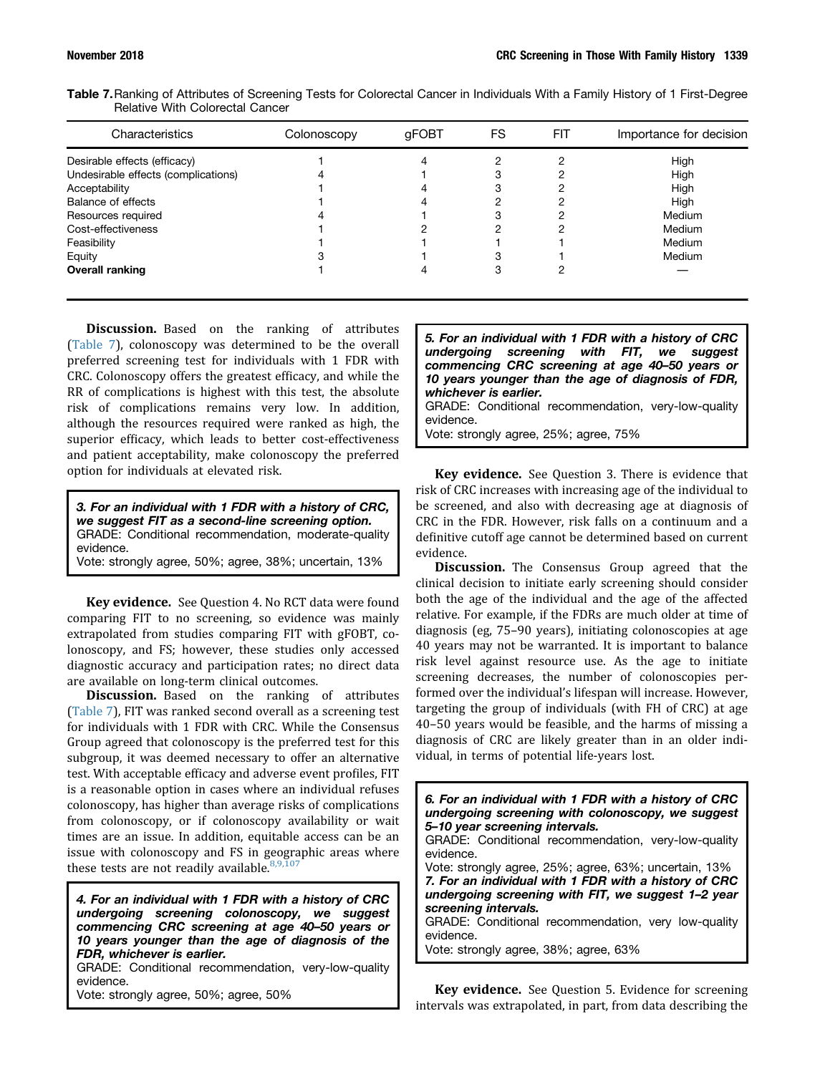| Characteristics                     | Colonoscopy | gFOBT | FS | <b>FIT</b> | Importance for decision |
|-------------------------------------|-------------|-------|----|------------|-------------------------|
| Desirable effects (efficacy)        |             |       |    |            | High                    |
| Undesirable effects (complications) |             |       |    |            | High                    |
| Acceptability                       |             |       |    |            | High                    |
| Balance of effects                  |             |       |    |            | High                    |
| Resources required                  |             |       |    |            | Medium                  |
| Cost-effectiveness                  |             |       |    |            | Medium                  |
| Feasibility                         |             |       |    |            | Medium                  |
| Equity                              |             |       |    |            | Medium                  |
| <b>Overall ranking</b>              |             |       |    |            |                         |

<span id="page-14-0"></span>Table 7.Ranking of Attributes of Screening Tests for Colorectal Cancer in Individuals With a Family History of 1 First-Degree Relative With Colorectal Cancer

Discussion. Based on the ranking of attributes (Table 7), colonoscopy was determined to be the overall preferred screening test for individuals with 1 FDR with CRC. Colonoscopy offers the greatest efficacy, and while the RR of complications is highest with this test, the absolute risk of complications remains very low. In addition, although the resources required were ranked as high, the superior efficacy, which leads to better cost-effectiveness and patient acceptability, make colonoscopy the preferred option for individuals at elevated risk.

3. For an individual with 1 FDR with a history of CRC, we suggest FIT as a second-line screening option. GRADE: Conditional recommendation, moderate-quality evidence. Vote: strongly agree, 50%; agree, 38%; uncertain, 13%

Key evidence. See Question 4. No RCT data were found comparing FIT to no screening, so evidence was mainly extrapolated from studies comparing FIT with gFOBT, colonoscopy, and FS; however, these studies only accessed diagnostic accuracy and participation rates; no direct data are available on long-term clinical outcomes.

Discussion. Based on the ranking of attributes (Table 7), FIT was ranked second overall as a screening test for individuals with 1 FDR with CRC. While the Consensus Group agreed that colonoscopy is the preferred test for this subgroup, it was deemed necessary to offer an alternative test. With acceptable efficacy and adverse event profiles, FIT is a reasonable option in cases where an individual refuses colonoscopy, has higher than average risks of complications from colonoscopy, or if colonoscopy availability or wait times are an issue. In addition, equitable access can be an issue with colonoscopy and FS in geographic areas where these tests are not readily available.<sup>[8,9,107](#page-18-0)</sup>

4. For an individual with 1 FDR with a history of CRC undergoing screening colonoscopy, we suggest commencing CRC screening at age 40–50 years or 10 years younger than the age of diagnosis of the FDR, whichever is earlier.

GRADE: Conditional recommendation, very-low-quality evidence.

Vote: strongly agree, 50%; agree, 50%

| 5. For an individual with 1 FDR with a history of CRC<br>undergoing screening with FIT, we suggest<br>commencing CRC screening at age 40-50 years or<br>10 years younger than the age of diagnosis of FDR,<br>whichever is earlier. |
|-------------------------------------------------------------------------------------------------------------------------------------------------------------------------------------------------------------------------------------|
| GRADE: Conditional recommendation, very-low-quality<br>evidence.<br>Vote: strongly agree, 25%; agree, 75%                                                                                                                           |

Key evidence. See Question 3. There is evidence that risk of CRC increases with increasing age of the individual to be screened, and also with decreasing age at diagnosis of CRC in the FDR. However, risk falls on a continuum and a definitive cutoff age cannot be determined based on current evidence.

**Discussion.** The Consensus Group agreed that the clinical decision to initiate early screening should consider both the age of the individual and the age of the affected relative. For example, if the FDRs are much older at time of diagnosis (eg, 75–90 years), initiating colonoscopies at age 40 years may not be warranted. It is important to balance risk level against resource use. As the age to initiate screening decreases, the number of colonoscopies performed over the individual's lifespan will increase. However, targeting the group of individuals (with FH of CRC) at age 40–50 years would be feasible, and the harms of missing a diagnosis of CRC are likely greater than in an older individual, in terms of potential life-years lost.

| undergoing screening with colonoscopy, we suggest<br>5-10 year screening intervals.<br>GRADE: Conditional recommendation, very-low-quality<br>evidence.<br>Vote: strongly agree, 25%; agree, 63%; uncertain, 13%<br>7. For an individual with 1 FDR with a history of CRC<br>undergoing screening with FIT, we suggest 1–2 year<br>screening intervals.<br>GRADE: Conditional recommendation, very low-quality<br>evidence.<br>Vote: strongly agree, 38%; agree, 63% |
|----------------------------------------------------------------------------------------------------------------------------------------------------------------------------------------------------------------------------------------------------------------------------------------------------------------------------------------------------------------------------------------------------------------------------------------------------------------------|
|----------------------------------------------------------------------------------------------------------------------------------------------------------------------------------------------------------------------------------------------------------------------------------------------------------------------------------------------------------------------------------------------------------------------------------------------------------------------|

Key evidence. See Question 5. Evidence for screening intervals was extrapolated, in part, from data describing the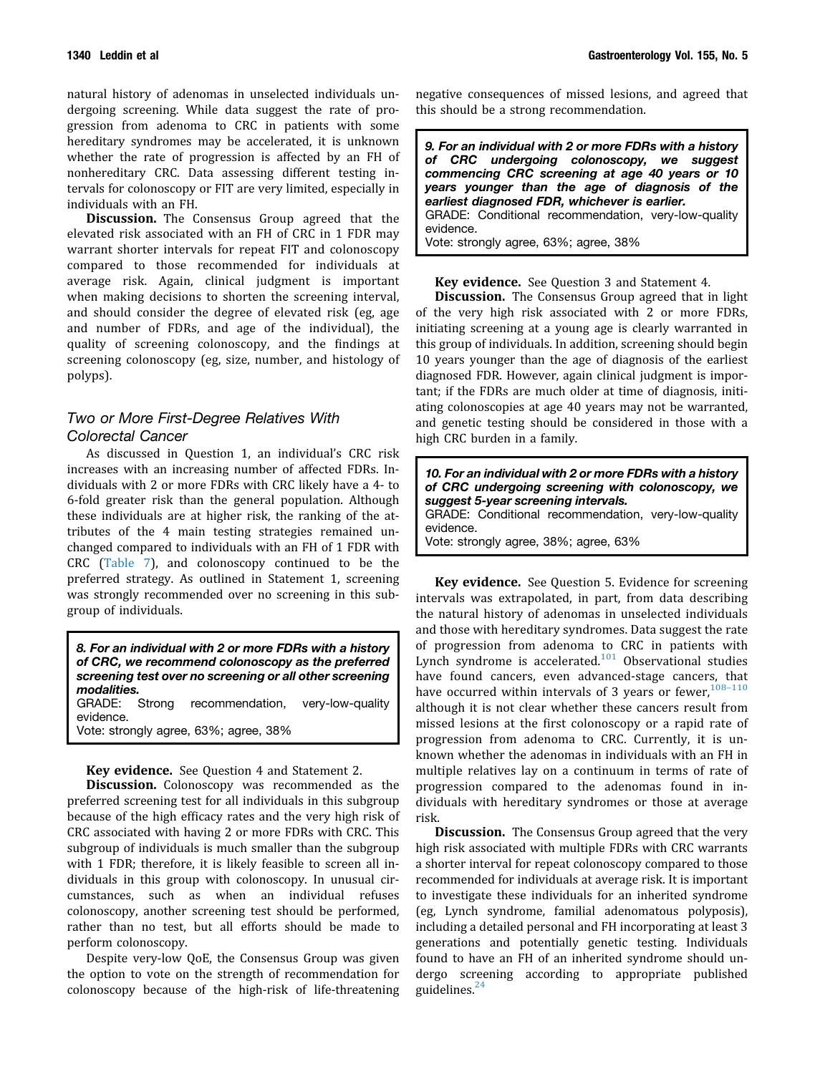1340 Leddin et al Gastroenterology Vol. 155, No. 5

natural history of adenomas in unselected individuals undergoing screening. While data suggest the rate of progression from adenoma to CRC in patients with some hereditary syndromes may be accelerated, it is unknown whether the rate of progression is affected by an FH of nonhereditary CRC. Data assessing different testing intervals for colonoscopy or FIT are very limited, especially in individuals with an FH.

Discussion. The Consensus Group agreed that the elevated risk associated with an FH of CRC in 1 FDR may warrant shorter intervals for repeat FIT and colonoscopy compared to those recommended for individuals at average risk. Again, clinical judgment is important when making decisions to shorten the screening interval, and should consider the degree of elevated risk (eg, age and number of FDRs, and age of the individual), the quality of screening colonoscopy, and the findings at screening colonoscopy (eg, size, number, and histology of polyps).

## Two or More First-Degree Relatives With Colorectal Cancer

As discussed in Question 1, an individual's CRC risk increases with an increasing number of affected FDRs. Individuals with 2 or more FDRs with CRC likely have a 4- to 6-fold greater risk than the general population. Although these individuals are at higher risk, the ranking of the attributes of the 4 main testing strategies remained unchanged compared to individuals with an FH of 1 FDR with CRC ([Table 7\)](#page-14-0), and colonoscopy continued to be the preferred strategy. As outlined in Statement 1, screening was strongly recommended over no screening in this subgroup of individuals.

8. For an individual with 2 or more FDRs with a history of CRC, we recommend colonoscopy as the preferred screening test over no screening or all other screening modalities. GRADE: Strong recommendation, very-low-quality evidence. Vote: strongly agree, 63%; agree, 38%

#### Key evidence. See Question 4 and Statement 2.

Discussion. Colonoscopy was recommended as the preferred screening test for all individuals in this subgroup because of the high efficacy rates and the very high risk of CRC associated with having 2 or more FDRs with CRC. This subgroup of individuals is much smaller than the subgroup with 1 FDR; therefore, it is likely feasible to screen all individuals in this group with colonoscopy. In unusual circumstances, such as when an individual refuses colonoscopy, another screening test should be performed, rather than no test, but all efforts should be made to perform colonoscopy.

Despite very-low QoE, the Consensus Group was given the option to vote on the strength of recommendation for colonoscopy because of the high-risk of life-threatening negative consequences of missed lesions, and agreed that this should be a strong recommendation.

9. For an individual with 2 or more FDRs with a history of CRC undergoing colonoscopy, we suggest commencing CRC screening at age 40 years or 10 years younger than the age of diagnosis of the earliest diagnosed FDR, whichever is earlier. GRADE: Conditional recommendation, very-low-quality evidence. Vote: strongly agree, 63%; agree, 38%

Key evidence. See Question 3 and Statement 4.

Discussion. The Consensus Group agreed that in light of the very high risk associated with 2 or more FDRs, initiating screening at a young age is clearly warranted in this group of individuals. In addition, screening should begin 10 years younger than the age of diagnosis of the earliest diagnosed FDR. However, again clinical judgment is important; if the FDRs are much older at time of diagnosis, initiating colonoscopies at age 40 years may not be warranted, and genetic testing should be considered in those with a high CRC burden in a family.

## 10. For an individual with 2 or more FDRs with a history of CRC undergoing screening with colonoscopy, we suggest 5-year screening intervals.

GRADE: Conditional recommendation, very-low-quality evidence.

Vote: strongly agree, 38%; agree, 63%

Key evidence. See Question 5. Evidence for screening intervals was extrapolated, in part, from data describing the natural history of adenomas in unselected individuals and those with hereditary syndromes. Data suggest the rate of progression from adenoma to CRC in patients with Lynch syndrome is accelerated. $101$  Observational studies have found cancers, even advanced-stage cancers, that have occurred within intervals of 3 years or fewer,  $108-110$  $108-110$  $108-110$ although it is not clear whether these cancers result from missed lesions at the first colonoscopy or a rapid rate of progression from adenoma to CRC. Currently, it is unknown whether the adenomas in individuals with an FH in multiple relatives lay on a continuum in terms of rate of progression compared to the adenomas found in individuals with hereditary syndromes or those at average risk.

**Discussion.** The Consensus Group agreed that the very high risk associated with multiple FDRs with CRC warrants a shorter interval for repeat colonoscopy compared to those recommended for individuals at average risk. It is important to investigate these individuals for an inherited syndrome (eg, Lynch syndrome, familial adenomatous polyposis), including a detailed personal and FH incorporating at least 3 generations and potentially genetic testing. Individuals found to have an FH of an inherited syndrome should undergo screening according to appropriate published guidelines.[24](#page-19-0)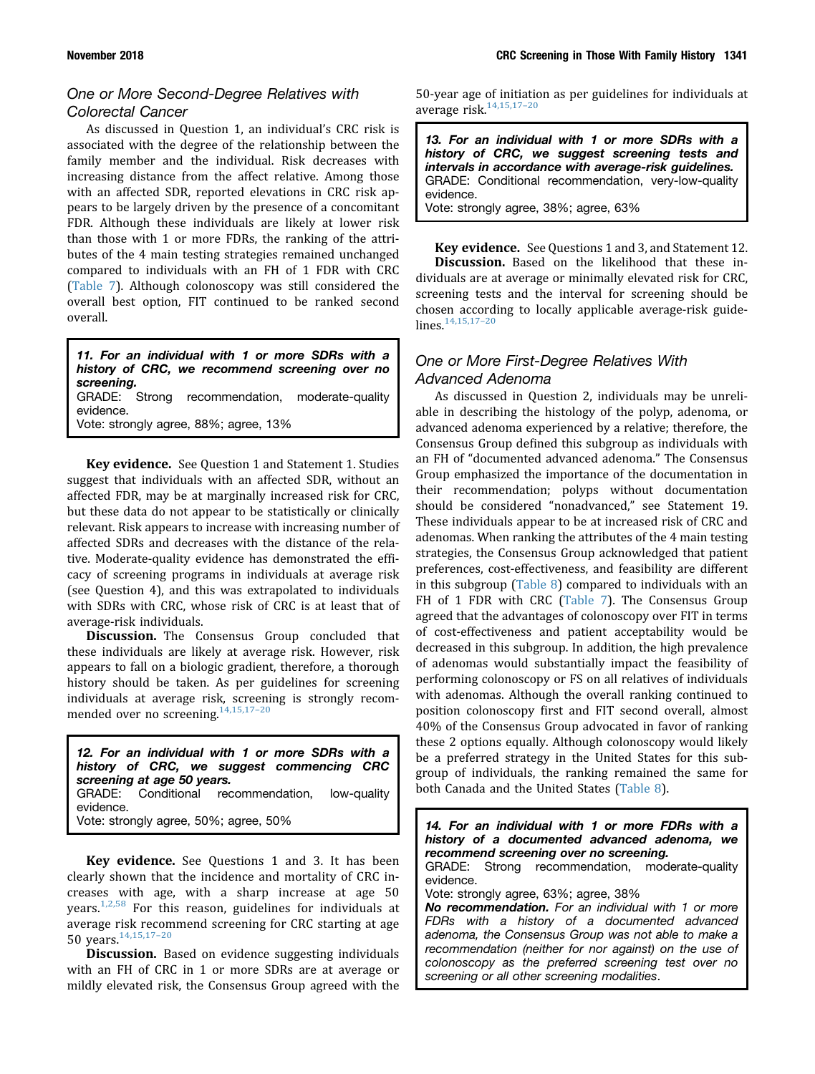## One or More Second-Degree Relatives with Colorectal Cancer

As discussed in Question 1, an individual's CRC risk is associated with the degree of the relationship between the family member and the individual. Risk decreases with increasing distance from the affect relative. Among those with an affected SDR, reported elevations in CRC risk appears to be largely driven by the presence of a concomitant FDR. Although these individuals are likely at lower risk than those with 1 or more FDRs, the ranking of the attributes of the 4 main testing strategies remained unchanged compared to individuals with an FH of 1 FDR with CRC [\(Table 7](#page-14-0)). Although colonoscopy was still considered the overall best option, FIT continued to be ranked second overall.

11. For an individual with 1 or more SDRs with a history of CRC, we recommend screening over no screening. GRADE: Strong recommendation, moderate-quality evidence.

Vote: strongly agree, 88%; agree, 13%

**Key evidence.** See Question 1 and Statement 1. Studies suggest that individuals with an affected SDR, without an affected FDR, may be at marginally increased risk for CRC, but these data do not appear to be statistically or clinically relevant. Risk appears to increase with increasing number of affected SDRs and decreases with the distance of the relative. Moderate-quality evidence has demonstrated the efficacy of screening programs in individuals at average risk (see Question 4), and this was extrapolated to individuals with SDRs with CRC, whose risk of CRC is at least that of average-risk individuals.

Discussion. The Consensus Group concluded that these individuals are likely at average risk. However, risk appears to fall on a biologic gradient, therefore, a thorough history should be taken. As per guidelines for screening individuals at average risk, screening is strongly recom-mended over no screening.<sup>[14,15,17](#page-19-0)-[20](#page-19-0)</sup>

12. For an individual with 1 or more SDRs with a history of CRC, we suggest commencing CRC screening at age 50 years. GRADE: Conditional recommendation, low-quality evidence. Vote: strongly agree, 50%; agree, 50%

Key evidence. See Questions 1 and 3. It has been clearly shown that the incidence and mortality of CRC increases with age, with a sharp increase at age 50 years. $1,2,58$  For this reason, guidelines for individuals at average risk recommend screening for CRC starting at age 50 years.<sup>[14,15,17](#page-19-0)-[20](#page-19-0)</sup>

**Discussion.** Based on evidence suggesting individuals with an FH of CRC in 1 or more SDRs are at average or mildly elevated risk, the Consensus Group agreed with the 50-year age of initiation as per guidelines for individuals at average risk. $14,15,17-20$  $14,15,17-20$  $14,15,17-20$ 

13. For an individual with 1 or more SDRs with a history of CRC, we suggest screening tests and intervals in accordance with average-risk guidelines. GRADE: Conditional recommendation, very-low-quality evidence. Vote: strongly agree, 38%; agree, 63%

Key evidence. See Questions 1 and 3, and Statement 12. Discussion. Based on the likelihood that these individuals are at average or minimally elevated risk for CRC, screening tests and the interval for screening should be chosen according to locally applicable average-risk guidelines.[14,15,17](#page-19-0)–[20](#page-19-0)

## One or More First-Degree Relatives With Advanced Adenoma

As discussed in Question 2, individuals may be unreliable in describing the histology of the polyp, adenoma, or advanced adenoma experienced by a relative; therefore, the Consensus Group defined this subgroup as individuals with an FH of "documented advanced adenoma." The Consensus Group emphasized the importance of the documentation in their recommendation; polyps without documentation should be considered "nonadvanced," see Statement 19. These individuals appear to be at increased risk of CRC and adenomas. When ranking the attributes of the 4 main testing strategies, the Consensus Group acknowledged that patient preferences, cost-effectiveness, and feasibility are different in this subgroup [\(Table 8](#page-17-0)) compared to individuals with an FH of 1 FDR with CRC ([Table 7\)](#page-14-0). The Consensus Group agreed that the advantages of colonoscopy over FIT in terms of cost-effectiveness and patient acceptability would be decreased in this subgroup. In addition, the high prevalence of adenomas would substantially impact the feasibility of performing colonoscopy or FS on all relatives of individuals with adenomas. Although the overall ranking continued to position colonoscopy first and FIT second overall, almost 40% of the Consensus Group advocated in favor of ranking these 2 options equally. Although colonoscopy would likely be a preferred strategy in the United States for this subgroup of individuals, the ranking remained the same for both Canada and the United States ([Table 8](#page-17-0)).

14. For an individual with 1 or more FDRs with a history of a documented advanced adenoma, we recommend screening over no screening. GRADE: Strong recommendation, moderate-quality evidence. Vote: strongly agree, 63%; agree, 38% No recommendation. For an individual with 1 or more

FDRs with a history of a documented advanced adenoma, the Consensus Group was not able to make a recommendation (neither for nor against) on the use of colonoscopy as the preferred screening test over no screening or all other screening modalities.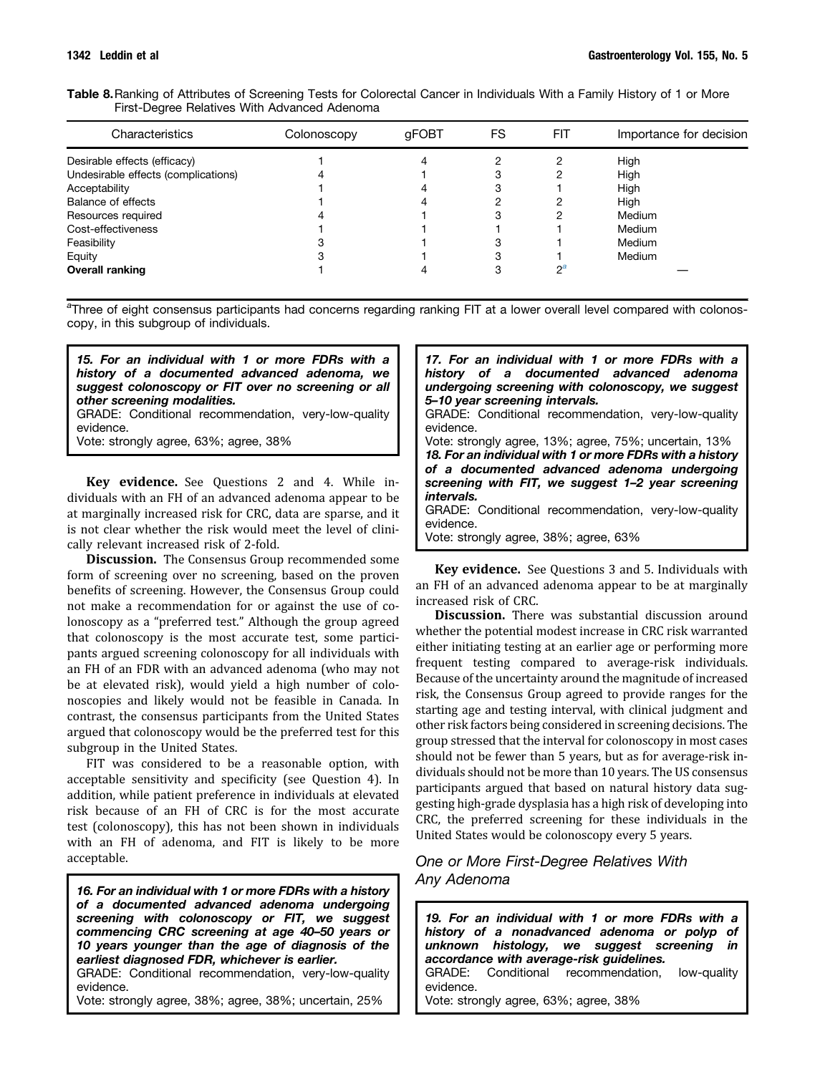<span id="page-17-0"></span>

| Table 8. Ranking of Attributes of Screening Tests for Colorectal Cancer in Individuals With a Family History of 1 or More |                                              |  |  |  |  |  |
|---------------------------------------------------------------------------------------------------------------------------|----------------------------------------------|--|--|--|--|--|
|                                                                                                                           | First-Degree Relatives With Advanced Adenoma |  |  |  |  |  |

| Characteristics                     | Colonoscopy | qFOBT | FS | <b>FIT</b> | Importance for decision |
|-------------------------------------|-------------|-------|----|------------|-------------------------|
| Desirable effects (efficacy)        |             |       |    |            | High                    |
| Undesirable effects (complications) |             |       |    |            | High                    |
| Acceptability                       |             |       |    |            | High                    |
| Balance of effects                  |             |       |    |            | High                    |
| Resources required                  |             |       |    |            | Medium                  |
| Cost-effectiveness                  |             |       |    |            | <b>Medium</b>           |
| Feasibility                         |             |       |    |            | Medium                  |
| Equity                              |             |       |    |            | <b>Medium</b>           |
| <b>Overall ranking</b>              |             |       |    | $2^a$      |                         |

<sup>a</sup>Three of eight consensus participants had concerns regarding ranking FIT at a lower overall level compared with colonoscopy, in this subgroup of individuals.

15. For an individual with 1 or more FDRs with a history of a documented advanced adenoma, we suggest colonoscopy or FIT over no screening or all other screening modalities. GRADE: Conditional recommendation, very-low-quality evidence. Vote: strongly agree, 63%; agree, 38% Key evidence. See Questions 2 and 4. While individuals with an FH of an advanced adenoma appear to be at marginally increased risk for CRC, data are sparse, and it is not clear whether the risk would meet the level of clini-17. For an individual with 1 or more FDRs with a history of a documented advanced adenoma undergoing screening with colonoscopy, we suggest 5–10 year screening intervals. GRADE: Conditional recommendation, very-low-quality evidence. Vote: strongly agree, 13%; agree, 75%; uncertain, 13% 18. For an individual with 1 or more FDRs with a history of a documented advanced adenoma undergoing screening with FIT, we suggest 1–2 year screening intervals. GRADE: Conditional recommendation, very-low-quality evidence.

Vote: strongly agree, 38%; agree, 63%

Discussion. The Consensus Group recommended some form of screening over no screening, based on the proven benefits of screening. However, the Consensus Group could not make a recommendation for or against the use of colonoscopy as a "preferred test." Although the group agreed that colonoscopy is the most accurate test, some participants argued screening colonoscopy for all individuals with an FH of an FDR with an advanced adenoma (who may not be at elevated risk), would yield a high number of colonoscopies and likely would not be feasible in Canada. In contrast, the consensus participants from the United States argued that colonoscopy would be the preferred test for this subgroup in the United States.

cally relevant increased risk of 2-fold.

FIT was considered to be a reasonable option, with acceptable sensitivity and specificity (see Question 4). In addition, while patient preference in individuals at elevated risk because of an FH of CRC is for the most accurate test (colonoscopy), this has not been shown in individuals with an FH of adenoma, and FIT is likely to be more acceptable.

16. For an individual with 1 or more FDRs with a history of a documented advanced adenoma undergoing screening with colonoscopy or FIT, we suggest commencing CRC screening at age 40–50 years or 10 years younger than the age of diagnosis of the earliest diagnosed FDR, whichever is earlier. GRADE: Conditional recommendation, very-low-quality

evidence.

Vote: strongly agree, 38%; agree, 38%; uncertain, 25%

Key evidence. See Questions 3 and 5. Individuals with an FH of an advanced adenoma appear to be at marginally increased risk of CRC.

**Discussion.** There was substantial discussion around whether the potential modest increase in CRC risk warranted either initiating testing at an earlier age or performing more frequent testing compared to average-risk individuals. Because of the uncertainty around the magnitude of increased risk, the Consensus Group agreed to provide ranges for the starting age and testing interval, with clinical judgment and other risk factors being considered in screening decisions. The group stressed that the interval for colonoscopy in most cases should not be fewer than 5 years, but as for average-risk individuals should not be more than 10 years. The US consensus participants argued that based on natural history data suggesting high-grade dysplasia has a high risk of developing into CRC, the preferred screening for these individuals in the United States would be colonoscopy every 5 years.

## One or More First-Degree Relatives With Any Adenoma

19. For an individual with 1 or more FDRs with a history of a nonadvanced adenoma or polyp of unknown histology, we suggest screening in accordance with average-risk guidelines. GRADE: Conditional recommendation, low-quality evidence. Vote: strongly agree, 63%; agree, 38%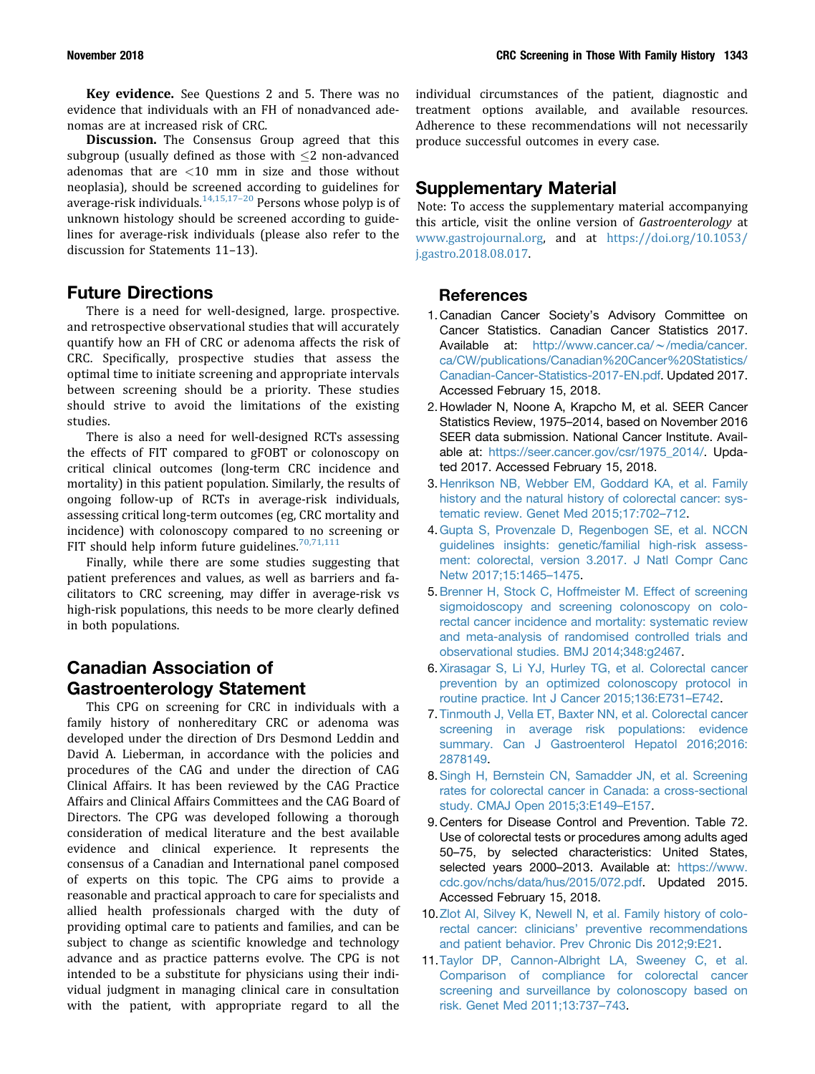<span id="page-18-0"></span>Key evidence. See Questions 2 and 5. There was no evidence that individuals with an FH of nonadvanced adenomas are at increased risk of CRC.

**Discussion.** The Consensus Group agreed that this subgroup (usually defined as those with  $\leq 2$  non-advanced adenomas that are  $<$ 10 mm in size and those without neoplasia), should be screened according to guidelines for average-risk individuals. $14,15,17-20$  $14,15,17-20$  $14,15,17-20$  Persons whose polyp is of unknown histology should be screened according to guidelines for average-risk individuals (please also refer to the discussion for Statements 11–13).

## Future Directions

There is a need for well-designed, large. prospective. and retrospective observational studies that will accurately quantify how an FH of CRC or adenoma affects the risk of CRC. Specifically, prospective studies that assess the optimal time to initiate screening and appropriate intervals between screening should be a priority. These studies should strive to avoid the limitations of the existing studies.

There is also a need for well-designed RCTs assessing the effects of FIT compared to gFOBT or colonoscopy on critical clinical outcomes (long-term CRC incidence and mortality) in this patient population. Similarly, the results of ongoing follow-up of RCTs in average-risk individuals, assessing critical long-term outcomes (eg, CRC mortality and incidence) with colonoscopy compared to no screening or FIT should help inform future guidelines.<sup>[70,71,111](#page-20-0)</sup>

Finally, while there are some studies suggesting that patient preferences and values, as well as barriers and facilitators to CRC screening, may differ in average-risk vs high-risk populations, this needs to be more clearly defined in both populations.

## Canadian Association of Gastroenterology Statement

This CPG on screening for CRC in individuals with a family history of nonhereditary CRC or adenoma was developed under the direction of Drs Desmond Leddin and David A. Lieberman, in accordance with the policies and procedures of the CAG and under the direction of CAG Clinical Affairs. It has been reviewed by the CAG Practice Affairs and Clinical Affairs Committees and the CAG Board of Directors. The CPG was developed following a thorough consideration of medical literature and the best available evidence and clinical experience. It represents the consensus of a Canadian and International panel composed of experts on this topic. The CPG aims to provide a reasonable and practical approach to care for specialists and allied health professionals charged with the duty of providing optimal care to patients and families, and can be subject to change as scientific knowledge and technology advance and as practice patterns evolve. The CPG is not intended to be a substitute for physicians using their individual judgment in managing clinical care in consultation with the patient, with appropriate regard to all the

individual circumstances of the patient, diagnostic and treatment options available, and available resources. Adherence to these recommendations will not necessarily produce successful outcomes in every case.

## Supplementary Material

Note: To access the supplementary material accompanying this article, visit the online version of Gastroenterology at [www.gastrojournal.org,](http://www.gastrojournal.org) and at [https://doi.org/10.1053/](https://doi.org/10.1053/j.gastro.2018.08.017) [j.gastro.2018.08.017](https://doi.org/10.1053/j.gastro.2018.08.017).

## References

- 1. Canadian Cancer Society's Advisory Committee on Cancer Statistics. Canadian Cancer Statistics 2017. Available at: [http://www.cancer.ca/](http://www.cancer.ca/%7E/media/cancer.ca/CW/publications/Canadian%20Cancer%20Statistics/Canadian-Cancer-Statistics-2017-EN.pdf) $\sim$ [/media/cancer.](http://www.cancer.ca/%7E/media/cancer.ca/CW/publications/Canadian%20Cancer%20Statistics/Canadian-Cancer-Statistics-2017-EN.pdf) [ca/CW/publications/Canadian%20Cancer%20Statistics/](http://www.cancer.ca/%7E/media/cancer.ca/CW/publications/Canadian%20Cancer%20Statistics/Canadian-Cancer-Statistics-2017-EN.pdf) [Canadian-Cancer-Statistics-2017-EN.pdf](http://www.cancer.ca/%7E/media/cancer.ca/CW/publications/Canadian%20Cancer%20Statistics/Canadian-Cancer-Statistics-2017-EN.pdf). Updated 2017. Accessed February 15, 2018.
- 2. Howlader N, Noone A, Krapcho M, et al. SEER Cancer Statistics Review, 1975–2014, based on November 2016 SEER data submission. National Cancer Institute. Available at: [https://seer.cancer.gov/csr/1975\\_2014/.](https://seer.cancer.gov/csr/1975_2014/) Updated 2017. Accessed February 15, 2018.
- 3. [Henrikson NB, Webber EM, Goddard KA, et al. Family](http://refhub.elsevier.com/S0016-5085(18)34882-0/sref3) [history and the natural history of colorectal cancer: sys](http://refhub.elsevier.com/S0016-5085(18)34882-0/sref3)[tematic review. Genet Med 2015;17:702](http://refhub.elsevier.com/S0016-5085(18)34882-0/sref3)–[712](http://refhub.elsevier.com/S0016-5085(18)34882-0/sref3).
- 4.[Gupta S, Provenzale D, Regenbogen SE, et al. NCCN](http://refhub.elsevier.com/S0016-5085(18)34882-0/sref4) [guidelines insights: genetic/familial high-risk assess](http://refhub.elsevier.com/S0016-5085(18)34882-0/sref4)[ment: colorectal, version 3.2017. J Natl Compr Canc](http://refhub.elsevier.com/S0016-5085(18)34882-0/sref4) [Netw 2017;15:1465](http://refhub.elsevier.com/S0016-5085(18)34882-0/sref4)–[1475.](http://refhub.elsevier.com/S0016-5085(18)34882-0/sref4)
- 5.[Brenner H, Stock C, Hoffmeister M. Effect of screening](http://refhub.elsevier.com/S0016-5085(18)34882-0/sref5) [sigmoidoscopy and screening colonoscopy on colo](http://refhub.elsevier.com/S0016-5085(18)34882-0/sref5)[rectal cancer incidence and mortality: systematic review](http://refhub.elsevier.com/S0016-5085(18)34882-0/sref5) [and meta-analysis of randomised controlled trials and](http://refhub.elsevier.com/S0016-5085(18)34882-0/sref5) [observational studies. BMJ 2014;348:g2467.](http://refhub.elsevier.com/S0016-5085(18)34882-0/sref5)
- 6.[Xirasagar S, Li YJ, Hurley TG, et al. Colorectal cancer](http://refhub.elsevier.com/S0016-5085(18)34882-0/sref6) [prevention by an optimized colonoscopy protocol in](http://refhub.elsevier.com/S0016-5085(18)34882-0/sref6) [routine practice. Int J Cancer 2015;136:E731](http://refhub.elsevier.com/S0016-5085(18)34882-0/sref6)–[E742.](http://refhub.elsevier.com/S0016-5085(18)34882-0/sref6)
- 7. [Tinmouth J, Vella ET, Baxter NN, et al. Colorectal cancer](http://refhub.elsevier.com/S0016-5085(18)34882-0/sref7) [screening in average risk populations: evidence](http://refhub.elsevier.com/S0016-5085(18)34882-0/sref7) [summary. Can J Gastroenterol Hepatol 2016;2016:](http://refhub.elsevier.com/S0016-5085(18)34882-0/sref7) [2878149](http://refhub.elsevier.com/S0016-5085(18)34882-0/sref7).
- 8.[Singh H, Bernstein CN, Samadder JN, et al. Screening](http://refhub.elsevier.com/S0016-5085(18)34882-0/sref8) [rates for colorectal cancer in Canada: a cross-sectional](http://refhub.elsevier.com/S0016-5085(18)34882-0/sref8) [study. CMAJ Open 2015;3:E149](http://refhub.elsevier.com/S0016-5085(18)34882-0/sref8)–[E157.](http://refhub.elsevier.com/S0016-5085(18)34882-0/sref8)
- 9. Centers for Disease Control and Prevention. Table 72. Use of colorectal tests or procedures among adults aged 50–75, by selected characteristics: United States, selected years 2000–2013. Available at: [https://www.](https://www.cdc.gov/nchs/data/hus/2015/072.pdf) [cdc.gov/nchs/data/hus/2015/072.pdf](https://www.cdc.gov/nchs/data/hus/2015/072.pdf). Updated 2015. Accessed February 15, 2018.
- 10.[Zlot AI, Silvey K, Newell N, et al. Family history of colo](http://refhub.elsevier.com/S0016-5085(18)34882-0/sref10)rectal cancer: clinicians' [preventive recommendations](http://refhub.elsevier.com/S0016-5085(18)34882-0/sref10) [and patient behavior. Prev Chronic Dis 2012;9:E21.](http://refhub.elsevier.com/S0016-5085(18)34882-0/sref10)
- 11.[Taylor DP, Cannon-Albright LA, Sweeney C, et al.](http://refhub.elsevier.com/S0016-5085(18)34882-0/sref11) [Comparison of compliance for colorectal cancer](http://refhub.elsevier.com/S0016-5085(18)34882-0/sref11) [screening and surveillance by colonoscopy based on](http://refhub.elsevier.com/S0016-5085(18)34882-0/sref11) [risk. Genet Med 2011;13:737](http://refhub.elsevier.com/S0016-5085(18)34882-0/sref11)–[743](http://refhub.elsevier.com/S0016-5085(18)34882-0/sref11).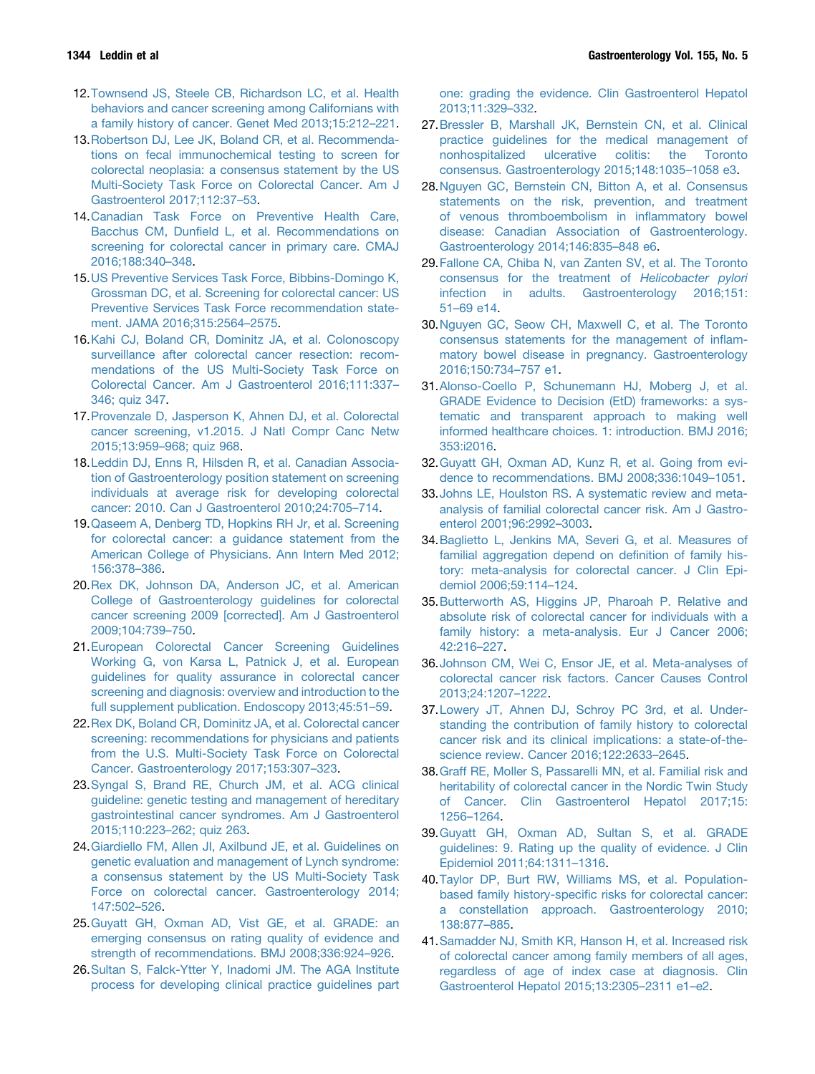- <span id="page-19-0"></span>12.[Townsend JS, Steele CB, Richardson LC, et al. Health](http://refhub.elsevier.com/S0016-5085(18)34882-0/sref12) [behaviors and cancer screening among Californians with](http://refhub.elsevier.com/S0016-5085(18)34882-0/sref12) [a family history of cancer. Genet Med 2013;15:212](http://refhub.elsevier.com/S0016-5085(18)34882-0/sref12)–[221.](http://refhub.elsevier.com/S0016-5085(18)34882-0/sref12)
- 13.[Robertson DJ, Lee JK, Boland CR, et al. Recommenda](http://refhub.elsevier.com/S0016-5085(18)34882-0/sref13)[tions on fecal immunochemical testing to screen for](http://refhub.elsevier.com/S0016-5085(18)34882-0/sref13) [colorectal neoplasia: a consensus statement by the US](http://refhub.elsevier.com/S0016-5085(18)34882-0/sref13) [Multi-Society Task Force on Colorectal Cancer. Am J](http://refhub.elsevier.com/S0016-5085(18)34882-0/sref13) [Gastroenterol 2017;112:37](http://refhub.elsevier.com/S0016-5085(18)34882-0/sref13)–[53](http://refhub.elsevier.com/S0016-5085(18)34882-0/sref13).
- 14.[Canadian Task Force on Preventive Health Care,](http://refhub.elsevier.com/S0016-5085(18)34882-0/sref14) Bacchus CM, Dunfi[eld L, et al. Recommendations on](http://refhub.elsevier.com/S0016-5085(18)34882-0/sref14) [screening for colorectal cancer in primary care. CMAJ](http://refhub.elsevier.com/S0016-5085(18)34882-0/sref14) [2016;188:340](http://refhub.elsevier.com/S0016-5085(18)34882-0/sref14)–[348](http://refhub.elsevier.com/S0016-5085(18)34882-0/sref14).
- 15.[US Preventive Services Task Force, Bibbins-Domingo K,](http://refhub.elsevier.com/S0016-5085(18)34882-0/sref15) [Grossman DC, et al. Screening for colorectal cancer: US](http://refhub.elsevier.com/S0016-5085(18)34882-0/sref15) [Preventive Services Task Force recommendation state](http://refhub.elsevier.com/S0016-5085(18)34882-0/sref15)[ment. JAMA 2016;315:2564](http://refhub.elsevier.com/S0016-5085(18)34882-0/sref15)–[2575](http://refhub.elsevier.com/S0016-5085(18)34882-0/sref15).
- 16.[Kahi CJ, Boland CR, Dominitz JA, et al. Colonoscopy](http://refhub.elsevier.com/S0016-5085(18)34882-0/sref16) [surveillance after colorectal cancer resection: recom](http://refhub.elsevier.com/S0016-5085(18)34882-0/sref16)[mendations of the US Multi-Society Task Force on](http://refhub.elsevier.com/S0016-5085(18)34882-0/sref16) [Colorectal Cancer. Am J Gastroenterol 2016;111:337](http://refhub.elsevier.com/S0016-5085(18)34882-0/sref16)– [346; quiz 347.](http://refhub.elsevier.com/S0016-5085(18)34882-0/sref16)
- 17.[Provenzale D, Jasperson K, Ahnen DJ, et al. Colorectal](http://refhub.elsevier.com/S0016-5085(18)34882-0/sref17) [cancer screening, v1.2015. J Natl Compr Canc Netw](http://refhub.elsevier.com/S0016-5085(18)34882-0/sref17) [2015;13:959](http://refhub.elsevier.com/S0016-5085(18)34882-0/sref17)–[968; quiz 968.](http://refhub.elsevier.com/S0016-5085(18)34882-0/sref17)
- 18.[Leddin DJ, Enns R, Hilsden R, et al. Canadian Associa](http://refhub.elsevier.com/S0016-5085(18)34882-0/sref18)[tion of Gastroenterology position statement on screening](http://refhub.elsevier.com/S0016-5085(18)34882-0/sref18) [individuals at average risk for developing colorectal](http://refhub.elsevier.com/S0016-5085(18)34882-0/sref18) [cancer: 2010. Can J Gastroenterol 2010;24:705](http://refhub.elsevier.com/S0016-5085(18)34882-0/sref18)–[714](http://refhub.elsevier.com/S0016-5085(18)34882-0/sref18).
- 19.[Qaseem A, Denberg TD, Hopkins RH Jr, et al. Screening](http://refhub.elsevier.com/S0016-5085(18)34882-0/sref19) [for colorectal cancer: a guidance statement from the](http://refhub.elsevier.com/S0016-5085(18)34882-0/sref19) [American College of Physicians. Ann Intern Med 2012;](http://refhub.elsevier.com/S0016-5085(18)34882-0/sref19) [156:378](http://refhub.elsevier.com/S0016-5085(18)34882-0/sref19)–[386.](http://refhub.elsevier.com/S0016-5085(18)34882-0/sref19)
- 20.[Rex DK, Johnson DA, Anderson JC, et al. American](http://refhub.elsevier.com/S0016-5085(18)34882-0/sref20) [College of Gastroenterology guidelines for colorectal](http://refhub.elsevier.com/S0016-5085(18)34882-0/sref20) [cancer screening 2009 \[corrected\]. Am J Gastroenterol](http://refhub.elsevier.com/S0016-5085(18)34882-0/sref20) [2009;104:739](http://refhub.elsevier.com/S0016-5085(18)34882-0/sref20)–[750](http://refhub.elsevier.com/S0016-5085(18)34882-0/sref20).
- 21.[European Colorectal Cancer Screening Guidelines](http://refhub.elsevier.com/S0016-5085(18)34882-0/sref21) [Working G, von Karsa L, Patnick J, et al. European](http://refhub.elsevier.com/S0016-5085(18)34882-0/sref21) [guidelines for quality assurance in colorectal cancer](http://refhub.elsevier.com/S0016-5085(18)34882-0/sref21) [screening and diagnosis: overview and introduction to the](http://refhub.elsevier.com/S0016-5085(18)34882-0/sref21) [full supplement publication. Endoscopy 2013;45:51](http://refhub.elsevier.com/S0016-5085(18)34882-0/sref21)–[59.](http://refhub.elsevier.com/S0016-5085(18)34882-0/sref21)
- 22.[Rex DK, Boland CR, Dominitz JA, et al. Colorectal cancer](http://refhub.elsevier.com/S0016-5085(18)34882-0/sref22) [screening: recommendations for physicians and patients](http://refhub.elsevier.com/S0016-5085(18)34882-0/sref22) [from the U.S. Multi-Society Task Force on Colorectal](http://refhub.elsevier.com/S0016-5085(18)34882-0/sref22) [Cancer. Gastroenterology 2017;153:307](http://refhub.elsevier.com/S0016-5085(18)34882-0/sref22)–[323.](http://refhub.elsevier.com/S0016-5085(18)34882-0/sref22)
- 23.[Syngal S, Brand RE, Church JM, et al. ACG clinical](http://refhub.elsevier.com/S0016-5085(18)34882-0/sref23) [guideline: genetic testing and management of hereditary](http://refhub.elsevier.com/S0016-5085(18)34882-0/sref23) [gastrointestinal cancer syndromes. Am J Gastroenterol](http://refhub.elsevier.com/S0016-5085(18)34882-0/sref23) [2015;110:223](http://refhub.elsevier.com/S0016-5085(18)34882-0/sref23)–[262; quiz 263.](http://refhub.elsevier.com/S0016-5085(18)34882-0/sref23)
- 24.[Giardiello FM, Allen JI, Axilbund JE, et al. Guidelines on](http://refhub.elsevier.com/S0016-5085(18)34882-0/sref24) [genetic evaluation and management of Lynch syndrome:](http://refhub.elsevier.com/S0016-5085(18)34882-0/sref24) [a consensus statement by the US Multi-Society Task](http://refhub.elsevier.com/S0016-5085(18)34882-0/sref24) [Force on colorectal cancer. Gastroenterology 2014;](http://refhub.elsevier.com/S0016-5085(18)34882-0/sref24) [147:502](http://refhub.elsevier.com/S0016-5085(18)34882-0/sref24)–[526.](http://refhub.elsevier.com/S0016-5085(18)34882-0/sref24)
- 25.[Guyatt GH, Oxman AD, Vist GE, et al. GRADE: an](http://refhub.elsevier.com/S0016-5085(18)34882-0/sref25) [emerging consensus on rating quality of evidence and](http://refhub.elsevier.com/S0016-5085(18)34882-0/sref25) [strength of recommendations. BMJ 2008;336:924](http://refhub.elsevier.com/S0016-5085(18)34882-0/sref25)–[926.](http://refhub.elsevier.com/S0016-5085(18)34882-0/sref25)
- 26.[Sultan S, Falck-Ytter Y, Inadomi JM. The AGA Institute](http://refhub.elsevier.com/S0016-5085(18)34882-0/sref26) [process for developing clinical practice guidelines part](http://refhub.elsevier.com/S0016-5085(18)34882-0/sref26)

[one: grading the evidence. Clin Gastroenterol Hepatol](http://refhub.elsevier.com/S0016-5085(18)34882-0/sref26) [2013;11:329](http://refhub.elsevier.com/S0016-5085(18)34882-0/sref26)–[332](http://refhub.elsevier.com/S0016-5085(18)34882-0/sref26).

- 27.[Bressler B, Marshall JK, Bernstein CN, et al. Clinical](http://refhub.elsevier.com/S0016-5085(18)34882-0/sref27) [practice guidelines for the medical management of](http://refhub.elsevier.com/S0016-5085(18)34882-0/sref27) [nonhospitalized ulcerative colitis: the Toronto](http://refhub.elsevier.com/S0016-5085(18)34882-0/sref27) [consensus. Gastroenterology 2015;148:1035](http://refhub.elsevier.com/S0016-5085(18)34882-0/sref27)–[1058 e3.](http://refhub.elsevier.com/S0016-5085(18)34882-0/sref27)
- 28.[Nguyen GC, Bernstein CN, Bitton A, et al. Consensus](http://refhub.elsevier.com/S0016-5085(18)34882-0/sref28) [statements on the risk, prevention, and treatment](http://refhub.elsevier.com/S0016-5085(18)34882-0/sref28) [of venous thromboembolism in in](http://refhub.elsevier.com/S0016-5085(18)34882-0/sref28)flammatory bowel [disease: Canadian Association of Gastroenterology.](http://refhub.elsevier.com/S0016-5085(18)34882-0/sref28) [Gastroenterology 2014;146:835](http://refhub.elsevier.com/S0016-5085(18)34882-0/sref28)–[848 e6.](http://refhub.elsevier.com/S0016-5085(18)34882-0/sref28)
- 29.[Fallone CA, Chiba N, van Zanten SV, et al. The Toronto](http://refhub.elsevier.com/S0016-5085(18)34882-0/sref29) [consensus for the treatment of](http://refhub.elsevier.com/S0016-5085(18)34882-0/sref29) Helicobacter pylori [infection in adults. Gastroenterology 2016;151:](http://refhub.elsevier.com/S0016-5085(18)34882-0/sref29) [51](http://refhub.elsevier.com/S0016-5085(18)34882-0/sref29)–[69 e14](http://refhub.elsevier.com/S0016-5085(18)34882-0/sref29).
- 30.[Nguyen GC, Seow CH, Maxwell C, et al. The Toronto](http://refhub.elsevier.com/S0016-5085(18)34882-0/sref30) [consensus statements for the management of in](http://refhub.elsevier.com/S0016-5085(18)34882-0/sref30)flam[matory bowel disease in pregnancy. Gastroenterology](http://refhub.elsevier.com/S0016-5085(18)34882-0/sref30) [2016;150:734](http://refhub.elsevier.com/S0016-5085(18)34882-0/sref30)–[757 e1.](http://refhub.elsevier.com/S0016-5085(18)34882-0/sref30)
- 31.[Alonso-Coello P, Schunemann HJ, Moberg J, et al.](http://refhub.elsevier.com/S0016-5085(18)34882-0/sref31) [GRADE Evidence to Decision \(EtD\) frameworks: a sys](http://refhub.elsevier.com/S0016-5085(18)34882-0/sref31)[tematic and transparent approach to making well](http://refhub.elsevier.com/S0016-5085(18)34882-0/sref31) [informed healthcare choices. 1: introduction. BMJ 2016;](http://refhub.elsevier.com/S0016-5085(18)34882-0/sref31) [353:i2016](http://refhub.elsevier.com/S0016-5085(18)34882-0/sref31).
- 32.[Guyatt GH, Oxman AD, Kunz R, et al. Going from evi](http://refhub.elsevier.com/S0016-5085(18)34882-0/sref32)[dence to recommendations. BMJ 2008;336:1049](http://refhub.elsevier.com/S0016-5085(18)34882-0/sref32)–[1051.](http://refhub.elsevier.com/S0016-5085(18)34882-0/sref32)
- 33.[Johns LE, Houlston RS. A systematic review and meta](http://refhub.elsevier.com/S0016-5085(18)34882-0/sref33)[analysis of familial colorectal cancer risk. Am J Gastro](http://refhub.elsevier.com/S0016-5085(18)34882-0/sref33)[enterol 2001;96:2992](http://refhub.elsevier.com/S0016-5085(18)34882-0/sref33)–[3003](http://refhub.elsevier.com/S0016-5085(18)34882-0/sref33).
- 34.[Baglietto L, Jenkins MA, Severi G, et al. Measures of](http://refhub.elsevier.com/S0016-5085(18)34882-0/sref34) [familial aggregation depend on de](http://refhub.elsevier.com/S0016-5085(18)34882-0/sref34)finition of family his[tory: meta-analysis for colorectal cancer. J Clin Epi](http://refhub.elsevier.com/S0016-5085(18)34882-0/sref34)[demiol 2006;59:114](http://refhub.elsevier.com/S0016-5085(18)34882-0/sref34)–[124.](http://refhub.elsevier.com/S0016-5085(18)34882-0/sref34)
- 35.[Butterworth AS, Higgins JP, Pharoah P. Relative and](http://refhub.elsevier.com/S0016-5085(18)34882-0/sref35) [absolute risk of colorectal cancer for individuals with a](http://refhub.elsevier.com/S0016-5085(18)34882-0/sref35) [family history: a meta-analysis. Eur J Cancer 2006;](http://refhub.elsevier.com/S0016-5085(18)34882-0/sref35) [42:216](http://refhub.elsevier.com/S0016-5085(18)34882-0/sref35)–[227.](http://refhub.elsevier.com/S0016-5085(18)34882-0/sref35)
- 36.[Johnson CM, Wei C, Ensor JE, et al. Meta-analyses of](http://refhub.elsevier.com/S0016-5085(18)34882-0/sref36) [colorectal cancer risk factors. Cancer Causes Control](http://refhub.elsevier.com/S0016-5085(18)34882-0/sref36) [2013;24:1207](http://refhub.elsevier.com/S0016-5085(18)34882-0/sref36)–[1222](http://refhub.elsevier.com/S0016-5085(18)34882-0/sref36).
- 37.[Lowery JT, Ahnen DJ, Schroy PC 3rd, et al. Under](http://refhub.elsevier.com/S0016-5085(18)34882-0/sref37)[standing the contribution of family history to colorectal](http://refhub.elsevier.com/S0016-5085(18)34882-0/sref37) [cancer risk and its clinical implications: a state-of-the](http://refhub.elsevier.com/S0016-5085(18)34882-0/sref37)[science review. Cancer 2016;122:2633](http://refhub.elsevier.com/S0016-5085(18)34882-0/sref37)–[2645.](http://refhub.elsevier.com/S0016-5085(18)34882-0/sref37)
- 38.[Graff RE, Moller S, Passarelli MN, et al. Familial risk and](http://refhub.elsevier.com/S0016-5085(18)34882-0/sref38) [heritability of colorectal cancer in the Nordic Twin Study](http://refhub.elsevier.com/S0016-5085(18)34882-0/sref38) [of Cancer. Clin Gastroenterol Hepatol 2017;15:](http://refhub.elsevier.com/S0016-5085(18)34882-0/sref38) [1256](http://refhub.elsevier.com/S0016-5085(18)34882-0/sref38)–[1264](http://refhub.elsevier.com/S0016-5085(18)34882-0/sref38).
- 39.[Guyatt GH, Oxman AD, Sultan S, et al. GRADE](http://refhub.elsevier.com/S0016-5085(18)34882-0/sref39) [guidelines: 9. Rating up the quality of evidence. J Clin](http://refhub.elsevier.com/S0016-5085(18)34882-0/sref39) [Epidemiol 2011;64:1311](http://refhub.elsevier.com/S0016-5085(18)34882-0/sref39)–[1316](http://refhub.elsevier.com/S0016-5085(18)34882-0/sref39).
- 40.[Taylor DP, Burt RW, Williams MS, et al. Population](http://refhub.elsevier.com/S0016-5085(18)34882-0/sref40)based family history-specifi[c risks for colorectal cancer:](http://refhub.elsevier.com/S0016-5085(18)34882-0/sref40) [a constellation approach. Gastroenterology 2010;](http://refhub.elsevier.com/S0016-5085(18)34882-0/sref40) [138:877](http://refhub.elsevier.com/S0016-5085(18)34882-0/sref40)–[885.](http://refhub.elsevier.com/S0016-5085(18)34882-0/sref40)
- 41.[Samadder NJ, Smith KR, Hanson H, et al. Increased risk](http://refhub.elsevier.com/S0016-5085(18)34882-0/sref41) [of colorectal cancer among family members of all ages,](http://refhub.elsevier.com/S0016-5085(18)34882-0/sref41) [regardless of age of index case at diagnosis. Clin](http://refhub.elsevier.com/S0016-5085(18)34882-0/sref41) [Gastroenterol Hepatol 2015;13:2305](http://refhub.elsevier.com/S0016-5085(18)34882-0/sref41)–[2311 e1](http://refhub.elsevier.com/S0016-5085(18)34882-0/sref41)–[e2.](http://refhub.elsevier.com/S0016-5085(18)34882-0/sref41)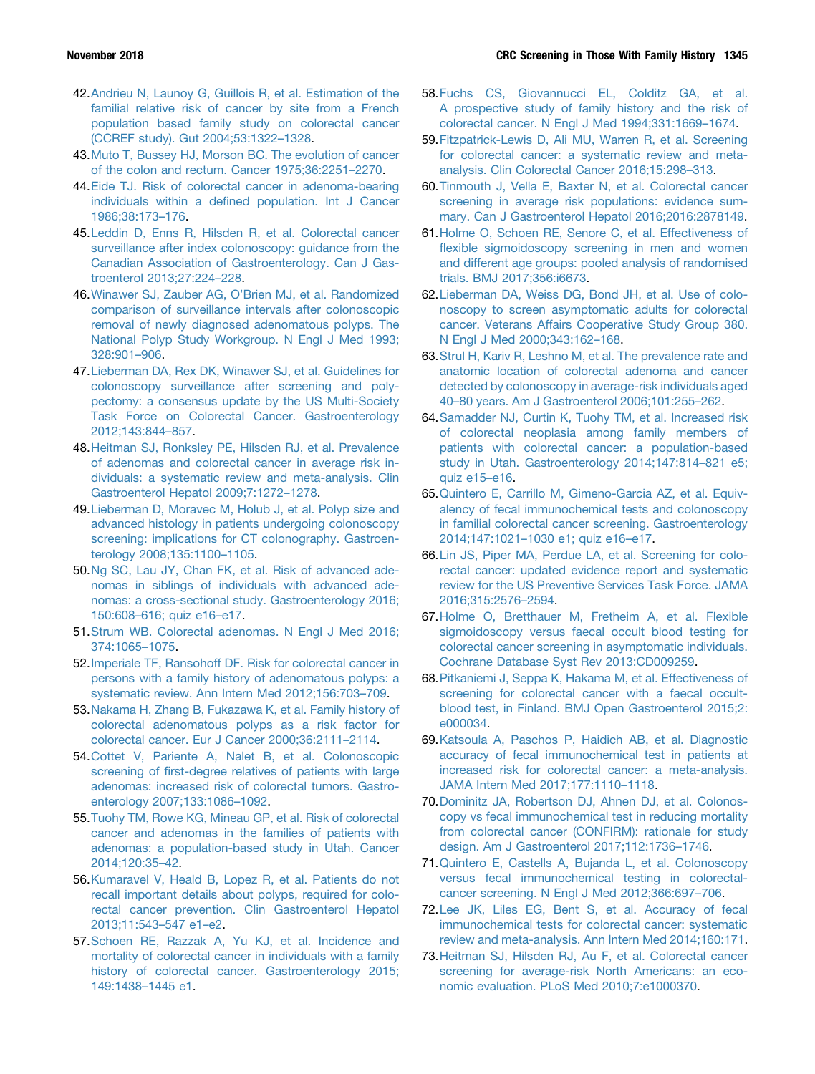- <span id="page-20-0"></span>42.[Andrieu N, Launoy G, Guillois R, et al. Estimation of the](http://refhub.elsevier.com/S0016-5085(18)34882-0/sref42) [familial relative risk of cancer by site from a French](http://refhub.elsevier.com/S0016-5085(18)34882-0/sref42) [population based family study on colorectal cancer](http://refhub.elsevier.com/S0016-5085(18)34882-0/sref42) [\(CCREF study\). Gut 2004;53:1322](http://refhub.elsevier.com/S0016-5085(18)34882-0/sref42)–[1328.](http://refhub.elsevier.com/S0016-5085(18)34882-0/sref42)
- 43.[Muto T, Bussey HJ, Morson BC. The evolution of cancer](http://refhub.elsevier.com/S0016-5085(18)34882-0/sref43) [of the colon and rectum. Cancer 1975;36:2251](http://refhub.elsevier.com/S0016-5085(18)34882-0/sref43)–[2270.](http://refhub.elsevier.com/S0016-5085(18)34882-0/sref43)
- 44.[Eide TJ. Risk of colorectal cancer in adenoma-bearing](http://refhub.elsevier.com/S0016-5085(18)34882-0/sref44) individuals within a defi[ned population. Int J Cancer](http://refhub.elsevier.com/S0016-5085(18)34882-0/sref44) [1986;38:173](http://refhub.elsevier.com/S0016-5085(18)34882-0/sref44)–[176](http://refhub.elsevier.com/S0016-5085(18)34882-0/sref44).
- 45.[Leddin D, Enns R, Hilsden R, et al. Colorectal cancer](http://refhub.elsevier.com/S0016-5085(18)34882-0/sref45) [surveillance after index colonoscopy: guidance from the](http://refhub.elsevier.com/S0016-5085(18)34882-0/sref45) [Canadian Association of Gastroenterology. Can J Gas](http://refhub.elsevier.com/S0016-5085(18)34882-0/sref45)[troenterol 2013;27:224](http://refhub.elsevier.com/S0016-5085(18)34882-0/sref45)–[228](http://refhub.elsevier.com/S0016-5085(18)34882-0/sref45).
- 46.Winawer SJ, Zauber AG, O'[Brien MJ, et al. Randomized](http://refhub.elsevier.com/S0016-5085(18)34882-0/sref46) [comparison of surveillance intervals after colonoscopic](http://refhub.elsevier.com/S0016-5085(18)34882-0/sref46) [removal of newly diagnosed adenomatous polyps. The](http://refhub.elsevier.com/S0016-5085(18)34882-0/sref46) [National Polyp Study Workgroup. N Engl J Med 1993;](http://refhub.elsevier.com/S0016-5085(18)34882-0/sref46) [328:901](http://refhub.elsevier.com/S0016-5085(18)34882-0/sref46)–[906.](http://refhub.elsevier.com/S0016-5085(18)34882-0/sref46)
- 47.[Lieberman DA, Rex DK, Winawer SJ, et al. Guidelines for](http://refhub.elsevier.com/S0016-5085(18)34882-0/sref47) [colonoscopy surveillance after screening and poly](http://refhub.elsevier.com/S0016-5085(18)34882-0/sref47)[pectomy: a consensus update by the US Multi-Society](http://refhub.elsevier.com/S0016-5085(18)34882-0/sref47) [Task Force on Colorectal Cancer. Gastroenterology](http://refhub.elsevier.com/S0016-5085(18)34882-0/sref47) [2012;143:844](http://refhub.elsevier.com/S0016-5085(18)34882-0/sref47)–[857](http://refhub.elsevier.com/S0016-5085(18)34882-0/sref47).
- 48.[Heitman SJ, Ronksley PE, Hilsden RJ, et al. Prevalence](http://refhub.elsevier.com/S0016-5085(18)34882-0/sref48) [of adenomas and colorectal cancer in average risk in](http://refhub.elsevier.com/S0016-5085(18)34882-0/sref48)[dividuals: a systematic review and meta-analysis. Clin](http://refhub.elsevier.com/S0016-5085(18)34882-0/sref48) [Gastroenterol Hepatol 2009;7:1272](http://refhub.elsevier.com/S0016-5085(18)34882-0/sref48)–[1278](http://refhub.elsevier.com/S0016-5085(18)34882-0/sref48).
- 49.[Lieberman D, Moravec M, Holub J, et al. Polyp size and](http://refhub.elsevier.com/S0016-5085(18)34882-0/sref49) [advanced histology in patients undergoing colonoscopy](http://refhub.elsevier.com/S0016-5085(18)34882-0/sref49) [screening: implications for CT colonography. Gastroen](http://refhub.elsevier.com/S0016-5085(18)34882-0/sref49)[terology 2008;135:1100](http://refhub.elsevier.com/S0016-5085(18)34882-0/sref49)–[1105](http://refhub.elsevier.com/S0016-5085(18)34882-0/sref49).
- 50.[Ng SC, Lau JY, Chan FK, et al. Risk of advanced ade](http://refhub.elsevier.com/S0016-5085(18)34882-0/sref50)[nomas in siblings of individuals with advanced ade](http://refhub.elsevier.com/S0016-5085(18)34882-0/sref50)[nomas: a cross-sectional study. Gastroenterology 2016;](http://refhub.elsevier.com/S0016-5085(18)34882-0/sref50) [150:608](http://refhub.elsevier.com/S0016-5085(18)34882-0/sref50)–[616; quiz e16](http://refhub.elsevier.com/S0016-5085(18)34882-0/sref50)–[e17](http://refhub.elsevier.com/S0016-5085(18)34882-0/sref50).
- 51.[Strum WB. Colorectal adenomas. N Engl J Med 2016;](http://refhub.elsevier.com/S0016-5085(18)34882-0/sref51) [374:1065](http://refhub.elsevier.com/S0016-5085(18)34882-0/sref51)–[1075.](http://refhub.elsevier.com/S0016-5085(18)34882-0/sref51)
- 52.[Imperiale TF, Ransohoff DF. Risk for colorectal cancer in](http://refhub.elsevier.com/S0016-5085(18)34882-0/sref52) [persons with a family history of adenomatous polyps: a](http://refhub.elsevier.com/S0016-5085(18)34882-0/sref52) [systematic review. Ann Intern Med 2012;156:703](http://refhub.elsevier.com/S0016-5085(18)34882-0/sref52)–[709.](http://refhub.elsevier.com/S0016-5085(18)34882-0/sref52)
- 53.[Nakama H, Zhang B, Fukazawa K, et al. Family history of](http://refhub.elsevier.com/S0016-5085(18)34882-0/sref53) [colorectal adenomatous polyps as a risk factor for](http://refhub.elsevier.com/S0016-5085(18)34882-0/sref53) [colorectal cancer. Eur J Cancer 2000;36:2111](http://refhub.elsevier.com/S0016-5085(18)34882-0/sref53)–[2114](http://refhub.elsevier.com/S0016-5085(18)34882-0/sref53).
- 54.[Cottet V, Pariente A, Nalet B, et al. Colonoscopic](http://refhub.elsevier.com/S0016-5085(18)34882-0/sref54) screening of fi[rst-degree relatives of patients with large](http://refhub.elsevier.com/S0016-5085(18)34882-0/sref54) [adenomas: increased risk of colorectal tumors. Gastro](http://refhub.elsevier.com/S0016-5085(18)34882-0/sref54)[enterology 2007;133:1086](http://refhub.elsevier.com/S0016-5085(18)34882-0/sref54)–[1092.](http://refhub.elsevier.com/S0016-5085(18)34882-0/sref54)
- 55.[Tuohy TM, Rowe KG, Mineau GP, et al. Risk of colorectal](http://refhub.elsevier.com/S0016-5085(18)34882-0/sref55) [cancer and adenomas in the families of patients with](http://refhub.elsevier.com/S0016-5085(18)34882-0/sref55) [adenomas: a population-based study in Utah. Cancer](http://refhub.elsevier.com/S0016-5085(18)34882-0/sref55) [2014;120:35](http://refhub.elsevier.com/S0016-5085(18)34882-0/sref55)–[42](http://refhub.elsevier.com/S0016-5085(18)34882-0/sref55).
- 56.[Kumaravel V, Heald B, Lopez R, et al. Patients do not](http://refhub.elsevier.com/S0016-5085(18)34882-0/sref56) [recall important details about polyps, required for colo](http://refhub.elsevier.com/S0016-5085(18)34882-0/sref56)[rectal cancer prevention. Clin Gastroenterol Hepatol](http://refhub.elsevier.com/S0016-5085(18)34882-0/sref56) [2013;11:543](http://refhub.elsevier.com/S0016-5085(18)34882-0/sref56)–[547 e1](http://refhub.elsevier.com/S0016-5085(18)34882-0/sref56)–[e2.](http://refhub.elsevier.com/S0016-5085(18)34882-0/sref56)
- 57.[Schoen RE, Razzak A, Yu KJ, et al. Incidence and](http://refhub.elsevier.com/S0016-5085(18)34882-0/sref57) [mortality of colorectal cancer in individuals with a family](http://refhub.elsevier.com/S0016-5085(18)34882-0/sref57) [history of colorectal cancer. Gastroenterology 2015;](http://refhub.elsevier.com/S0016-5085(18)34882-0/sref57) [149:1438](http://refhub.elsevier.com/S0016-5085(18)34882-0/sref57)–[1445 e1](http://refhub.elsevier.com/S0016-5085(18)34882-0/sref57).
- 58.[Fuchs CS, Giovannucci EL, Colditz GA, et al.](http://refhub.elsevier.com/S0016-5085(18)34882-0/sref58) [A prospective study of family history and the risk of](http://refhub.elsevier.com/S0016-5085(18)34882-0/sref58) [colorectal cancer. N Engl J Med 1994;331:1669](http://refhub.elsevier.com/S0016-5085(18)34882-0/sref58)–[1674](http://refhub.elsevier.com/S0016-5085(18)34882-0/sref58).
- 59.[Fitzpatrick-Lewis D, Ali MU, Warren R, et al. Screening](http://refhub.elsevier.com/S0016-5085(18)34882-0/sref59) [for colorectal cancer: a systematic review and meta](http://refhub.elsevier.com/S0016-5085(18)34882-0/sref59)[analysis. Clin Colorectal Cancer 2016;15:298](http://refhub.elsevier.com/S0016-5085(18)34882-0/sref59)–[313.](http://refhub.elsevier.com/S0016-5085(18)34882-0/sref59)
- 60.[Tinmouth J, Vella E, Baxter N, et al. Colorectal cancer](http://refhub.elsevier.com/S0016-5085(18)34882-0/sref60) [screening in average risk populations: evidence sum](http://refhub.elsevier.com/S0016-5085(18)34882-0/sref60)[mary. Can J Gastroenterol Hepatol 2016;2016:2878149](http://refhub.elsevier.com/S0016-5085(18)34882-0/sref60).
- 61.[Holme O, Schoen RE, Senore C, et al. Effectiveness of](http://refhub.elsevier.com/S0016-5085(18)34882-0/sref61) fl[exible sigmoidoscopy screening in men and women](http://refhub.elsevier.com/S0016-5085(18)34882-0/sref61) [and different age groups: pooled analysis of randomised](http://refhub.elsevier.com/S0016-5085(18)34882-0/sref61) [trials. BMJ 2017;356:i6673](http://refhub.elsevier.com/S0016-5085(18)34882-0/sref61).
- 62.[Lieberman DA, Weiss DG, Bond JH, et al. Use of colo](http://refhub.elsevier.com/S0016-5085(18)34882-0/sref62)[noscopy to screen asymptomatic adults for colorectal](http://refhub.elsevier.com/S0016-5085(18)34882-0/sref62) [cancer. Veterans Affairs Cooperative Study Group 380.](http://refhub.elsevier.com/S0016-5085(18)34882-0/sref62) [N Engl J Med 2000;343:162](http://refhub.elsevier.com/S0016-5085(18)34882-0/sref62)–[168](http://refhub.elsevier.com/S0016-5085(18)34882-0/sref62).
- 63.[Strul H, Kariv R, Leshno M, et al. The prevalence rate and](http://refhub.elsevier.com/S0016-5085(18)34882-0/sref63) [anatomic location of colorectal adenoma and cancer](http://refhub.elsevier.com/S0016-5085(18)34882-0/sref63) [detected by colonoscopy in average-risk individuals aged](http://refhub.elsevier.com/S0016-5085(18)34882-0/sref63) [40](http://refhub.elsevier.com/S0016-5085(18)34882-0/sref63)–[80 years. Am J Gastroenterol 2006;101:255](http://refhub.elsevier.com/S0016-5085(18)34882-0/sref63)–[262.](http://refhub.elsevier.com/S0016-5085(18)34882-0/sref63)
- 64.[Samadder NJ, Curtin K, Tuohy TM, et al. Increased risk](http://refhub.elsevier.com/S0016-5085(18)34882-0/sref64) [of colorectal neoplasia among family members of](http://refhub.elsevier.com/S0016-5085(18)34882-0/sref64) [patients with colorectal cancer: a population-based](http://refhub.elsevier.com/S0016-5085(18)34882-0/sref64) [study in Utah. Gastroenterology 2014;147:814](http://refhub.elsevier.com/S0016-5085(18)34882-0/sref64)–[821 e5;](http://refhub.elsevier.com/S0016-5085(18)34882-0/sref64) [quiz e15](http://refhub.elsevier.com/S0016-5085(18)34882-0/sref64)–[e16.](http://refhub.elsevier.com/S0016-5085(18)34882-0/sref64)
- 65.[Quintero E, Carrillo M, Gimeno-Garcia AZ, et al. Equiv](http://refhub.elsevier.com/S0016-5085(18)34882-0/sref65)[alency of fecal immunochemical tests and colonoscopy](http://refhub.elsevier.com/S0016-5085(18)34882-0/sref65) [in familial colorectal cancer screening. Gastroenterology](http://refhub.elsevier.com/S0016-5085(18)34882-0/sref65) [2014;147:1021](http://refhub.elsevier.com/S0016-5085(18)34882-0/sref65)–[1030 e1; quiz e16](http://refhub.elsevier.com/S0016-5085(18)34882-0/sref65)–[e17](http://refhub.elsevier.com/S0016-5085(18)34882-0/sref65).
- 66.[Lin JS, Piper MA, Perdue LA, et al. Screening for colo](http://refhub.elsevier.com/S0016-5085(18)34882-0/sref66)[rectal cancer: updated evidence report and systematic](http://refhub.elsevier.com/S0016-5085(18)34882-0/sref66) [review for the US Preventive Services Task Force. JAMA](http://refhub.elsevier.com/S0016-5085(18)34882-0/sref66) [2016;315:2576](http://refhub.elsevier.com/S0016-5085(18)34882-0/sref66)–[2594.](http://refhub.elsevier.com/S0016-5085(18)34882-0/sref66)
- 67.[Holme O, Bretthauer M, Fretheim A, et al. Flexible](http://refhub.elsevier.com/S0016-5085(18)34882-0/sref67) [sigmoidoscopy versus faecal occult blood testing for](http://refhub.elsevier.com/S0016-5085(18)34882-0/sref67) [colorectal cancer screening in asymptomatic individuals.](http://refhub.elsevier.com/S0016-5085(18)34882-0/sref67) [Cochrane Database Syst Rev 2013:CD009259](http://refhub.elsevier.com/S0016-5085(18)34882-0/sref67).
- 68.[Pitkaniemi J, Seppa K, Hakama M, et al. Effectiveness of](http://refhub.elsevier.com/S0016-5085(18)34882-0/sref68) [screening for colorectal cancer with a faecal occult](http://refhub.elsevier.com/S0016-5085(18)34882-0/sref68)[blood test, in Finland. BMJ Open Gastroenterol 2015;2:](http://refhub.elsevier.com/S0016-5085(18)34882-0/sref68) [e000034.](http://refhub.elsevier.com/S0016-5085(18)34882-0/sref68)
- 69.[Katsoula A, Paschos P, Haidich AB, et al. Diagnostic](http://refhub.elsevier.com/S0016-5085(18)34882-0/sref69) [accuracy of fecal immunochemical test in patients at](http://refhub.elsevier.com/S0016-5085(18)34882-0/sref69) [increased risk for colorectal cancer: a meta-analysis.](http://refhub.elsevier.com/S0016-5085(18)34882-0/sref69) [JAMA Intern Med 2017;177:1110](http://refhub.elsevier.com/S0016-5085(18)34882-0/sref69)–[1118](http://refhub.elsevier.com/S0016-5085(18)34882-0/sref69).
- 70.[Dominitz JA, Robertson DJ, Ahnen DJ, et al. Colonos](http://refhub.elsevier.com/S0016-5085(18)34882-0/sref70)[copy vs fecal immunochemical test in reducing mortality](http://refhub.elsevier.com/S0016-5085(18)34882-0/sref70) [from colorectal cancer \(CONFIRM\): rationale for study](http://refhub.elsevier.com/S0016-5085(18)34882-0/sref70) [design. Am J Gastroenterol 2017;112:1736](http://refhub.elsevier.com/S0016-5085(18)34882-0/sref70)–[1746.](http://refhub.elsevier.com/S0016-5085(18)34882-0/sref70)
- 71.[Quintero E, Castells A, Bujanda L, et al. Colonoscopy](http://refhub.elsevier.com/S0016-5085(18)34882-0/sref71) [versus fecal immunochemical testing in colorectal](http://refhub.elsevier.com/S0016-5085(18)34882-0/sref71)[cancer screening. N Engl J Med 2012;366:697](http://refhub.elsevier.com/S0016-5085(18)34882-0/sref71)–[706](http://refhub.elsevier.com/S0016-5085(18)34882-0/sref71).
- 72.[Lee JK, Liles EG, Bent S, et al. Accuracy of fecal](http://refhub.elsevier.com/S0016-5085(18)34882-0/sref72) [immunochemical tests for colorectal cancer: systematic](http://refhub.elsevier.com/S0016-5085(18)34882-0/sref72) [review and meta-analysis. Ann Intern Med 2014;160:171.](http://refhub.elsevier.com/S0016-5085(18)34882-0/sref72)
- 73.[Heitman SJ, Hilsden RJ, Au F, et al. Colorectal cancer](http://refhub.elsevier.com/S0016-5085(18)34882-0/sref73) [screening for average-risk North Americans: an eco](http://refhub.elsevier.com/S0016-5085(18)34882-0/sref73)[nomic evaluation. PLoS Med 2010;7:e1000370.](http://refhub.elsevier.com/S0016-5085(18)34882-0/sref73)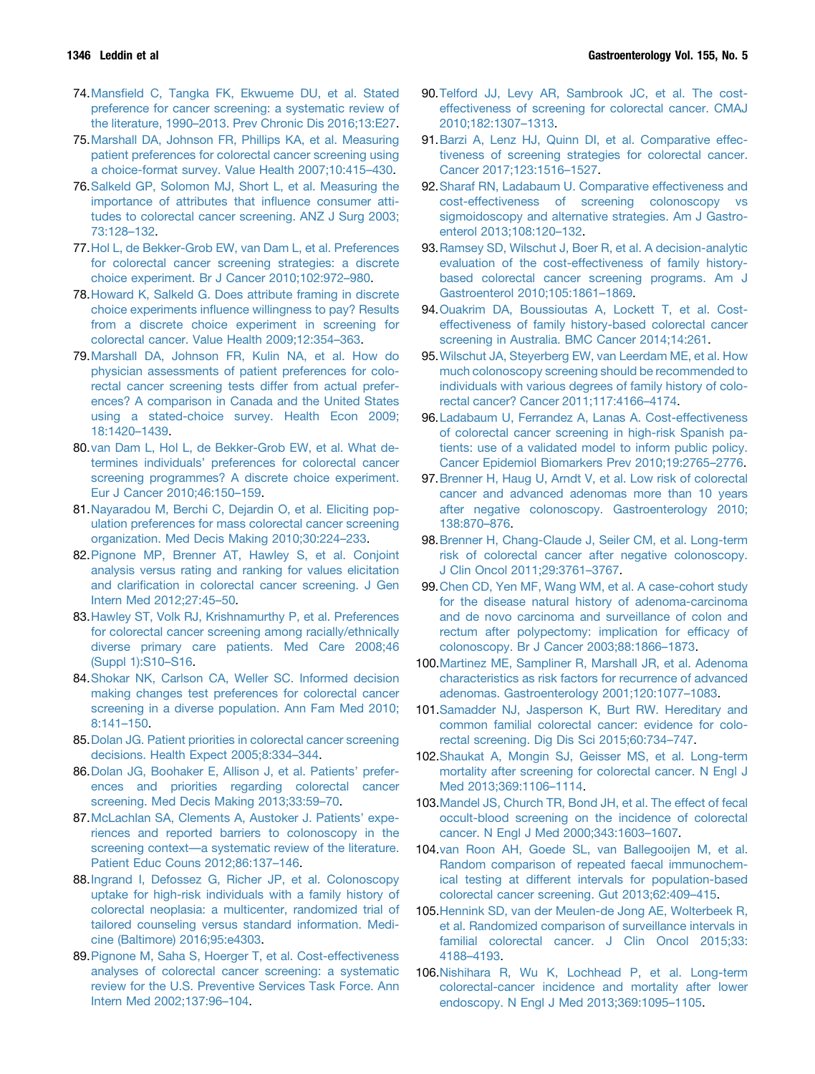- <span id="page-21-0"></span>74.Mansfi[eld C, Tangka FK, Ekwueme DU, et al. Stated](http://refhub.elsevier.com/S0016-5085(18)34882-0/sref74) [preference for cancer screening: a systematic review of](http://refhub.elsevier.com/S0016-5085(18)34882-0/sref74) [the literature, 1990](http://refhub.elsevier.com/S0016-5085(18)34882-0/sref74)–[2013. Prev Chronic Dis 2016;13:E27.](http://refhub.elsevier.com/S0016-5085(18)34882-0/sref74)
- 75.[Marshall DA, Johnson FR, Phillips KA, et al. Measuring](http://refhub.elsevier.com/S0016-5085(18)34882-0/sref75) [patient preferences for colorectal cancer screening using](http://refhub.elsevier.com/S0016-5085(18)34882-0/sref75) [a choice-format survey. Value Health 2007;10:415](http://refhub.elsevier.com/S0016-5085(18)34882-0/sref75)–[430](http://refhub.elsevier.com/S0016-5085(18)34882-0/sref75).
- 76.[Salkeld GP, Solomon MJ, Short L, et al. Measuring the](http://refhub.elsevier.com/S0016-5085(18)34882-0/sref76) [importance of attributes that in](http://refhub.elsevier.com/S0016-5085(18)34882-0/sref76)fluence consumer atti[tudes to colorectal cancer screening. ANZ J Surg 2003;](http://refhub.elsevier.com/S0016-5085(18)34882-0/sref76) [73:128](http://refhub.elsevier.com/S0016-5085(18)34882-0/sref76)–[132.](http://refhub.elsevier.com/S0016-5085(18)34882-0/sref76)
- 77.[Hol L, de Bekker-Grob EW, van Dam L, et al. Preferences](http://refhub.elsevier.com/S0016-5085(18)34882-0/sref77) [for colorectal cancer screening strategies: a discrete](http://refhub.elsevier.com/S0016-5085(18)34882-0/sref77) [choice experiment. Br J Cancer 2010;102:972](http://refhub.elsevier.com/S0016-5085(18)34882-0/sref77)–[980.](http://refhub.elsevier.com/S0016-5085(18)34882-0/sref77)
- 78.[Howard K, Salkeld G. Does attribute framing in discrete](http://refhub.elsevier.com/S0016-5085(18)34882-0/sref78) choice experiments infl[uence willingness to pay? Results](http://refhub.elsevier.com/S0016-5085(18)34882-0/sref78) [from a discrete choice experiment in screening for](http://refhub.elsevier.com/S0016-5085(18)34882-0/sref78) [colorectal cancer. Value Health 2009;12:354](http://refhub.elsevier.com/S0016-5085(18)34882-0/sref78)–[363.](http://refhub.elsevier.com/S0016-5085(18)34882-0/sref78)
- 79.[Marshall DA, Johnson FR, Kulin NA, et al. How do](http://refhub.elsevier.com/S0016-5085(18)34882-0/sref79) [physician assessments of patient preferences for colo](http://refhub.elsevier.com/S0016-5085(18)34882-0/sref79)[rectal cancer screening tests differ from actual prefer](http://refhub.elsevier.com/S0016-5085(18)34882-0/sref79)[ences? A comparison in Canada and the United States](http://refhub.elsevier.com/S0016-5085(18)34882-0/sref79) [using a stated-choice survey. Health Econ 2009;](http://refhub.elsevier.com/S0016-5085(18)34882-0/sref79) [18:1420](http://refhub.elsevier.com/S0016-5085(18)34882-0/sref79)–[1439.](http://refhub.elsevier.com/S0016-5085(18)34882-0/sref79)
- 80.[van Dam L, Hol L, de Bekker-Grob EW, et al. What de](http://refhub.elsevier.com/S0016-5085(18)34882-0/sref80)termines individuals' [preferences for colorectal cancer](http://refhub.elsevier.com/S0016-5085(18)34882-0/sref80) [screening programmes? A discrete choice experiment.](http://refhub.elsevier.com/S0016-5085(18)34882-0/sref80) [Eur J Cancer 2010;46:150](http://refhub.elsevier.com/S0016-5085(18)34882-0/sref80)–[159](http://refhub.elsevier.com/S0016-5085(18)34882-0/sref80).
- 81.[Nayaradou M, Berchi C, Dejardin O, et al. Eliciting pop](http://refhub.elsevier.com/S0016-5085(18)34882-0/sref81)[ulation preferences for mass colorectal cancer screening](http://refhub.elsevier.com/S0016-5085(18)34882-0/sref81) [organization. Med Decis Making 2010;30:224](http://refhub.elsevier.com/S0016-5085(18)34882-0/sref81)–[233](http://refhub.elsevier.com/S0016-5085(18)34882-0/sref81).
- 82.[Pignone MP, Brenner AT, Hawley S, et al. Conjoint](http://refhub.elsevier.com/S0016-5085(18)34882-0/sref82) [analysis versus rating and ranking for values elicitation](http://refhub.elsevier.com/S0016-5085(18)34882-0/sref82) and clarifi[cation in colorectal cancer screening. J Gen](http://refhub.elsevier.com/S0016-5085(18)34882-0/sref82) [Intern Med 2012;27:45](http://refhub.elsevier.com/S0016-5085(18)34882-0/sref82)–[50](http://refhub.elsevier.com/S0016-5085(18)34882-0/sref82).
- 83.[Hawley ST, Volk RJ, Krishnamurthy P, et al. Preferences](http://refhub.elsevier.com/S0016-5085(18)34882-0/sref83) [for colorectal cancer screening among racially/ethnically](http://refhub.elsevier.com/S0016-5085(18)34882-0/sref83) [diverse primary care patients. Med Care 2008;46](http://refhub.elsevier.com/S0016-5085(18)34882-0/sref83) [\(Suppl 1\):S10](http://refhub.elsevier.com/S0016-5085(18)34882-0/sref83)–[S16](http://refhub.elsevier.com/S0016-5085(18)34882-0/sref83).
- 84.[Shokar NK, Carlson CA, Weller SC. Informed decision](http://refhub.elsevier.com/S0016-5085(18)34882-0/sref84) [making changes test preferences for colorectal cancer](http://refhub.elsevier.com/S0016-5085(18)34882-0/sref84) [screening in a diverse population. Ann Fam Med 2010;](http://refhub.elsevier.com/S0016-5085(18)34882-0/sref84) [8:141](http://refhub.elsevier.com/S0016-5085(18)34882-0/sref84)–[150.](http://refhub.elsevier.com/S0016-5085(18)34882-0/sref84)
- 85.[Dolan JG. Patient priorities in colorectal cancer screening](http://refhub.elsevier.com/S0016-5085(18)34882-0/sref85) [decisions. Health Expect 2005;8:334](http://refhub.elsevier.com/S0016-5085(18)34882-0/sref85)–[344](http://refhub.elsevier.com/S0016-5085(18)34882-0/sref85).
- 86.[Dolan JG, Boohaker E, Allison J, et al. Patients](http://refhub.elsevier.com/S0016-5085(18)34882-0/sref86)' prefer[ences and priorities regarding colorectal cancer](http://refhub.elsevier.com/S0016-5085(18)34882-0/sref86) [screening. Med Decis Making 2013;33:59](http://refhub.elsevier.com/S0016-5085(18)34882-0/sref86)–[70](http://refhub.elsevier.com/S0016-5085(18)34882-0/sref86).
- 87.[McLachlan SA, Clements A, Austoker J. Patients](http://refhub.elsevier.com/S0016-5085(18)34882-0/sref87)' expe[riences and reported barriers to colonoscopy in the](http://refhub.elsevier.com/S0016-5085(18)34882-0/sref87) [screening context](http://refhub.elsevier.com/S0016-5085(18)34882-0/sref87)—[a systematic review of the literature.](http://refhub.elsevier.com/S0016-5085(18)34882-0/sref87) [Patient Educ Couns 2012;86:137](http://refhub.elsevier.com/S0016-5085(18)34882-0/sref87)–[146](http://refhub.elsevier.com/S0016-5085(18)34882-0/sref87).
- 88.[Ingrand I, Defossez G, Richer JP, et al. Colonoscopy](http://refhub.elsevier.com/S0016-5085(18)34882-0/sref88) [uptake for high-risk individuals with a family history of](http://refhub.elsevier.com/S0016-5085(18)34882-0/sref88) [colorectal neoplasia: a multicenter, randomized trial of](http://refhub.elsevier.com/S0016-5085(18)34882-0/sref88) [tailored counseling versus standard information. Medi](http://refhub.elsevier.com/S0016-5085(18)34882-0/sref88)[cine \(Baltimore\) 2016;95:e4303](http://refhub.elsevier.com/S0016-5085(18)34882-0/sref88).
- 89.[Pignone M, Saha S, Hoerger T, et al. Cost-effectiveness](http://refhub.elsevier.com/S0016-5085(18)34882-0/sref89) [analyses of colorectal cancer screening: a systematic](http://refhub.elsevier.com/S0016-5085(18)34882-0/sref89) [review for the U.S. Preventive Services Task Force. Ann](http://refhub.elsevier.com/S0016-5085(18)34882-0/sref89) [Intern Med 2002;137:96](http://refhub.elsevier.com/S0016-5085(18)34882-0/sref89)–[104](http://refhub.elsevier.com/S0016-5085(18)34882-0/sref89).
- 90.[Telford JJ, Levy AR, Sambrook JC, et al. The cost](http://refhub.elsevier.com/S0016-5085(18)34882-0/sref90)[effectiveness of screening for colorectal cancer. CMAJ](http://refhub.elsevier.com/S0016-5085(18)34882-0/sref90) [2010;182:1307](http://refhub.elsevier.com/S0016-5085(18)34882-0/sref90)–[1313.](http://refhub.elsevier.com/S0016-5085(18)34882-0/sref90)
- 91.[Barzi A, Lenz HJ, Quinn DI, et al. Comparative effec](http://refhub.elsevier.com/S0016-5085(18)34882-0/sref91)[tiveness of screening strategies for colorectal cancer.](http://refhub.elsevier.com/S0016-5085(18)34882-0/sref91) [Cancer 2017;123:1516](http://refhub.elsevier.com/S0016-5085(18)34882-0/sref91)–[1527.](http://refhub.elsevier.com/S0016-5085(18)34882-0/sref91)
- 92.[Sharaf RN, Ladabaum U. Comparative effectiveness and](http://refhub.elsevier.com/S0016-5085(18)34882-0/sref92) [cost-effectiveness of screening colonoscopy vs](http://refhub.elsevier.com/S0016-5085(18)34882-0/sref92) [sigmoidoscopy and alternative strategies. Am J Gastro](http://refhub.elsevier.com/S0016-5085(18)34882-0/sref92)[enterol 2013;108:120](http://refhub.elsevier.com/S0016-5085(18)34882-0/sref92)–[132](http://refhub.elsevier.com/S0016-5085(18)34882-0/sref92).
- 93.[Ramsey SD, Wilschut J, Boer R, et al. A decision-analytic](http://refhub.elsevier.com/S0016-5085(18)34882-0/sref93) [evaluation of the cost-effectiveness of family history](http://refhub.elsevier.com/S0016-5085(18)34882-0/sref93)[based colorectal cancer screening programs. Am J](http://refhub.elsevier.com/S0016-5085(18)34882-0/sref93) [Gastroenterol 2010;105:1861](http://refhub.elsevier.com/S0016-5085(18)34882-0/sref93)–[1869](http://refhub.elsevier.com/S0016-5085(18)34882-0/sref93).
- 94.[Ouakrim DA, Boussioutas A, Lockett T, et al. Cost](http://refhub.elsevier.com/S0016-5085(18)34882-0/sref94)[effectiveness of family history-based colorectal cancer](http://refhub.elsevier.com/S0016-5085(18)34882-0/sref94) [screening in Australia. BMC Cancer 2014;14:261.](http://refhub.elsevier.com/S0016-5085(18)34882-0/sref94)
- 95.[Wilschut JA, Steyerberg EW, van Leerdam ME, et al. How](http://refhub.elsevier.com/S0016-5085(18)34882-0/sref95) [much colonoscopy screening should be recommended to](http://refhub.elsevier.com/S0016-5085(18)34882-0/sref95) [individuals with various degrees of family history of colo](http://refhub.elsevier.com/S0016-5085(18)34882-0/sref95)[rectal cancer? Cancer 2011;117:4166](http://refhub.elsevier.com/S0016-5085(18)34882-0/sref95)–[4174](http://refhub.elsevier.com/S0016-5085(18)34882-0/sref95).
- 96.[Ladabaum U, Ferrandez A, Lanas A. Cost-effectiveness](http://refhub.elsevier.com/S0016-5085(18)34882-0/sref96) [of colorectal cancer screening in high-risk Spanish pa](http://refhub.elsevier.com/S0016-5085(18)34882-0/sref96)[tients: use of a validated model to inform public policy.](http://refhub.elsevier.com/S0016-5085(18)34882-0/sref96) [Cancer Epidemiol Biomarkers Prev 2010;19:2765](http://refhub.elsevier.com/S0016-5085(18)34882-0/sref96)–[2776.](http://refhub.elsevier.com/S0016-5085(18)34882-0/sref96)
- 97.[Brenner H, Haug U, Arndt V, et al. Low risk of colorectal](http://refhub.elsevier.com/S0016-5085(18)34882-0/sref97) [cancer and advanced adenomas more than 10 years](http://refhub.elsevier.com/S0016-5085(18)34882-0/sref97) [after negative colonoscopy. Gastroenterology 2010;](http://refhub.elsevier.com/S0016-5085(18)34882-0/sref97) [138:870](http://refhub.elsevier.com/S0016-5085(18)34882-0/sref97)–[876.](http://refhub.elsevier.com/S0016-5085(18)34882-0/sref97)
- 98.[Brenner H, Chang-Claude J, Seiler CM, et al. Long-term](http://refhub.elsevier.com/S0016-5085(18)34882-0/sref98) [risk of colorectal cancer after negative colonoscopy.](http://refhub.elsevier.com/S0016-5085(18)34882-0/sref98) [J Clin Oncol 2011;29:3761](http://refhub.elsevier.com/S0016-5085(18)34882-0/sref98)–[3767](http://refhub.elsevier.com/S0016-5085(18)34882-0/sref98).
- 99.[Chen CD, Yen MF, Wang WM, et al. A case-cohort study](http://refhub.elsevier.com/S0016-5085(18)34882-0/sref99) [for the disease natural history of adenoma-carcinoma](http://refhub.elsevier.com/S0016-5085(18)34882-0/sref99) [and de novo carcinoma and surveillance of colon and](http://refhub.elsevier.com/S0016-5085(18)34882-0/sref99) [rectum after polypectomy: implication for ef](http://refhub.elsevier.com/S0016-5085(18)34882-0/sref99)ficacy of [colonoscopy. Br J Cancer 2003;88:1866](http://refhub.elsevier.com/S0016-5085(18)34882-0/sref99)–[1873.](http://refhub.elsevier.com/S0016-5085(18)34882-0/sref99)
- 100[.Martinez ME, Sampliner R, Marshall JR, et al. Adenoma](http://refhub.elsevier.com/S0016-5085(18)34882-0/sref100) [characteristics as risk factors for recurrence of advanced](http://refhub.elsevier.com/S0016-5085(18)34882-0/sref100) [adenomas. Gastroenterology 2001;120:1077](http://refhub.elsevier.com/S0016-5085(18)34882-0/sref100)–[1083.](http://refhub.elsevier.com/S0016-5085(18)34882-0/sref100)
- 101[.Samadder NJ, Jasperson K, Burt RW. Hereditary and](http://refhub.elsevier.com/S0016-5085(18)34882-0/sref101) [common familial colorectal cancer: evidence for colo](http://refhub.elsevier.com/S0016-5085(18)34882-0/sref101)[rectal screening. Dig Dis Sci 2015;60:734](http://refhub.elsevier.com/S0016-5085(18)34882-0/sref101)–[747.](http://refhub.elsevier.com/S0016-5085(18)34882-0/sref101)
- 102[.Shaukat A, Mongin SJ, Geisser MS, et al. Long-term](http://refhub.elsevier.com/S0016-5085(18)34882-0/sref102) [mortality after screening for colorectal cancer. N Engl J](http://refhub.elsevier.com/S0016-5085(18)34882-0/sref102) [Med 2013;369:1106](http://refhub.elsevier.com/S0016-5085(18)34882-0/sref102)–[1114.](http://refhub.elsevier.com/S0016-5085(18)34882-0/sref102)
- 103[.Mandel JS, Church TR, Bond JH, et al. The effect of fecal](http://refhub.elsevier.com/S0016-5085(18)34882-0/sref103) [occult-blood screening on the incidence of colorectal](http://refhub.elsevier.com/S0016-5085(18)34882-0/sref103) [cancer. N Engl J Med 2000;343:1603](http://refhub.elsevier.com/S0016-5085(18)34882-0/sref103)–[1607](http://refhub.elsevier.com/S0016-5085(18)34882-0/sref103).
- 104[.van Roon AH, Goede SL, van Ballegooijen M, et al.](http://refhub.elsevier.com/S0016-5085(18)34882-0/sref104) [Random comparison of repeated faecal immunochem](http://refhub.elsevier.com/S0016-5085(18)34882-0/sref104)[ical testing at different intervals for population-based](http://refhub.elsevier.com/S0016-5085(18)34882-0/sref104) [colorectal cancer screening. Gut 2013;62:409](http://refhub.elsevier.com/S0016-5085(18)34882-0/sref104)–[415](http://refhub.elsevier.com/S0016-5085(18)34882-0/sref104).
- 105[.Hennink SD, van der Meulen-de Jong AE, Wolterbeek R,](http://refhub.elsevier.com/S0016-5085(18)34882-0/sref105) [et al. Randomized comparison of surveillance intervals in](http://refhub.elsevier.com/S0016-5085(18)34882-0/sref105) [familial colorectal cancer. J Clin Oncol 2015;33:](http://refhub.elsevier.com/S0016-5085(18)34882-0/sref105) [4188](http://refhub.elsevier.com/S0016-5085(18)34882-0/sref105)–[4193](http://refhub.elsevier.com/S0016-5085(18)34882-0/sref105).
- 106[.Nishihara R, Wu K, Lochhead P, et al. Long-term](http://refhub.elsevier.com/S0016-5085(18)34882-0/sref106) [colorectal-cancer incidence and mortality after lower](http://refhub.elsevier.com/S0016-5085(18)34882-0/sref106) [endoscopy. N Engl J Med 2013;369:1095](http://refhub.elsevier.com/S0016-5085(18)34882-0/sref106)–[1105.](http://refhub.elsevier.com/S0016-5085(18)34882-0/sref106)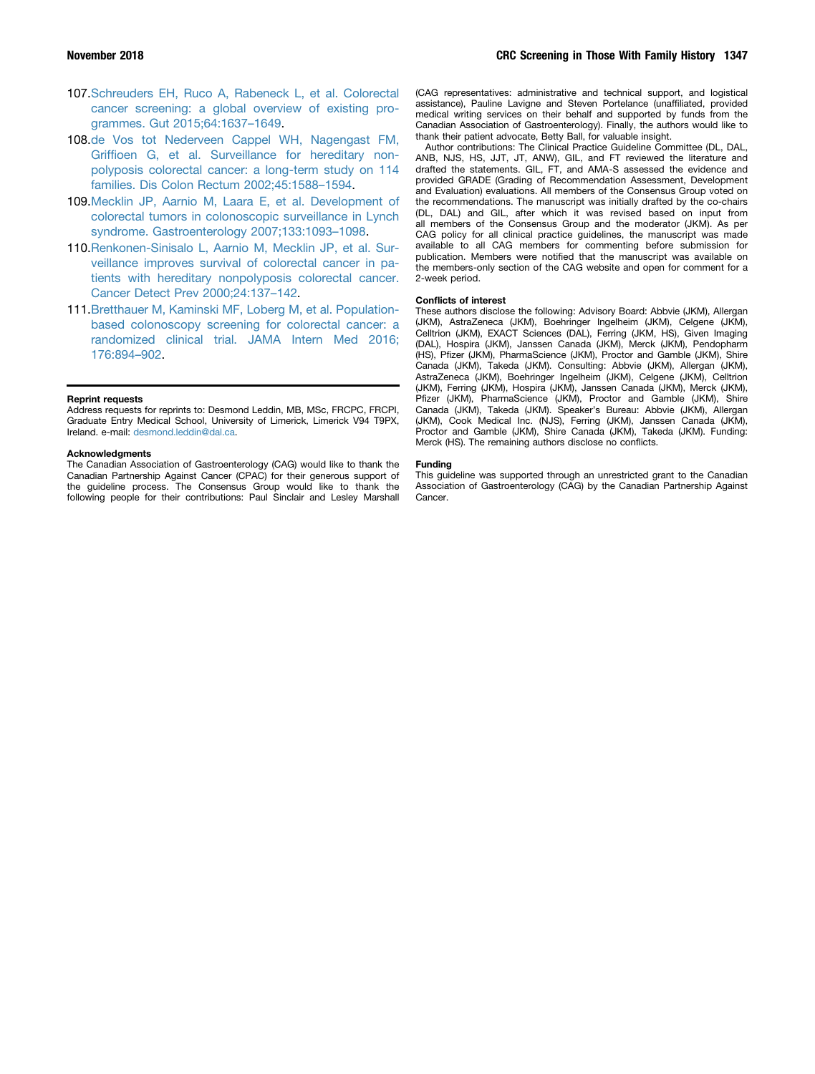- <span id="page-22-0"></span>107[.Schreuders EH, Ruco A, Rabeneck L, et al. Colorectal](http://refhub.elsevier.com/S0016-5085(18)34882-0/sref107) [cancer screening: a global overview of existing pro](http://refhub.elsevier.com/S0016-5085(18)34882-0/sref107)[grammes. Gut 2015;64:1637](http://refhub.elsevier.com/S0016-5085(18)34882-0/sref107)–[1649](http://refhub.elsevier.com/S0016-5085(18)34882-0/sref107).
- 108[.de Vos tot Nederveen Cappel WH, Nagengast FM,](http://refhub.elsevier.com/S0016-5085(18)34882-0/sref108) Griffi[oen G, et al. Surveillance for hereditary non](http://refhub.elsevier.com/S0016-5085(18)34882-0/sref108)[polyposis colorectal cancer: a long-term study on 114](http://refhub.elsevier.com/S0016-5085(18)34882-0/sref108) [families. Dis Colon Rectum 2002;45:1588](http://refhub.elsevier.com/S0016-5085(18)34882-0/sref108)–[1594.](http://refhub.elsevier.com/S0016-5085(18)34882-0/sref108)
- 109[.Mecklin JP, Aarnio M, Laara E, et al. Development of](http://refhub.elsevier.com/S0016-5085(18)34882-0/sref109) [colorectal tumors in colonoscopic surveillance in Lynch](http://refhub.elsevier.com/S0016-5085(18)34882-0/sref109) [syndrome. Gastroenterology 2007;133:1093](http://refhub.elsevier.com/S0016-5085(18)34882-0/sref109)–[1098.](http://refhub.elsevier.com/S0016-5085(18)34882-0/sref109)
- 110[.Renkonen-Sinisalo L, Aarnio M, Mecklin JP, et al. Sur](http://refhub.elsevier.com/S0016-5085(18)34882-0/sref110)[veillance improves survival of colorectal cancer in pa](http://refhub.elsevier.com/S0016-5085(18)34882-0/sref110)[tients with hereditary nonpolyposis colorectal cancer.](http://refhub.elsevier.com/S0016-5085(18)34882-0/sref110) [Cancer Detect Prev 2000;24:137](http://refhub.elsevier.com/S0016-5085(18)34882-0/sref110)–[142.](http://refhub.elsevier.com/S0016-5085(18)34882-0/sref110)
- 111[.Bretthauer M, Kaminski MF, Loberg M, et al. Population](http://refhub.elsevier.com/S0016-5085(18)34882-0/sref111)[based colonoscopy screening for colorectal cancer: a](http://refhub.elsevier.com/S0016-5085(18)34882-0/sref111) [randomized clinical trial. JAMA Intern Med 2016;](http://refhub.elsevier.com/S0016-5085(18)34882-0/sref111) [176:894](http://refhub.elsevier.com/S0016-5085(18)34882-0/sref111)–[902.](http://refhub.elsevier.com/S0016-5085(18)34882-0/sref111)

#### Reprint requests

Address requests for reprints to: Desmond Leddin, MB, MSc, FRCPC, FRCPI, Graduate Entry Medical School, University of Limerick, Limerick V94 T9PX, Ireland. e-mail: [desmond.leddin@dal.ca](mailto:desmond.leddin@dal.ca).

#### Acknowledgments

The Canadian Association of Gastroenterology (CAG) would like to thank the Canadian Partnership Against Cancer (CPAC) for their generous support of the guideline process. The Consensus Group would like to thank the following people for their contributions: Paul Sinclair and Lesley Marshall (CAG representatives: administrative and technical support, and logistical assistance), Pauline Lavigne and Steven Portelance (unaffiliated, provided medical writing services on their behalf and supported by funds from the Canadian Association of Gastroenterology). Finally, the authors would like to thank their patient advocate, Betty Ball, for valuable insight.

Author contributions: The Clinical Practice Guideline Committee (DL, DAL, ANB, NJS, HS, JJT, JT, ANW), GIL, and FT reviewed the literature and drafted the statements. GIL, FT, and AMA-S assessed the evidence and provided GRADE (Grading of Recommendation Assessment, Development and Evaluation) evaluations. All members of the Consensus Group voted on the recommendations. The manuscript was initially drafted by the co-chairs (DL, DAL) and GIL, after which it was revised based on input from all members of the Consensus Group and the moderator (JKM). As per CAG policy for all clinical practice guidelines, the manuscript was made available to all CAG members for commenting before submission for publication. Members were notified that the manuscript was available on the members-only section of the CAG website and open for comment for a 2-week period.

#### Conflicts of interest

These authors disclose the following: Advisory Board: Abbvie (JKM), Allergan (JKM), AstraZeneca (JKM), Boehringer Ingelheim (JKM), Celgene (JKM), Celltrion (JKM), EXACT Sciences (DAL), Ferring (JKM, HS), Given Imaging (DAL), Hospira (JKM), Janssen Canada (JKM), Merck (JKM), Pendopharm (HS), Pfizer (JKM), PharmaScience (JKM), Proctor and Gamble (JKM), Shire Canada (JKM), Takeda (JKM). Consulting: Abbvie (JKM), Allergan (JKM), AstraZeneca (JKM), Boehringer Ingelheim (JKM), Celgene (JKM), Celltrion (JKM), Ferring (JKM), Hospira (JKM), Janssen Canada (JKM), Merck (JKM), Pfizer (JKM), PharmaScience (JKM), Proctor and Gamble (JKM), Shire Canada (JKM), Takeda (JKM). Speaker's Bureau: Abbvie (JKM), Allergan (JKM), Cook Medical Inc. (NJS), Ferring (JKM), Janssen Canada (JKM), Proctor and Gamble (JKM), Shire Canada (JKM), Takeda (JKM). Funding: Merck (HS). The remaining authors disclose no conflicts.

#### Funding

This guideline was supported through an unrestricted grant to the Canadian Association of Gastroenterology (CAG) by the Canadian Partnership Against Cancer.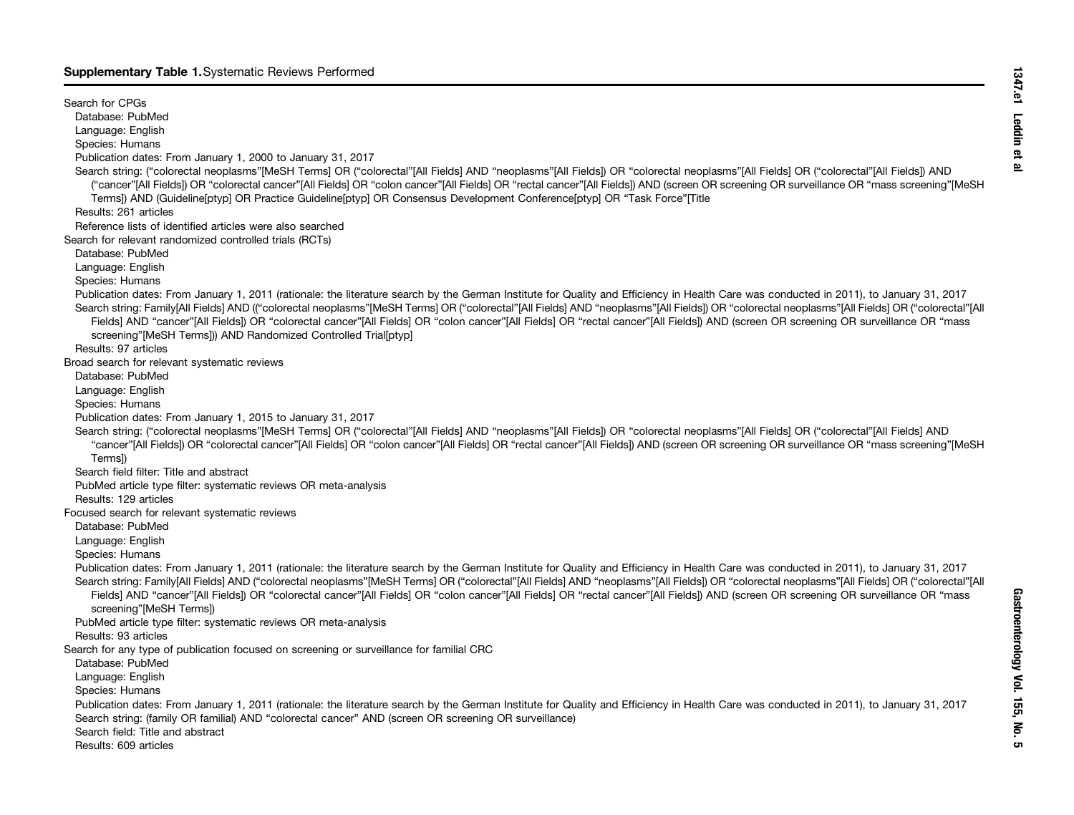#### <span id="page-23-0"></span>Supplementary Table 1.Systematic Reviews Performed

Search for CPGs

Database: PubMedLanguage: English Species: Humans Publication dates: From January 1, 2000 to January 31, 2017 Search string: ("colorectal neoplasms"[MeSH Terms] OR ("colorectal"[All Fields] AND "neoplasms"[All Fields]) OR "colorectal neoplasms"[All Fields] OR ("colorectal"[All Fields]) AND ("cancer"[All Fields]) OR "colorectal cancer"[All Fields] OR "colon cancer"[All Fields] OR "rectal cancer"[All Fields]) AND (screen OR screening OR surveillance OR "mass screening"[MeSH Terms]) AND (Guideline[ptyp] OR Practice Guideline[ptyp] OR Consensus Development Conference[ptyp] OR "Task Force"[Title Results: 261 articlesReference lists of identified articles were also searchedSearch for relevant randomized controlled trials (RCTs) Database: PubMedLanguage: English Species: Humans Publication dates: From January 1, 2011 (rationale: the literature search by the German Institute for Quality and Efficiency in Health Care was conducted in 2011), to January 31, 2017 Search string: Family[All Fields] AND (("colorectal neoplasms"[MeSH Terms] OR ("colorectal"[All Fields] AND "neoplasms"[All Fields]) OR "colorectal neoplasms"[All Fields] OR ("colorectal"[All Fields] AND "cancer"[All Fields]) OR "colorectal cancer"[All Fields] OR "colon cancer"[All Fields] OR "rectal cancer"[All Fields]) AND (screen OR screening OR surveillance OR "mass screening"[MeSH Terms])) AND Randomized Controlled Trial[ptyp] Results: 97 articlesBroad search for relevant systematic reviews Database: PubMedLanguage: English Species: Humans Publication dates: From January 1, 2015 to January 31, 2017 Search string: ("colorectal neoplasms"[MeSH Terms] OR ("colorectal"[All Fields] AND "neoplasms"[All Fields]) OR "colorectal neoplasms"[All Fields] OR ("colorectal"[All Fields] AND "cancer"[All Fields]) OR "colorectal cancer"[All Fields] OR "colon cancer"[All Fields] OR "rectal cancer"[All Fields]) AND (screen OR screening OR surveillance OR "mass screening"[MeSH Terms]) Search field filter: Title and abstract PubMed article type filter: systematic reviews OR meta-analysis Results: 129 articlesFocused search for relevant systematic reviews Database: PubMedLanguage: English Species: Humans Publication dates: From January 1, 2011 (rationale: the literature search by the German Institute for Quality and Efficiency in Health Care was conducted in 2011), to January 31, 2017 Search string: Family[All Fields] AND ("colorectal neoplasms"[MeSH Terms] OR ("colorectal"[All Fields] AND "neoplasms"[All Fields]) OR "colorectal neoplasms"[All Fields] OR ("colorectal"[All Fields] AND "cancer"[All Fields]) OR "colorectal cancer"[All Fields] OR "colon cancer"[All Fields] OR "rectal cancer"[All Fields]) AND (screen OR screening OR surveillance OR "mass screening"[MeSH Terms]) PubMed article type filter: systematic reviews OR meta-analysis Results: 93 articlesSearch for any type of publication focused on screening or surveillance for familial CRC Database: PubMedLanguage: English Species: Humans Publication dates: From January 1, 2011 (rationale: the literature search by the German Institute for Quality and Efficiency in Health Care was conducted in 2011), to January 31, 2017 Search string: (family OR familial) AND "colorectal cancer" AND (screen OR screening OR surveillance) Search field: Title and abstract Results: 609 articles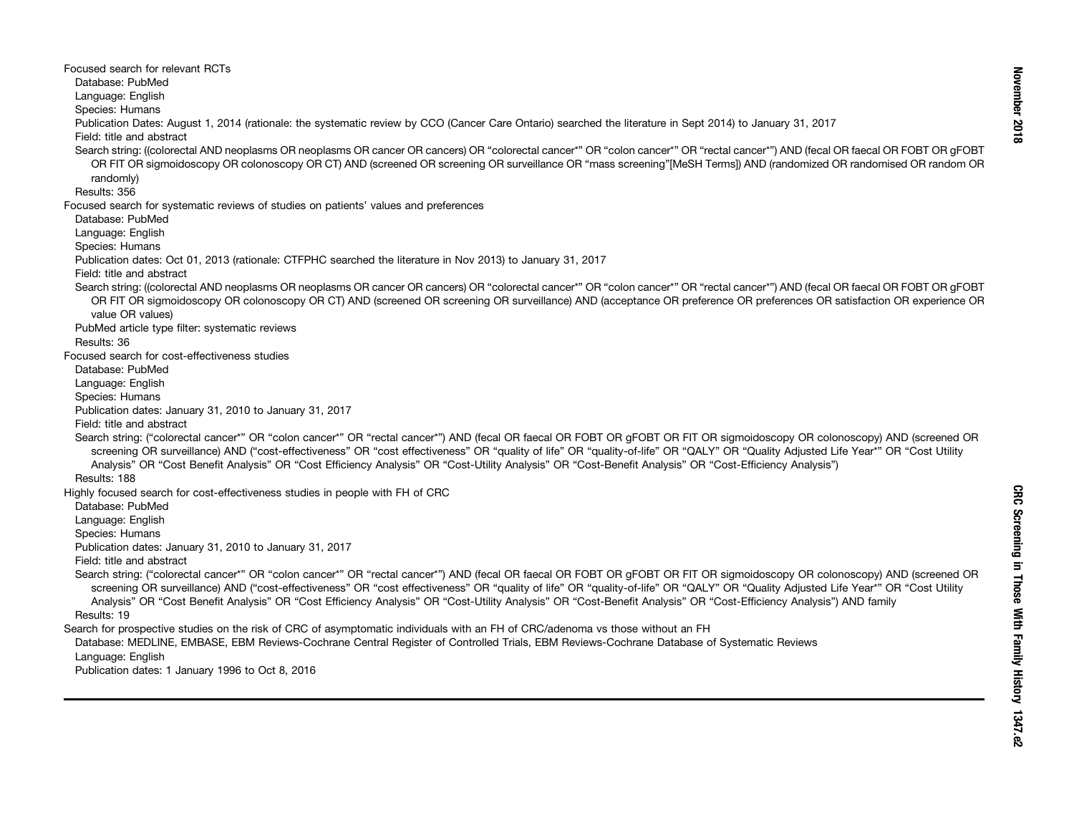Focused search for relevant RCTsDatabase: PubMed Language: English Species: Humans Publication Dates: August 1, 2014 (rationale: the systematic review by CCO (Cancer Care Ontario) searched the literature in Sept 2014) to January 31, 2017 Field: title and abstractSearch string: ((colorectal AND neoplasms OR neoplasms OR cancer OR cancers) OR "colorectal cancer\*" OR "colon cancer\*" OR "rectal cancer\*") AND (fecal OR faecal OR FOBT OR gFOBT OR FIT OR sigmoidoscopy OR colonoscopy OR CT) AND (screened OR screening OR surveillance OR "mass screening"[MeSH Terms]) AND (randomized OR randomised OR random OR randomly) Results: 356Focused search for systematic reviews of studies on patients' values and preferences Database: PubMedLanguage: English Species: Humans Publication dates: Oct 01, 2013 (rationale: CTFPHC searched the literature in Nov 2013) to January 31, 2017 Field: title and abstractSearch string: ((colorectal AND neoplasms OR neoplasms OR cancer OR cancers) OR "colorectal cancer\*" OR "colon cancer\*" OR "rectal cancer\*") AND (fecal OR faecal OR FOBT OR gFOBT OR FIT OR sigmoidoscopy OR colonoscopy OR CT) AND (screened OR screening OR surveillance) AND (acceptance OR preference OR preferences OR satisfaction OR experience OR value OR values) PubMed article type filter: systematic reviews Results: 36Focused search for cost-effectiveness studiesDatabase: PubMedLanguage: English Species: Humans Publication dates: January 31, 2010 to January 31, 2017 Field: title and abstractSearch string: ("colorectal cancer\*" OR "colon cancer\*" OR "rectal cancer\*") AND (fecal OR faecal OR FOBT OR gFOBT OR FIT OR sigmoidoscopy OR colonoscopy) AND (screened OR screening OR surveillance) AND ("cost-effectiveness" OR "cost effectiveness" OR "quality of life" OR "quality-of-life" OR "QALY" OR "Quality Adjusted Life Year\*" OR "Cost Utility Analysis" OR "Cost Benefit Analysis" OR "Cost Efficiency Analysis" OR "Cost-Utility Analysis" OR "Cost-Benefit Analysis" OR "Cost-Efficiency Analysis") Results: 188Highly focused search for cost-effectiveness studies in people with FH of CRC Database: PubMedLanguage: English Species: Humans Publication dates: January 31, 2010 to January 31, 2017 Field: title and abstractSearch string: ("colorectal cancer\*" OR "colon cancer\*" OR "rectal cancer\*") AND (fecal OR faecal OR FOBT OR gFOBT OR FIT OR sigmoidoscopy OR colonoscopy) AND (screened OR screening OR surveillance) AND ("cost-effectiveness" OR "cost effectiveness" OR "quality of life" OR "quality-of-life" OR "QALY" OR "Quality Adjusted Life Year\*" OR "Cost Utility Analysis" OR "Cost Benefit Analysis" OR "Cost Efficiency Analysis" OR "Cost-Utility Analysis" OR "Cost-Benefit Analysis" OR "Cost-Efficiency Analysis") AND family Search for prospective studies on the risk of CRC of asymptomatic individuals with an FH of CRC/adenoma vs those without an FH Database: MEDLINE, EMBASE, EBM Reviews-Cochrane Central Register of Controlled Trials, EBM Reviews-Cochrane Database of Systematic Reviews Language: English Publication dates: 1 January 1996 to Oct 8, 2016 November 2018 CRC Screening in Those With Family History 1347.e2 CPC Screening in Those With Family History 1347.e2

Results: 19